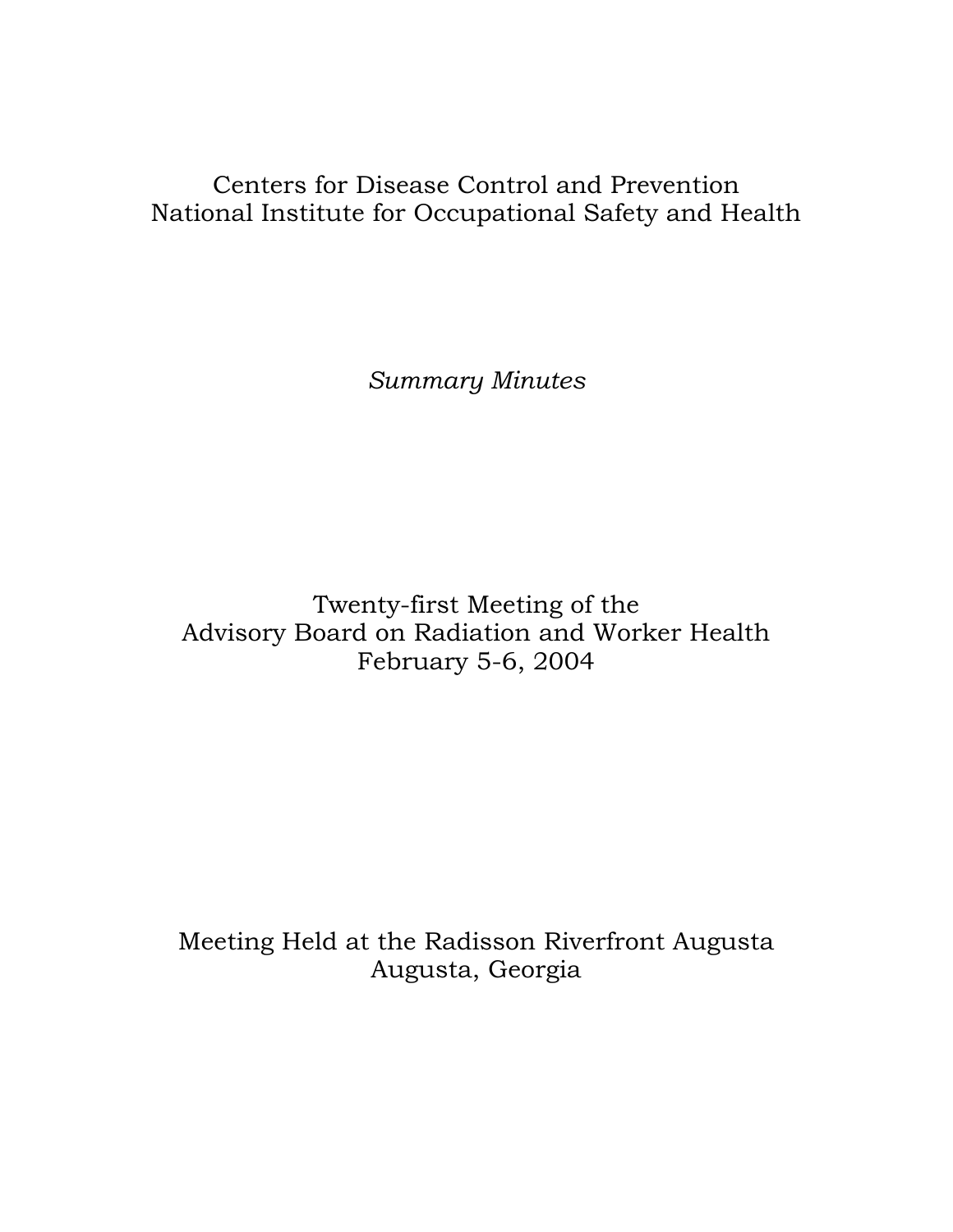# Centers for Disease Control and Prevention National Institute for Occupational Safety and Health

*Summary Minutes* 

Twenty-first Meeting of the Advisory Board on Radiation and Worker Health February 5-6, 2004

Meeting Held at the Radisson Riverfront Augusta Augusta, Georgia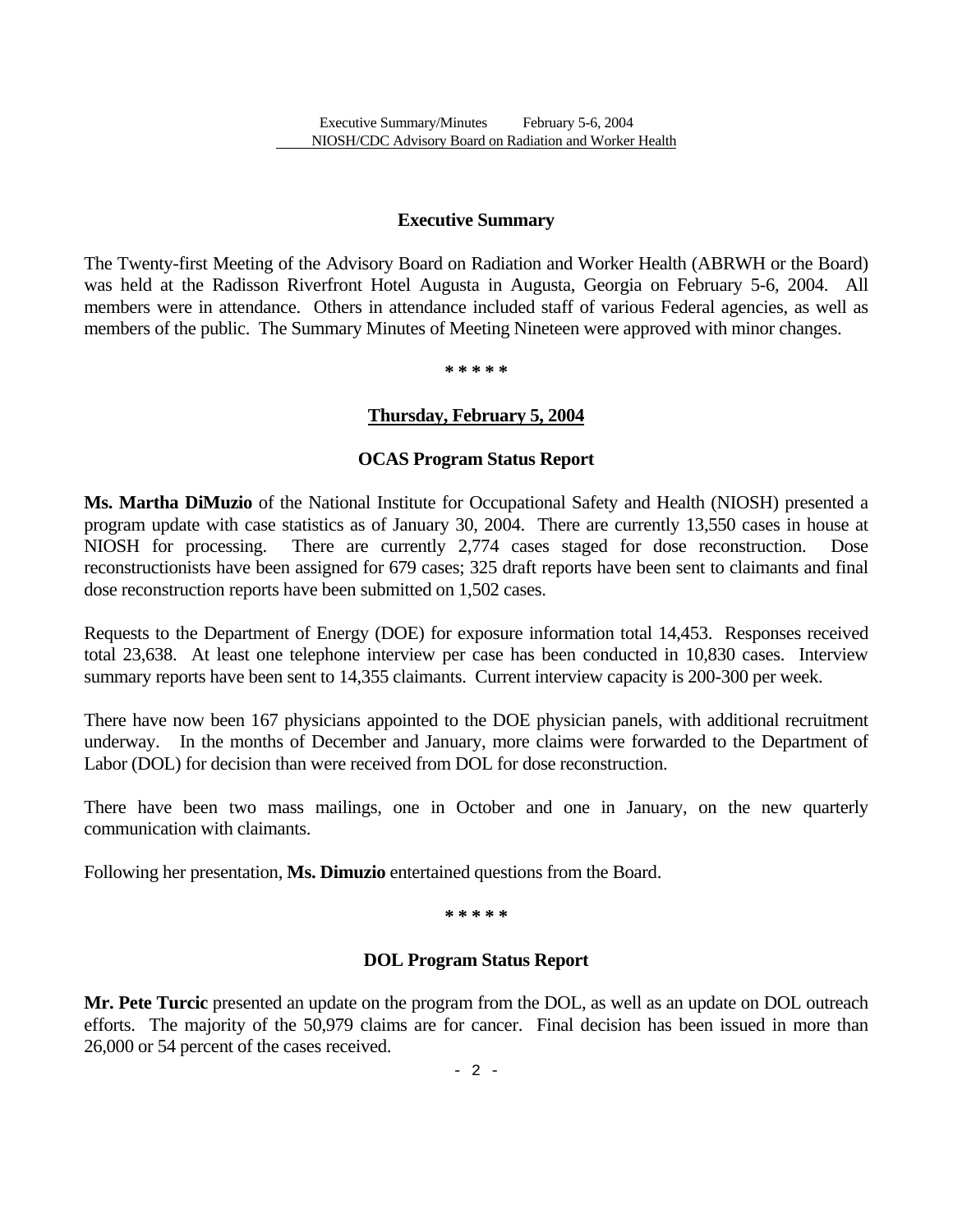### **Executive Summary**

The Twenty-first Meeting of the Advisory Board on Radiation and Worker Health (ABRWH or the Board) was held at the Radisson Riverfront Hotel Augusta in Augusta, Georgia on February 5-6, 2004. All members were in attendance. Others in attendance included staff of various Federal agencies, as well as members of the public. The Summary Minutes of Meeting Nineteen were approved with minor changes.

**\* \* \* \* \*** 

### **Thursday, February 5, 2004**

#### **OCAS Program Status Report**

**Ms. Martha DiMuzio** of the National Institute for Occupational Safety and Health (NIOSH) presented a program update with case statistics as of January 30, 2004. There are currently 13,550 cases in house at NIOSH for processing. There are currently 2,774 cases staged for dose reconstruction. reconstructionists have been assigned for 679 cases; 325 draft reports have been sent to claimants and final dose reconstruction reports have been submitted on 1,502 cases.

Requests to the Department of Energy (DOE) for exposure information total 14,453. Responses received total 23,638. At least one telephone interview per case has been conducted in 10,830 cases. Interview summary reports have been sent to 14,355 claimants. Current interview capacity is 200-300 per week.

There have now been 167 physicians appointed to the DOE physician panels, with additional recruitment underway. In the months of December and January, more claims were forwarded to the Department of Labor (DOL) for decision than were received from DOL for dose reconstruction.

There have been two mass mailings, one in October and one in January, on the new quarterly communication with claimants.

Following her presentation, **Ms. Dimuzio** entertained questions from the Board.

**\* \* \* \* \*** 

#### **DOL Program Status Report**

**Mr. Pete Turcic** presented an update on the program from the DOL, as well as an update on DOL outreach efforts. The majority of the 50,979 claims are for cancer. Final decision has been issued in more than 26,000 or 54 percent of the cases received.

 $- 2 -$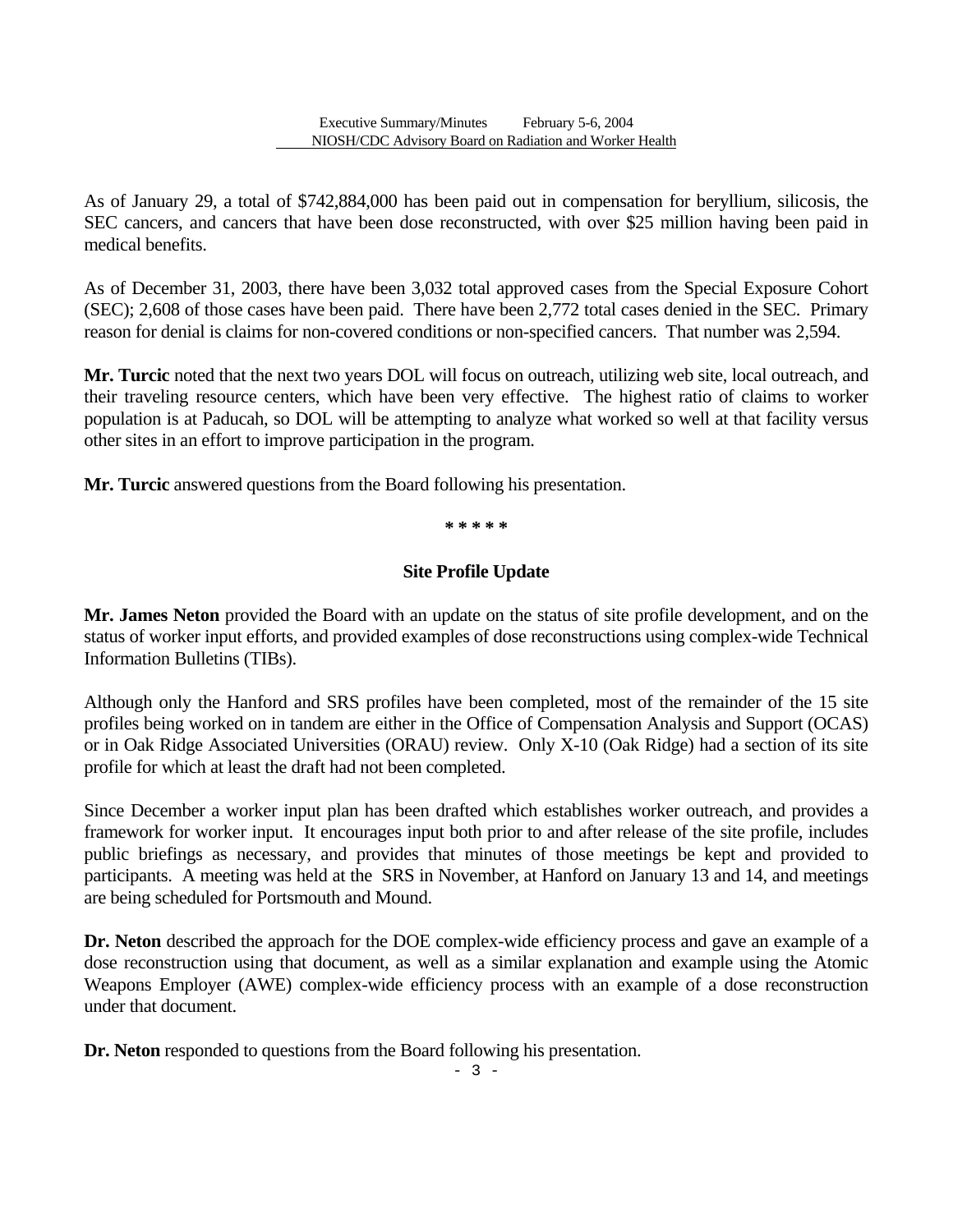As of January 29, a total of \$742,884,000 has been paid out in compensation for beryllium, silicosis, the SEC cancers, and cancers that have been dose reconstructed, with over \$25 million having been paid in medical benefits.

As of December 31, 2003, there have been 3,032 total approved cases from the Special Exposure Cohort (SEC); 2,608 of those cases have been paid. There have been 2,772 total cases denied in the SEC. Primary reason for denial is claims for non-covered conditions or non-specified cancers. That number was 2,594.

**Mr. Turcic** noted that the next two years DOL will focus on outreach, utilizing web site, local outreach, and their traveling resource centers, which have been very effective. The highest ratio of claims to worker population is at Paducah, so DOL will be attempting to analyze what worked so well at that facility versus other sites in an effort to improve participation in the program.

**Mr. Turcic** answered questions from the Board following his presentation.

**\* \* \* \* \*** 

### **Site Profile Update**

**Mr. James Neton** provided the Board with an update on the status of site profile development, and on the status of worker input efforts, and provided examples of dose reconstructions using complex-wide Technical Information Bulletins (TIBs).

Although only the Hanford and SRS profiles have been completed, most of the remainder of the 15 site profiles being worked on in tandem are either in the Office of Compensation Analysis and Support (OCAS) or in Oak Ridge Associated Universities (ORAU) review. Only X-10 (Oak Ridge) had a section of its site profile for which at least the draft had not been completed.

Since December a worker input plan has been drafted which establishes worker outreach, and provides a framework for worker input. It encourages input both prior to and after release of the site profile, includes public briefings as necessary, and provides that minutes of those meetings be kept and provided to participants. A meeting was held at the SRS in November, at Hanford on January 13 and 14, and meetings are being scheduled for Portsmouth and Mound.

**Dr. Neton** described the approach for the DOE complex-wide efficiency process and gave an example of a dose reconstruction using that document, as well as a similar explanation and example using the Atomic Weapons Employer (AWE) complex-wide efficiency process with an example of a dose reconstruction under that document.

Dr. Neton responded to questions from the Board following his presentation.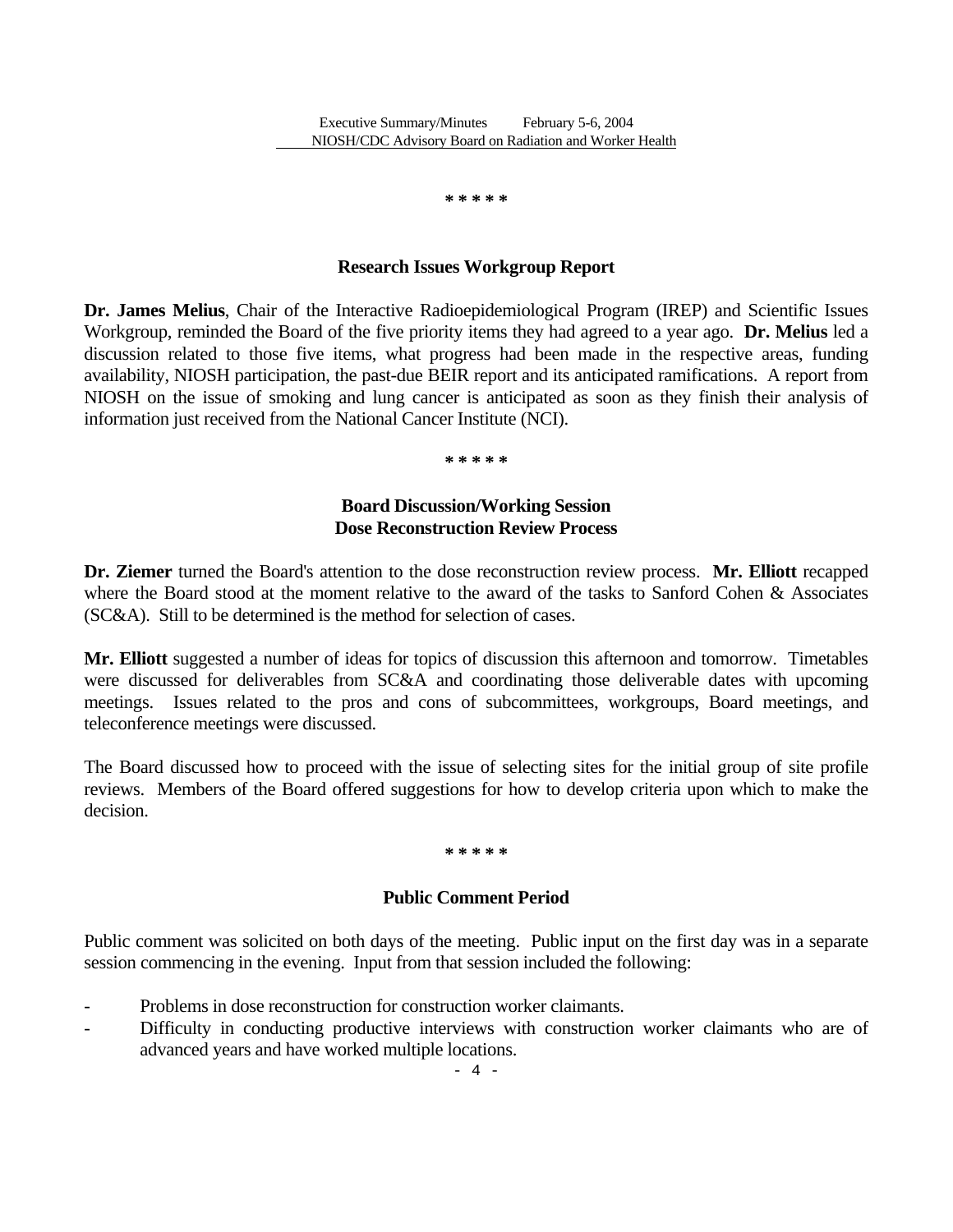**\* \* \* \* \*** 

#### **Research Issues Workgroup Report**

**Dr. James Melius**, Chair of the Interactive Radioepidemiological Program (IREP) and Scientific Issues Workgroup, reminded the Board of the five priority items they had agreed to a year ago. **Dr. Melius** led a discussion related to those five items, what progress had been made in the respective areas, funding availability, NIOSH participation, the past-due BEIR report and its anticipated ramifications. A report from NIOSH on the issue of smoking and lung cancer is anticipated as soon as they finish their analysis of information just received from the National Cancer Institute (NCI).

**\* \* \* \* \***

### **Board Discussion/Working Session Dose Reconstruction Review Process**

**Dr. Ziemer** turned the Board's attention to the dose reconstruction review process. **Mr. Elliott** recapped where the Board stood at the moment relative to the award of the tasks to Sanford Cohen & Associates (SC&A). Still to be determined is the method for selection of cases.

**Mr. Elliott** suggested a number of ideas for topics of discussion this afternoon and tomorrow. Timetables were discussed for deliverables from SC&A and coordinating those deliverable dates with upcoming meetings. Issues related to the pros and cons of subcommittees, workgroups, Board meetings, and teleconference meetings were discussed.

The Board discussed how to proceed with the issue of selecting sites for the initial group of site profile reviews. Members of the Board offered suggestions for how to develop criteria upon which to make the decision.

#### **\* \* \* \* \***

### **Public Comment Period**

Public comment was solicited on both days of the meeting. Public input on the first day was in a separate session commencing in the evening. Input from that session included the following:

- Problems in dose reconstruction for construction worker claimants.
- Difficulty in conducting productive interviews with construction worker claimants who are of advanced years and have worked multiple locations.

 $- 4 -$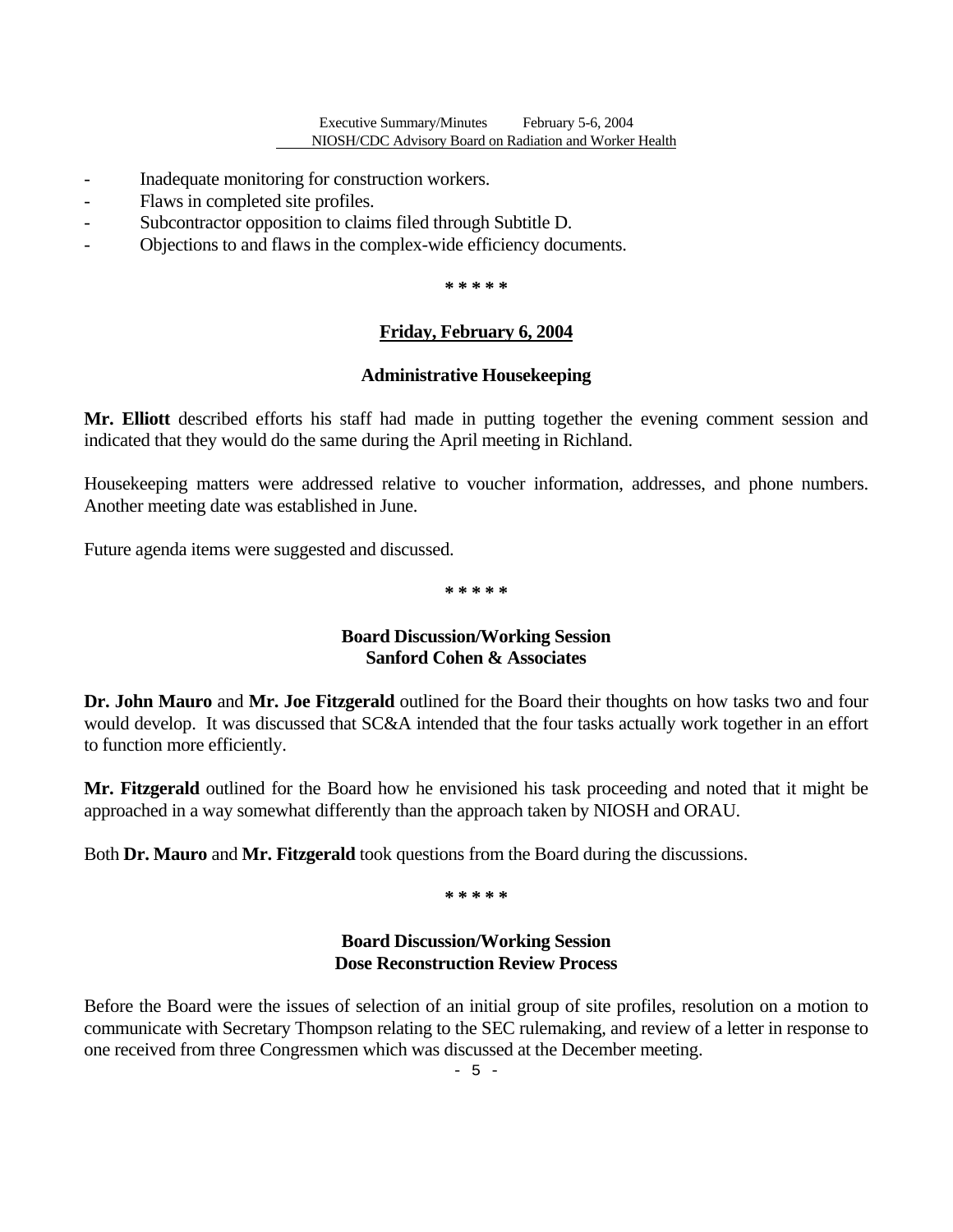- Inadequate monitoring for construction workers.
- Flaws in completed site profiles.
- Subcontractor opposition to claims filed through Subtitle D.
- Objections to and flaws in the complex-wide efficiency documents.

**\* \* \* \* \***

### **Friday, February 6, 2004**

#### **Administrative Housekeeping**

**Mr. Elliott** described efforts his staff had made in putting together the evening comment session and indicated that they would do the same during the April meeting in Richland.

Housekeeping matters were addressed relative to voucher information, addresses, and phone numbers. Another meeting date was established in June.

Future agenda items were suggested and discussed.

**\* \* \* \* \*** 

### **Board Discussion/Working Session Sanford Cohen & Associates**

**Dr. John Mauro** and **Mr. Joe Fitzgerald** outlined for the Board their thoughts on how tasks two and four would develop. It was discussed that SC&A intended that the four tasks actually work together in an effort to function more efficiently.

**Mr. Fitzgerald** outlined for the Board how he envisioned his task proceeding and noted that it might be approached in a way somewhat differently than the approach taken by NIOSH and ORAU.

Both **Dr. Mauro** and **Mr. Fitzgerald** took questions from the Board during the discussions.

**\* \* \* \* \*** 

### **Board Discussion/Working Session Dose Reconstruction Review Process**

Before the Board were the issues of selection of an initial group of site profiles, resolution on a motion to communicate with Secretary Thompson relating to the SEC rulemaking, and review of a letter in response to one received from three Congressmen which was discussed at the December meeting.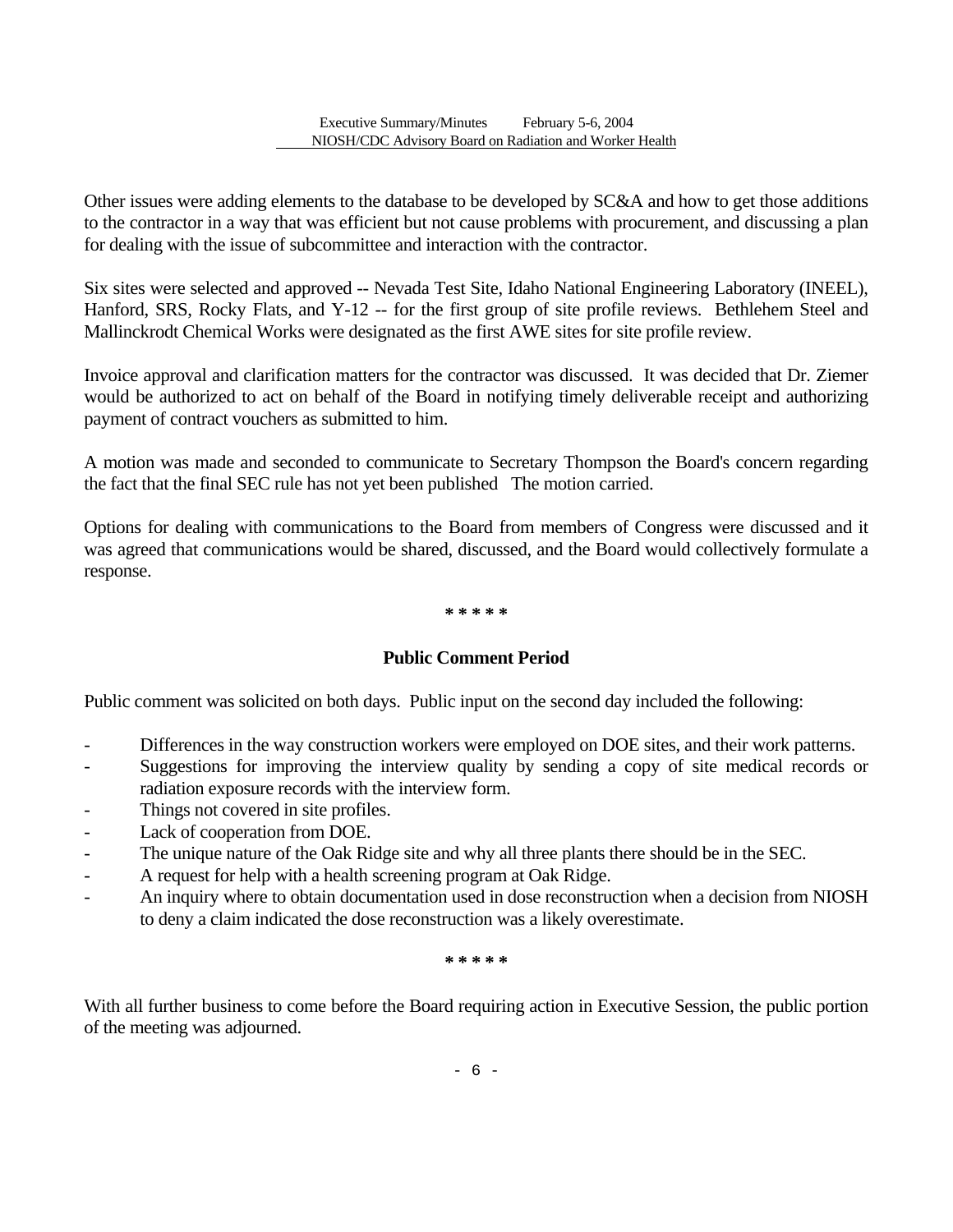Other issues were adding elements to the database to be developed by SC&A and how to get those additions to the contractor in a way that was efficient but not cause problems with procurement, and discussing a plan for dealing with the issue of subcommittee and interaction with the contractor.

Six sites were selected and approved -- Nevada Test Site, Idaho National Engineering Laboratory (INEEL), Hanford, SRS, Rocky Flats, and Y-12 -- for the first group of site profile reviews. Bethlehem Steel and Mallinckrodt Chemical Works were designated as the first AWE sites for site profile review.

Invoice approval and clarification matters for the contractor was discussed. It was decided that Dr. Ziemer would be authorized to act on behalf of the Board in notifying timely deliverable receipt and authorizing payment of contract vouchers as submitted to him.

A motion was made and seconded to communicate to Secretary Thompson the Board's concern regarding the fact that the final SEC rule has not yet been published The motion carried.

Options for dealing with communications to the Board from members of Congress were discussed and it was agreed that communications would be shared, discussed, and the Board would collectively formulate a response.

#### **\* \* \* \* \***

### **Public Comment Period**

Public comment was solicited on both days. Public input on the second day included the following:

- Differences in the way construction workers were employed on DOE sites, and their work patterns.
- Suggestions for improving the interview quality by sending a copy of site medical records or radiation exposure records with the interview form.
- Things not covered in site profiles.
- Lack of cooperation from DOE.
- The unique nature of the Oak Ridge site and why all three plants there should be in the SEC.
- A request for help with a health screening program at Oak Ridge.
- An inquiry where to obtain documentation used in dose reconstruction when a decision from NIOSH to deny a claim indicated the dose reconstruction was a likely overestimate.

**\* \* \* \* \*** 

With all further business to come before the Board requiring action in Executive Session, the public portion of the meeting was adjourned.

- 6 -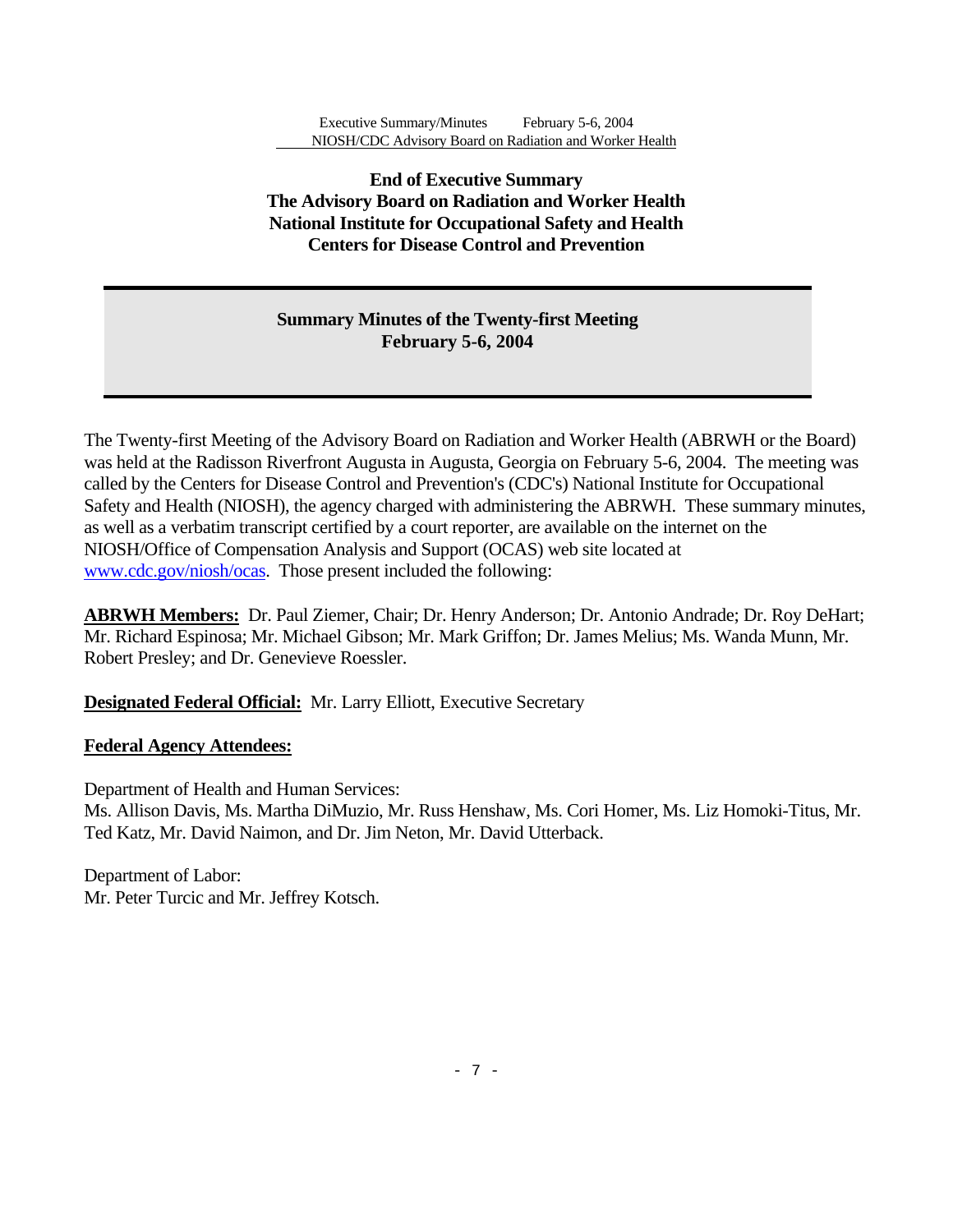# **End of Executive Summary The Advisory Board on Radiation and Worker Health National Institute for Occupational Safety and Health Centers for Disease Control and Prevention**

# **Summary Minutes of the Twenty-first Meeting February 5-6, 2004**

The Twenty-first Meeting of the Advisory Board on Radiation and Worker Health (ABRWH or the Board) was held at the Radisson Riverfront Augusta in Augusta, Georgia on February 5-6, 2004. The meeting was called by the Centers for Disease Control and Prevention's (CDC's) National Institute for Occupational Safety and Health (NIOSH), the agency charged with administering the ABRWH. These summary minutes, as well as a verbatim transcript certified by a court reporter, are available on the internet on the NIOSH/Office of Compensation Analysis and Support (OCAS) web site located at www.cdc.gov/niosh/ocas. Those present included the following:

**ABRWH Members:** Dr. Paul Ziemer, Chair; Dr. Henry Anderson; Dr. Antonio Andrade; Dr. Roy DeHart; Mr. Richard Espinosa; Mr. Michael Gibson; Mr. Mark Griffon; Dr. James Melius; Ms. Wanda Munn, Mr. Robert Presley; and Dr. Genevieve Roessler.

**Designated Federal Official:** Mr. Larry Elliott, Executive Secretary

# **Federal Agency Attendees:**

Department of Health and Human Services: Ms. Allison Davis, Ms. Martha DiMuzio, Mr. Russ Henshaw, Ms. Cori Homer, Ms. Liz Homoki-Titus, Mr. Ted Katz, Mr. David Naimon, and Dr. Jim Neton, Mr. David Utterback.

Department of Labor: Mr. Peter Turcic and Mr. Jeffrey Kotsch.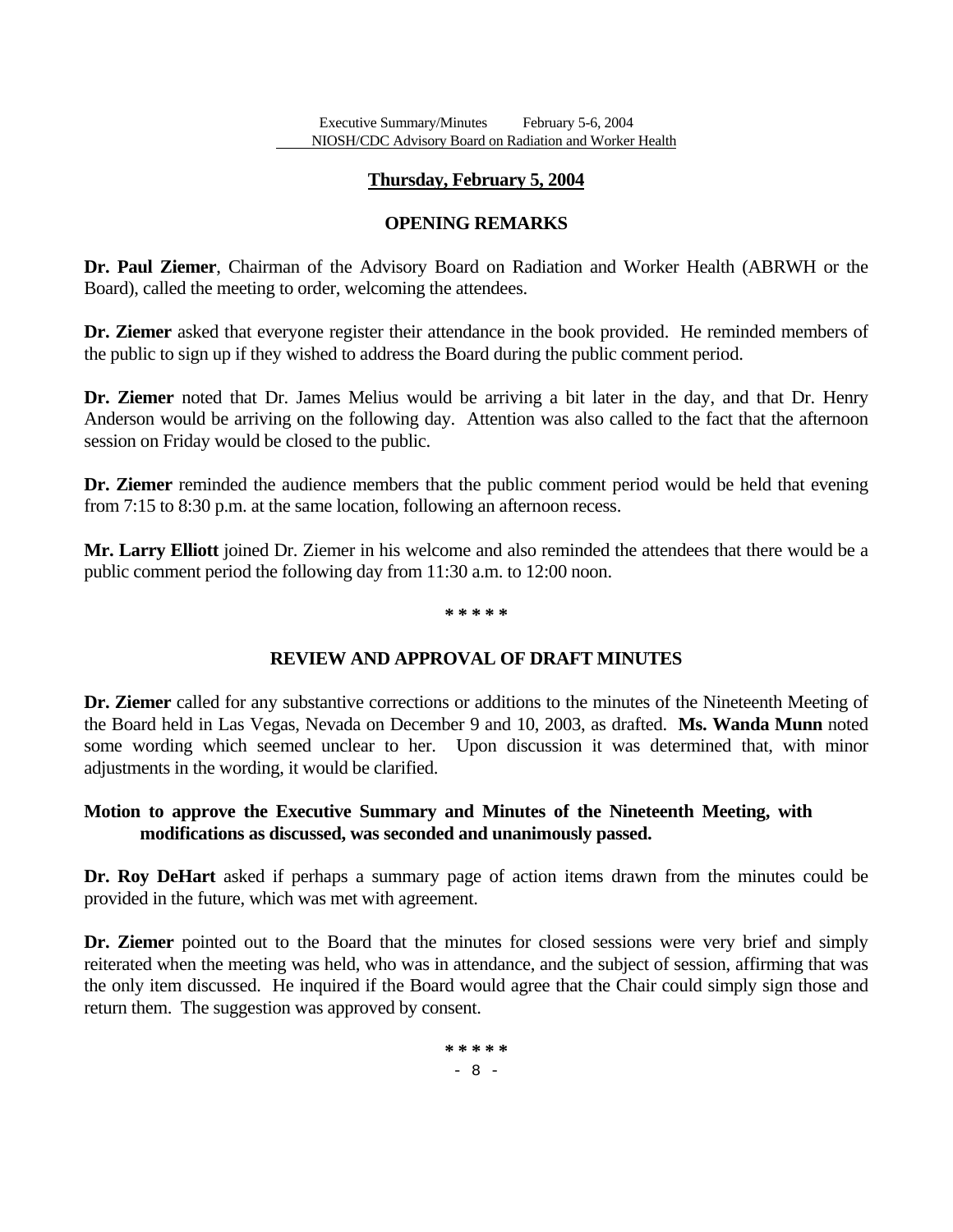### **Thursday, February 5, 2004**

# **OPENING REMARKS**

**Dr. Paul Ziemer**, Chairman of the Advisory Board on Radiation and Worker Health (ABRWH or the Board), called the meeting to order, welcoming the attendees.

**Dr. Ziemer** asked that everyone register their attendance in the book provided. He reminded members of the public to sign up if they wished to address the Board during the public comment period.

**Dr. Ziemer** noted that Dr. James Melius would be arriving a bit later in the day, and that Dr. Henry Anderson would be arriving on the following day. Attention was also called to the fact that the afternoon session on Friday would be closed to the public.

**Dr. Ziemer** reminded the audience members that the public comment period would be held that evening from 7:15 to 8:30 p.m. at the same location, following an afternoon recess.

**Mr. Larry Elliott** joined Dr. Ziemer in his welcome and also reminded the attendees that there would be a public comment period the following day from 11:30 a.m. to 12:00 noon.

#### **\* \* \* \* \***

# **REVIEW AND APPROVAL OF DRAFT MINUTES**

**Dr. Ziemer** called for any substantive corrections or additions to the minutes of the Nineteenth Meeting of the Board held in Las Vegas, Nevada on December 9 and 10, 2003, as drafted. **Ms. Wanda Munn** noted some wording which seemed unclear to her. Upon discussion it was determined that, with minor adjustments in the wording, it would be clarified.

# **Motion to approve the Executive Summary and Minutes of the Nineteenth Meeting, with modifications as discussed, was seconded and unanimously passed.**

**Dr. Roy DeHart** asked if perhaps a summary page of action items drawn from the minutes could be provided in the future, which was met with agreement.

**Dr. Ziemer** pointed out to the Board that the minutes for closed sessions were very brief and simply reiterated when the meeting was held, who was in attendance, and the subject of session, affirming that was the only item discussed. He inquired if the Board would agree that the Chair could simply sign those and return them. The suggestion was approved by consent.

> **\* \* \* \* \***  - 8 -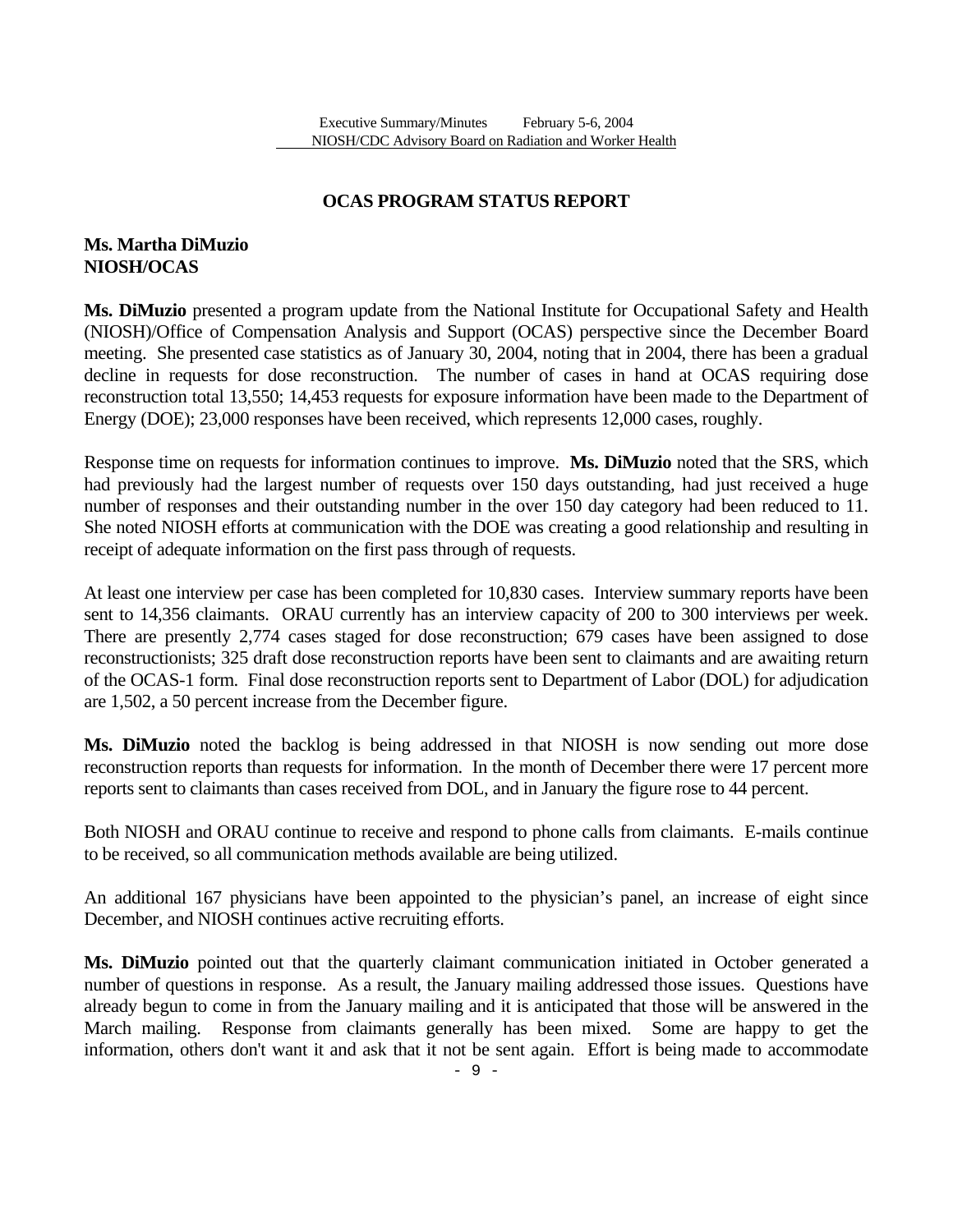# **OCAS PROGRAM STATUS REPORT**

# **Ms. Martha DiMuzio NIOSH/OCAS**

**Ms. DiMuzio** presented a program update from the National Institute for Occupational Safety and Health (NIOSH)/Office of Compensation Analysis and Support (OCAS) perspective since the December Board meeting. She presented case statistics as of January 30, 2004, noting that in 2004, there has been a gradual decline in requests for dose reconstruction. The number of cases in hand at OCAS requiring dose reconstruction total 13,550; 14,453 requests for exposure information have been made to the Department of Energy (DOE); 23,000 responses have been received, which represents 12,000 cases, roughly.

Response time on requests for information continues to improve. **Ms. DiMuzio** noted that the SRS, which had previously had the largest number of requests over 150 days outstanding, had just received a huge number of responses and their outstanding number in the over 150 day category had been reduced to 11. She noted NIOSH efforts at communication with the DOE was creating a good relationship and resulting in receipt of adequate information on the first pass through of requests.

At least one interview per case has been completed for 10,830 cases. Interview summary reports have been sent to 14,356 claimants. ORAU currently has an interview capacity of 200 to 300 interviews per week. There are presently 2,774 cases staged for dose reconstruction; 679 cases have been assigned to dose reconstructionists; 325 draft dose reconstruction reports have been sent to claimants and are awaiting return of the OCAS-1 form. Final dose reconstruction reports sent to Department of Labor (DOL) for adjudication are 1,502, a 50 percent increase from the December figure.

**Ms. DiMuzio** noted the backlog is being addressed in that NIOSH is now sending out more dose reconstruction reports than requests for information. In the month of December there were 17 percent more reports sent to claimants than cases received from DOL, and in January the figure rose to 44 percent.

Both NIOSH and ORAU continue to receive and respond to phone calls from claimants. E-mails continue to be received, so all communication methods available are being utilized.

An additional 167 physicians have been appointed to the physician's panel, an increase of eight since December, and NIOSH continues active recruiting efforts.

**Ms. DiMuzio** pointed out that the quarterly claimant communication initiated in October generated a number of questions in response. As a result, the January mailing addressed those issues. Questions have already begun to come in from the January mailing and it is anticipated that those will be answered in the March mailing. Response from claimants generally has been mixed. Some are happy to get the information, others don't want it and ask that it not be sent again. Effort is being made to accommodate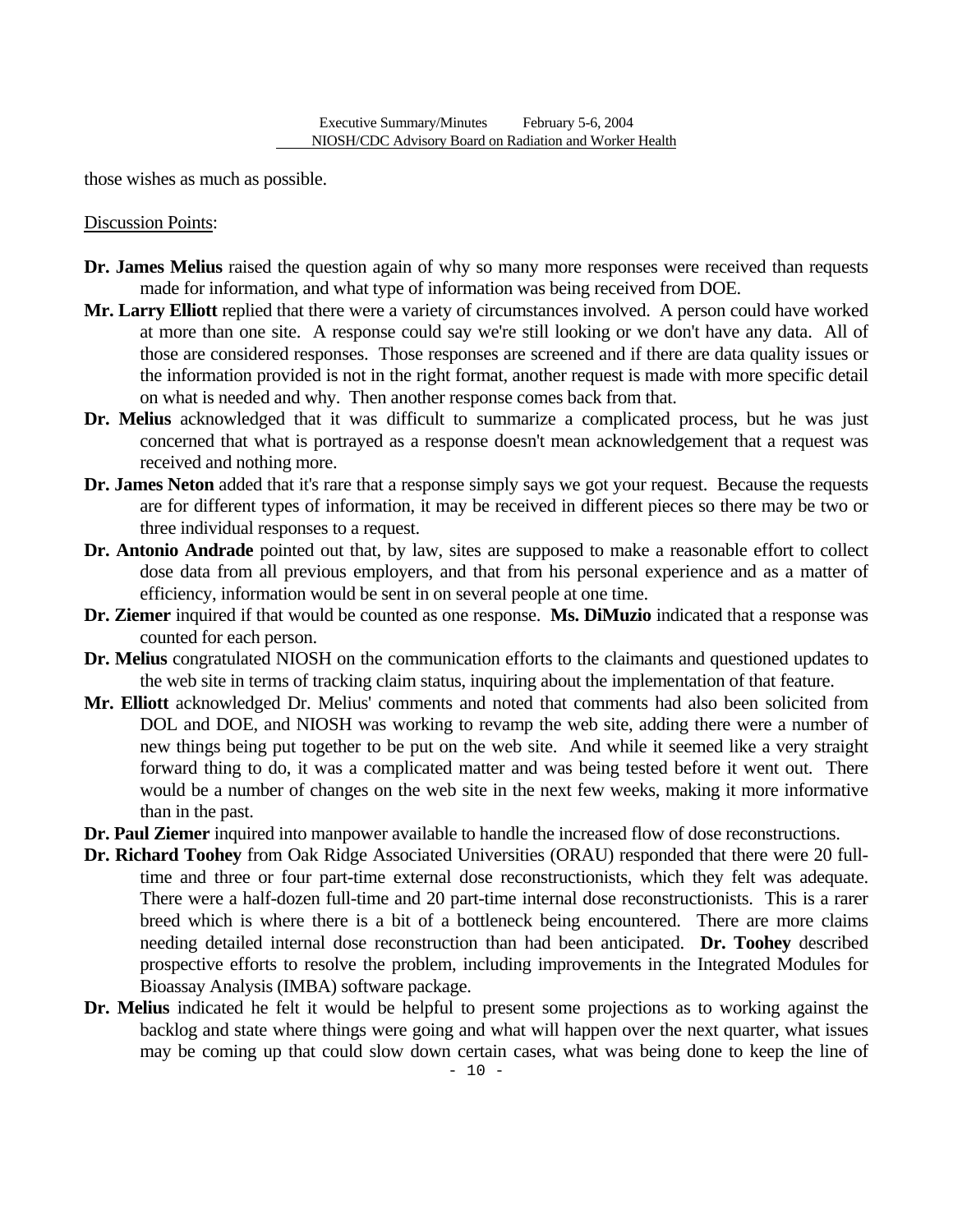those wishes as much as possible.

Discussion Points:

- **Dr. James Melius** raised the question again of why so many more responses were received than requests made for information, and what type of information was being received from DOE.
- **Mr. Larry Elliott** replied that there were a variety of circumstances involved. A person could have worked at more than one site. A response could say we're still looking or we don't have any data. All of those are considered responses. Those responses are screened and if there are data quality issues or the information provided is not in the right format, another request is made with more specific detail on what is needed and why. Then another response comes back from that.
- **Dr. Melius** acknowledged that it was difficult to summarize a complicated process, but he was just concerned that what is portrayed as a response doesn't mean acknowledgement that a request was received and nothing more.
- **Dr. James Neton** added that it's rare that a response simply says we got your request. Because the requests are for different types of information, it may be received in different pieces so there may be two or three individual responses to a request.
- **Dr. Antonio Andrade** pointed out that, by law, sites are supposed to make a reasonable effort to collect dose data from all previous employers, and that from his personal experience and as a matter of efficiency, information would be sent in on several people at one time.
- **Dr. Ziemer** inquired if that would be counted as one response. **Ms. DiMuzio** indicated that a response was counted for each person.
- **Dr. Melius** congratulated NIOSH on the communication efforts to the claimants and questioned updates to the web site in terms of tracking claim status, inquiring about the implementation of that feature.
- **Mr. Elliott** acknowledged Dr. Melius' comments and noted that comments had also been solicited from DOL and DOE, and NIOSH was working to revamp the web site, adding there were a number of new things being put together to be put on the web site. And while it seemed like a very straight forward thing to do, it was a complicated matter and was being tested before it went out. There would be a number of changes on the web site in the next few weeks, making it more informative than in the past.
- **Dr. Paul Ziemer** inquired into manpower available to handle the increased flow of dose reconstructions.
- **Dr. Richard Toohey** from Oak Ridge Associated Universities (ORAU) responded that there were 20 fulltime and three or four part-time external dose reconstructionists, which they felt was adequate. There were a half-dozen full-time and 20 part-time internal dose reconstructionists. This is a rarer breed which is where there is a bit of a bottleneck being encountered. There are more claims needing detailed internal dose reconstruction than had been anticipated. **Dr. Toohey** described prospective efforts to resolve the problem, including improvements in the Integrated Modules for Bioassay Analysis (IMBA) software package.
- **Dr. Melius** indicated he felt it would be helpful to present some projections as to working against the backlog and state where things were going and what will happen over the next quarter, what issues may be coming up that could slow down certain cases, what was being done to keep the line of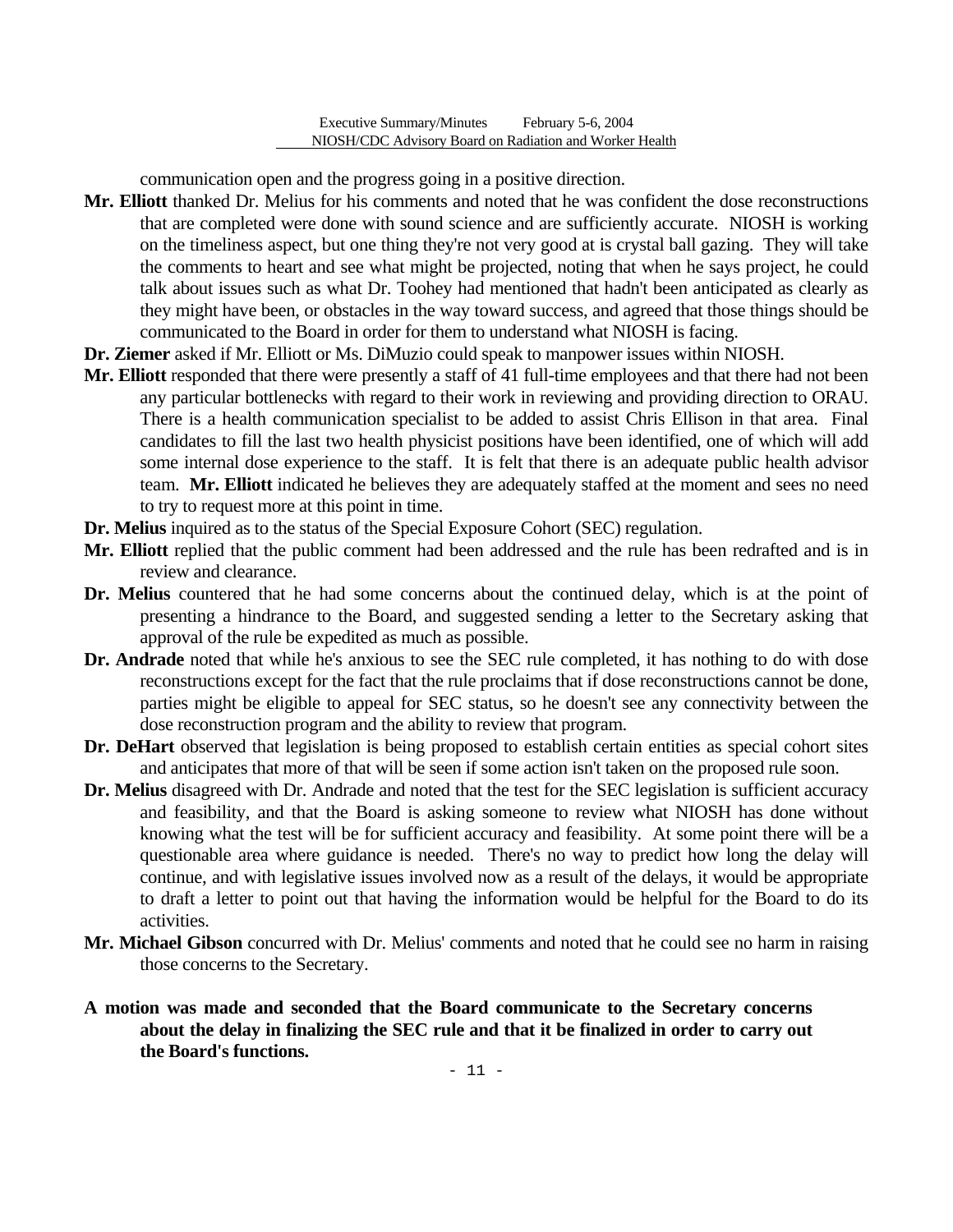communication open and the progress going in a positive direction.

- **Mr. Elliott** thanked Dr. Melius for his comments and noted that he was confident the dose reconstructions that are completed were done with sound science and are sufficiently accurate. NIOSH is working on the timeliness aspect, but one thing they're not very good at is crystal ball gazing. They will take the comments to heart and see what might be projected, noting that when he says project, he could talk about issues such as what Dr. Toohey had mentioned that hadn't been anticipated as clearly as they might have been, or obstacles in the way toward success, and agreed that those things should be communicated to the Board in order for them to understand what NIOSH is facing.
- **Dr. Ziemer** asked if Mr. Elliott or Ms. DiMuzio could speak to manpower issues within NIOSH.
- **Mr. Elliott** responded that there were presently a staff of 41 full-time employees and that there had not been any particular bottlenecks with regard to their work in reviewing and providing direction to ORAU. There is a health communication specialist to be added to assist Chris Ellison in that area. Final candidates to fill the last two health physicist positions have been identified, one of which will add some internal dose experience to the staff. It is felt that there is an adequate public health advisor team. **Mr. Elliott** indicated he believes they are adequately staffed at the moment and sees no need to try to request more at this point in time.
- **Dr. Melius** inquired as to the status of the Special Exposure Cohort (SEC) regulation.
- **Mr. Elliott** replied that the public comment had been addressed and the rule has been redrafted and is in review and clearance.
- **Dr. Melius** countered that he had some concerns about the continued delay, which is at the point of presenting a hindrance to the Board, and suggested sending a letter to the Secretary asking that approval of the rule be expedited as much as possible.
- **Dr. Andrade** noted that while he's anxious to see the SEC rule completed, it has nothing to do with dose reconstructions except for the fact that the rule proclaims that if dose reconstructions cannot be done, parties might be eligible to appeal for SEC status, so he doesn't see any connectivity between the dose reconstruction program and the ability to review that program.
- **Dr. DeHart** observed that legislation is being proposed to establish certain entities as special cohort sites and anticipates that more of that will be seen if some action isn't taken on the proposed rule soon.
- **Dr. Melius** disagreed with Dr. Andrade and noted that the test for the SEC legislation is sufficient accuracy and feasibility, and that the Board is asking someone to review what NIOSH has done without knowing what the test will be for sufficient accuracy and feasibility. At some point there will be a questionable area where guidance is needed. There's no way to predict how long the delay will continue, and with legislative issues involved now as a result of the delays, it would be appropriate to draft a letter to point out that having the information would be helpful for the Board to do its activities.
- **Mr. Michael Gibson** concurred with Dr. Melius' comments and noted that he could see no harm in raising those concerns to the Secretary.
- **A motion was made and seconded that the Board communicate to the Secretary concerns about the delay in finalizing the SEC rule and that it be finalized in order to carry out the Board's functions.**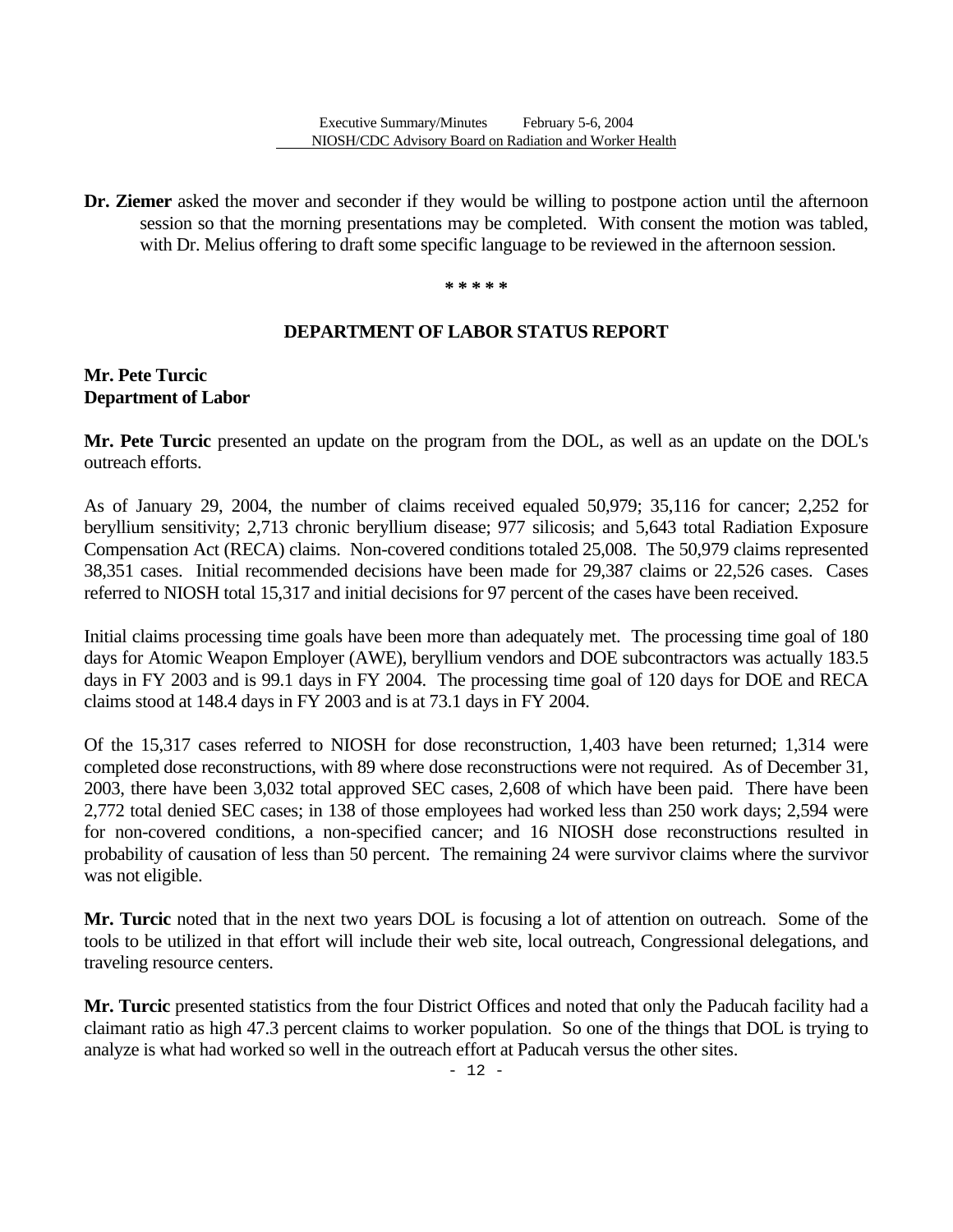**Dr. Ziemer** asked the mover and seconder if they would be willing to postpone action until the afternoon session so that the morning presentations may be completed. With consent the motion was tabled, with Dr. Melius offering to draft some specific language to be reviewed in the afternoon session.

**\* \* \* \* \*** 

### **DEPARTMENT OF LABOR STATUS REPORT**

# **Mr. Pete Turcic Department of Labor**

Mr. Pete Turcic presented an update on the program from the DOL, as well as an update on the DOL's outreach efforts.

As of January 29, 2004, the number of claims received equaled 50,979; 35,116 for cancer; 2,252 for beryllium sensitivity; 2,713 chronic beryllium disease; 977 silicosis; and 5,643 total Radiation Exposure Compensation Act (RECA) claims. Non-covered conditions totaled 25,008. The 50,979 claims represented 38,351 cases. Initial recommended decisions have been made for 29,387 claims or 22,526 cases. Cases referred to NIOSH total 15,317 and initial decisions for 97 percent of the cases have been received.

Initial claims processing time goals have been more than adequately met. The processing time goal of 180 days for Atomic Weapon Employer (AWE), beryllium vendors and DOE subcontractors was actually 183.5 days in FY 2003 and is 99.1 days in FY 2004. The processing time goal of 120 days for DOE and RECA claims stood at 148.4 days in FY 2003 and is at 73.1 days in FY 2004.

Of the 15,317 cases referred to NIOSH for dose reconstruction, 1,403 have been returned; 1,314 were completed dose reconstructions, with 89 where dose reconstructions were not required. As of December 31, 2003, there have been 3,032 total approved SEC cases, 2,608 of which have been paid. There have been 2,772 total denied SEC cases; in 138 of those employees had worked less than 250 work days; 2,594 were for non-covered conditions, a non-specified cancer; and 16 NIOSH dose reconstructions resulted in probability of causation of less than 50 percent. The remaining 24 were survivor claims where the survivor was not eligible.

**Mr. Turcic** noted that in the next two years DOL is focusing a lot of attention on outreach. Some of the tools to be utilized in that effort will include their web site, local outreach, Congressional delegations, and traveling resource centers.

**Mr. Turcic** presented statistics from the four District Offices and noted that only the Paducah facility had a claimant ratio as high 47.3 percent claims to worker population. So one of the things that DOL is trying to analyze is what had worked so well in the outreach effort at Paducah versus the other sites.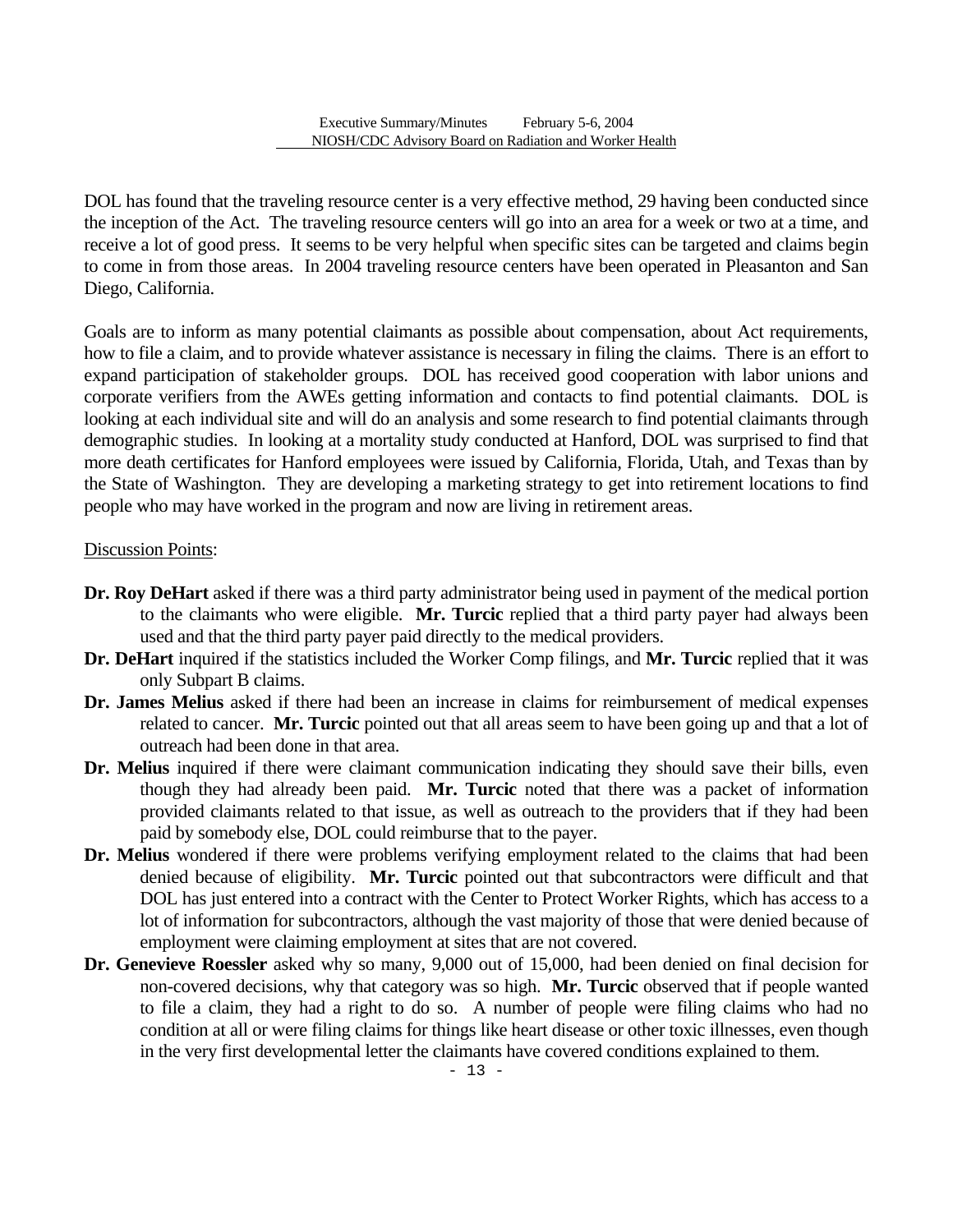DOL has found that the traveling resource center is a very effective method, 29 having been conducted since the inception of the Act. The traveling resource centers will go into an area for a week or two at a time, and receive a lot of good press. It seems to be very helpful when specific sites can be targeted and claims begin to come in from those areas. In 2004 traveling resource centers have been operated in Pleasanton and San Diego, California.

Goals are to inform as many potential claimants as possible about compensation, about Act requirements, how to file a claim, and to provide whatever assistance is necessary in filing the claims. There is an effort to expand participation of stakeholder groups. DOL has received good cooperation with labor unions and corporate verifiers from the AWEs getting information and contacts to find potential claimants. DOL is looking at each individual site and will do an analysis and some research to find potential claimants through demographic studies. In looking at a mortality study conducted at Hanford, DOL was surprised to find that more death certificates for Hanford employees were issued by California, Florida, Utah, and Texas than by the State of Washington. They are developing a marketing strategy to get into retirement locations to find people who may have worked in the program and now are living in retirement areas.

### Discussion Points:

- **Dr. Roy DeHart** asked if there was a third party administrator being used in payment of the medical portion to the claimants who were eligible. **Mr. Turcic** replied that a third party payer had always been used and that the third party payer paid directly to the medical providers.
- **Dr. DeHart** inquired if the statistics included the Worker Comp filings, and **Mr. Turcic** replied that it was only Subpart B claims.
- **Dr. James Melius** asked if there had been an increase in claims for reimbursement of medical expenses related to cancer. **Mr. Turcic** pointed out that all areas seem to have been going up and that a lot of outreach had been done in that area.
- **Dr. Melius** inquired if there were claimant communication indicating they should save their bills, even though they had already been paid. **Mr. Turcic** noted that there was a packet of information provided claimants related to that issue, as well as outreach to the providers that if they had been paid by somebody else, DOL could reimburse that to the payer.
- **Dr. Melius** wondered if there were problems verifying employment related to the claims that had been denied because of eligibility. **Mr. Turcic** pointed out that subcontractors were difficult and that DOL has just entered into a contract with the Center to Protect Worker Rights, which has access to a lot of information for subcontractors, although the vast majority of those that were denied because of employment were claiming employment at sites that are not covered.
- **Dr. Genevieve Roessler** asked why so many, 9,000 out of 15,000, had been denied on final decision for non-covered decisions, why that category was so high. **Mr. Turcic** observed that if people wanted to file a claim, they had a right to do so. A number of people were filing claims who had no condition at all or were filing claims for things like heart disease or other toxic illnesses, even though in the very first developmental letter the claimants have covered conditions explained to them.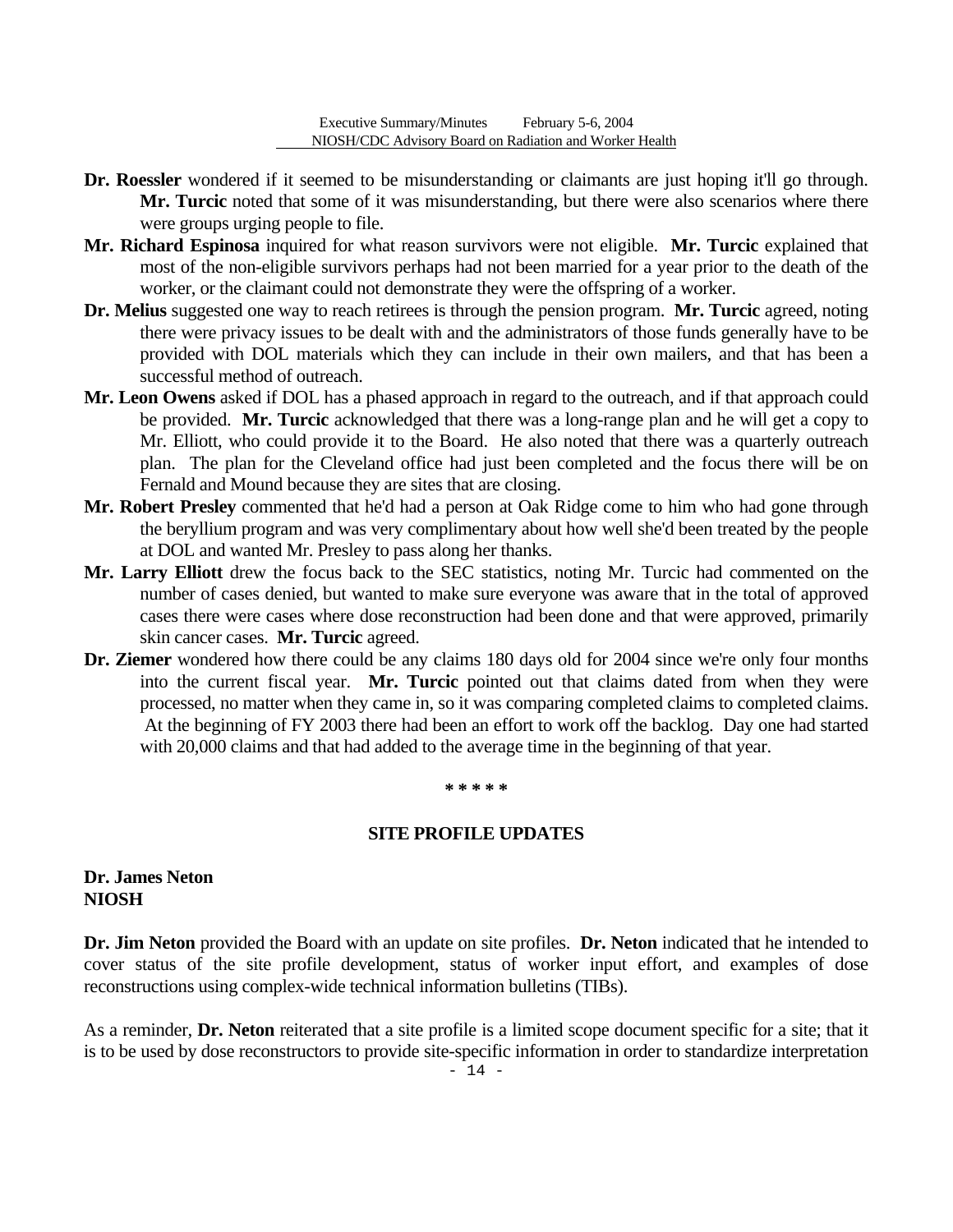- **Dr. Roessler** wondered if it seemed to be misunderstanding or claimants are just hoping it'll go through. **Mr. Turcic** noted that some of it was misunderstanding, but there were also scenarios where there were groups urging people to file.
- **Mr. Richard Espinosa** inquired for what reason survivors were not eligible. **Mr. Turcic** explained that most of the non-eligible survivors perhaps had not been married for a year prior to the death of the worker, or the claimant could not demonstrate they were the offspring of a worker.
- **Dr. Melius** suggested one way to reach retirees is through the pension program. **Mr. Turcic** agreed, noting there were privacy issues to be dealt with and the administrators of those funds generally have to be provided with DOL materials which they can include in their own mailers, and that has been a successful method of outreach.
- **Mr. Leon Owens** asked if DOL has a phased approach in regard to the outreach, and if that approach could be provided. **Mr. Turcic** acknowledged that there was a long-range plan and he will get a copy to Mr. Elliott, who could provide it to the Board. He also noted that there was a quarterly outreach plan. The plan for the Cleveland office had just been completed and the focus there will be on Fernald and Mound because they are sites that are closing.
- **Mr. Robert Presley** commented that he'd had a person at Oak Ridge come to him who had gone through the beryllium program and was very complimentary about how well she'd been treated by the people at DOL and wanted Mr. Presley to pass along her thanks.
- **Mr. Larry Elliott** drew the focus back to the SEC statistics, noting Mr. Turcic had commented on the number of cases denied, but wanted to make sure everyone was aware that in the total of approved cases there were cases where dose reconstruction had been done and that were approved, primarily skin cancer cases. **Mr. Turcic** agreed.
- **Dr. Ziemer** wondered how there could be any claims 180 days old for 2004 since we're only four months into the current fiscal year. **Mr. Turcic** pointed out that claims dated from when they were processed, no matter when they came in, so it was comparing completed claims to completed claims. At the beginning of FY 2003 there had been an effort to work off the backlog. Day one had started with 20,000 claims and that had added to the average time in the beginning of that year.

#### **\* \* \* \* \***

#### **SITE PROFILE UPDATES**

### **Dr. James Neton NIOSH**

**Dr. Jim Neton** provided the Board with an update on site profiles. **Dr. Neton** indicated that he intended to cover status of the site profile development, status of worker input effort, and examples of dose reconstructions using complex-wide technical information bulletins (TIBs).

As a reminder, **Dr. Neton** reiterated that a site profile is a limited scope document specific for a site; that it is to be used by dose reconstructors to provide site-specific information in order to standardize interpretation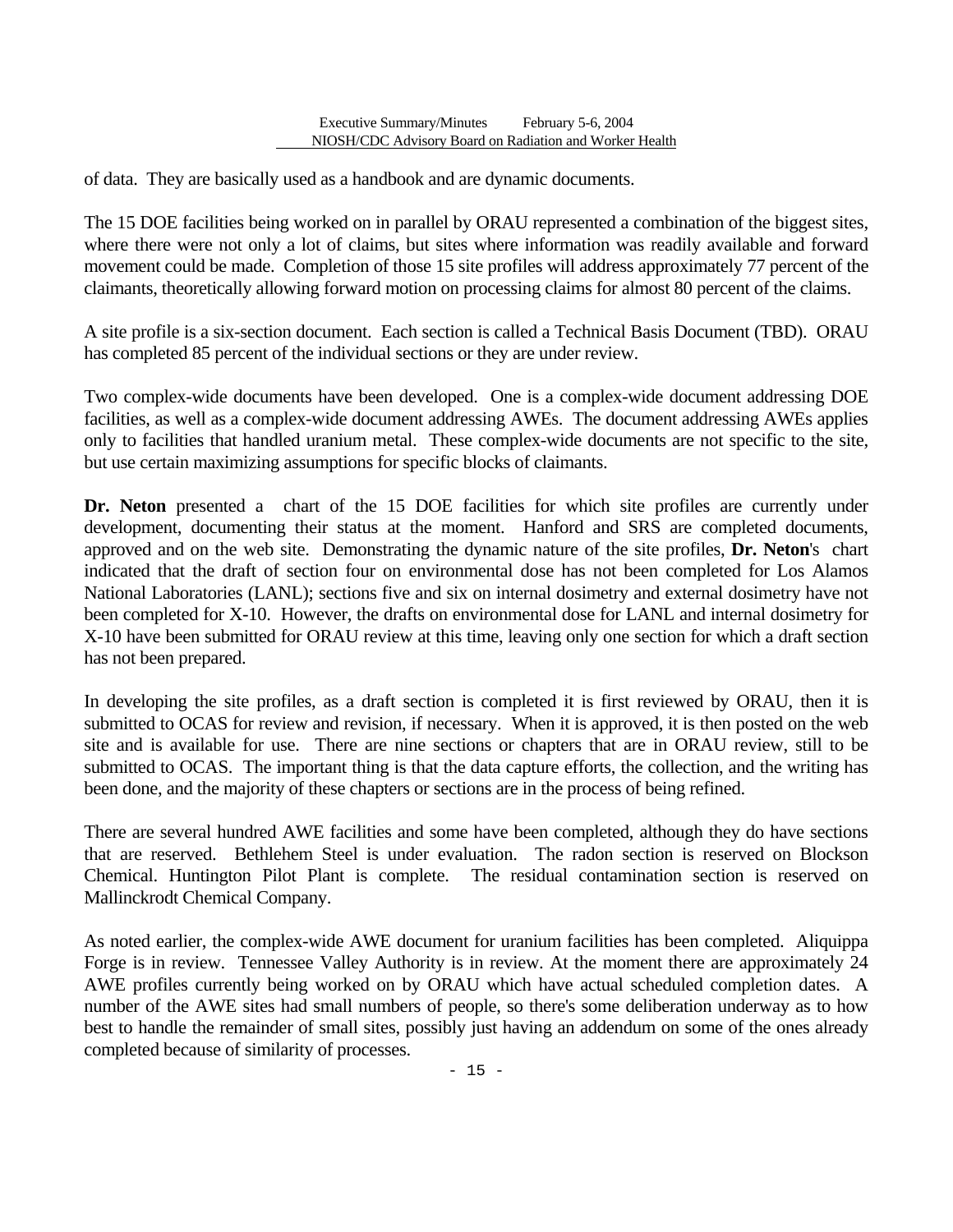of data. They are basically used as a handbook and are dynamic documents.

The 15 DOE facilities being worked on in parallel by ORAU represented a combination of the biggest sites, where there were not only a lot of claims, but sites where information was readily available and forward movement could be made. Completion of those 15 site profiles will address approximately 77 percent of the claimants, theoretically allowing forward motion on processing claims for almost 80 percent of the claims.

A site profile is a six-section document. Each section is called a Technical Basis Document (TBD). ORAU has completed 85 percent of the individual sections or they are under review.

Two complex-wide documents have been developed. One is a complex-wide document addressing DOE facilities, as well as a complex-wide document addressing AWEs. The document addressing AWEs applies only to facilities that handled uranium metal. These complex-wide documents are not specific to the site, but use certain maximizing assumptions for specific blocks of claimants.

**Dr. Neton** presented a chart of the 15 DOE facilities for which site profiles are currently under development, documenting their status at the moment. Hanford and SRS are completed documents, approved and on the web site. Demonstrating the dynamic nature of the site profiles, **Dr. Neton**'s chart indicated that the draft of section four on environmental dose has not been completed for Los Alamos National Laboratories (LANL); sections five and six on internal dosimetry and external dosimetry have not been completed for X-10. However, the drafts on environmental dose for LANL and internal dosimetry for X-10 have been submitted for ORAU review at this time, leaving only one section for which a draft section has not been prepared.

In developing the site profiles, as a draft section is completed it is first reviewed by ORAU, then it is submitted to OCAS for review and revision, if necessary. When it is approved, it is then posted on the web site and is available for use. There are nine sections or chapters that are in ORAU review, still to be submitted to OCAS. The important thing is that the data capture efforts, the collection, and the writing has been done, and the majority of these chapters or sections are in the process of being refined.

There are several hundred AWE facilities and some have been completed, although they do have sections that are reserved. Bethlehem Steel is under evaluation. The radon section is reserved on Blockson Chemical. Huntington Pilot Plant is complete. The residual contamination section is reserved on Mallinckrodt Chemical Company.

As noted earlier, the complex-wide AWE document for uranium facilities has been completed. Aliquippa Forge is in review. Tennessee Valley Authority is in review. At the moment there are approximately 24 AWE profiles currently being worked on by ORAU which have actual scheduled completion dates. A number of the AWE sites had small numbers of people, so there's some deliberation underway as to how best to handle the remainder of small sites, possibly just having an addendum on some of the ones already completed because of similarity of processes.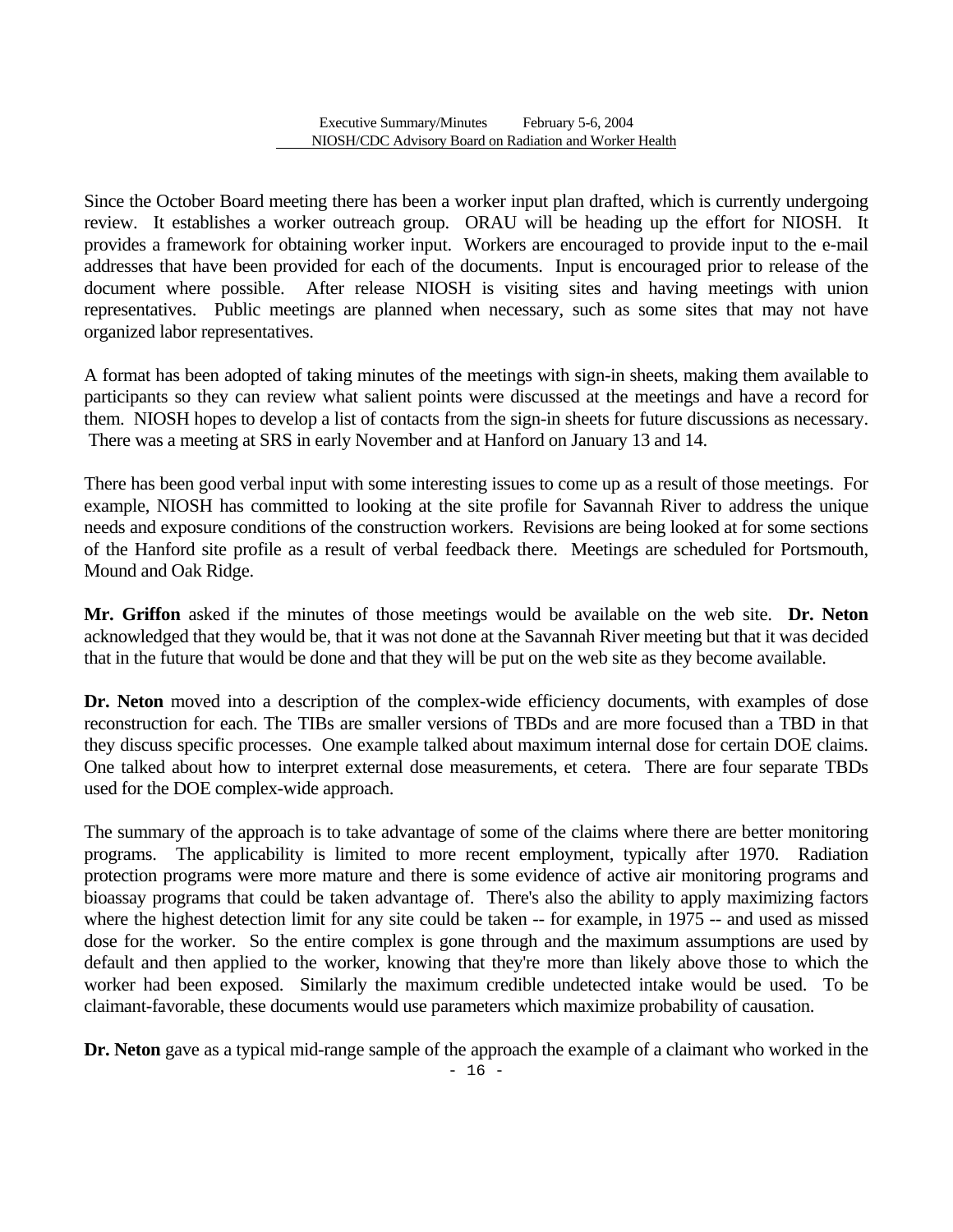Since the October Board meeting there has been a worker input plan drafted, which is currently undergoing review. It establishes a worker outreach group. ORAU will be heading up the effort for NIOSH. It provides a framework for obtaining worker input. Workers are encouraged to provide input to the e-mail addresses that have been provided for each of the documents. Input is encouraged prior to release of the document where possible. After release NIOSH is visiting sites and having meetings with union representatives. Public meetings are planned when necessary, such as some sites that may not have organized labor representatives.

A format has been adopted of taking minutes of the meetings with sign-in sheets, making them available to participants so they can review what salient points were discussed at the meetings and have a record for them. NIOSH hopes to develop a list of contacts from the sign-in sheets for future discussions as necessary. There was a meeting at SRS in early November and at Hanford on January 13 and 14.

There has been good verbal input with some interesting issues to come up as a result of those meetings. For example, NIOSH has committed to looking at the site profile for Savannah River to address the unique needs and exposure conditions of the construction workers. Revisions are being looked at for some sections of the Hanford site profile as a result of verbal feedback there. Meetings are scheduled for Portsmouth, Mound and Oak Ridge.

**Mr. Griffon** asked if the minutes of those meetings would be available on the web site. **Dr. Neton**  acknowledged that they would be, that it was not done at the Savannah River meeting but that it was decided that in the future that would be done and that they will be put on the web site as they become available.

**Dr.** Neton moved into a description of the complex-wide efficiency documents, with examples of dose reconstruction for each. The TIBs are smaller versions of TBDs and are more focused than a TBD in that they discuss specific processes. One example talked about maximum internal dose for certain DOE claims. One talked about how to interpret external dose measurements, et cetera. There are four separate TBDs used for the DOE complex-wide approach.

The summary of the approach is to take advantage of some of the claims where there are better monitoring programs. The applicability is limited to more recent employment, typically after 1970. Radiation protection programs were more mature and there is some evidence of active air monitoring programs and bioassay programs that could be taken advantage of. There's also the ability to apply maximizing factors where the highest detection limit for any site could be taken -- for example, in 1975 -- and used as missed dose for the worker. So the entire complex is gone through and the maximum assumptions are used by default and then applied to the worker, knowing that they're more than likely above those to which the worker had been exposed. Similarly the maximum credible undetected intake would be used. To be claimant-favorable, these documents would use parameters which maximize probability of causation.

**Dr. Neton** gave as a typical mid-range sample of the approach the example of a claimant who worked in the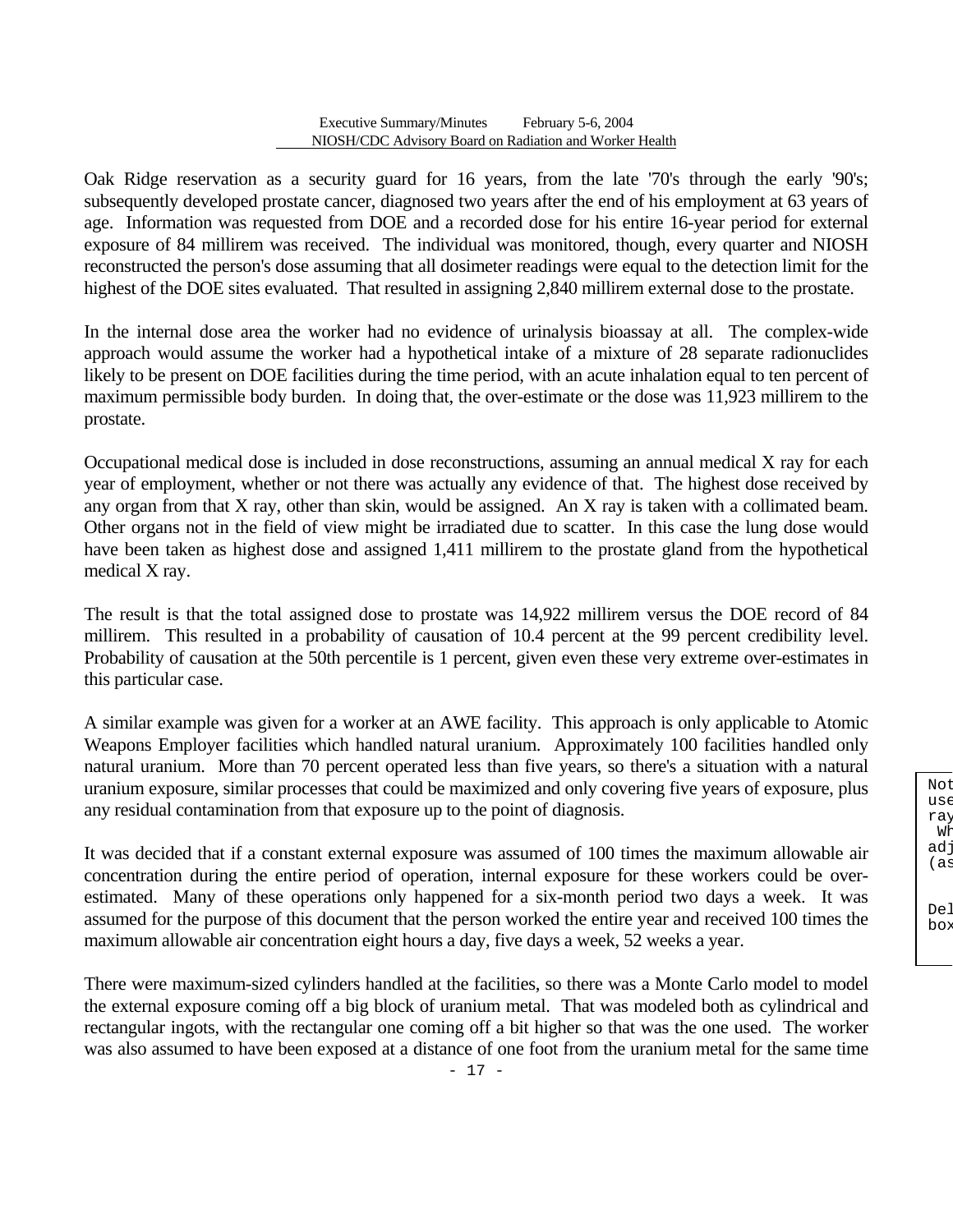Oak Ridge reservation as a security guard for 16 years, from the late '70's through the early '90's; subsequently developed prostate cancer, diagnosed two years after the end of his employment at 63 years of age. Information was requested from DOE and a recorded dose for his entire 16-year period for external exposure of 84 millirem was received. The individual was monitored, though, every quarter and NIOSH reconstructed the person's dose assuming that all dosimeter readings were equal to the detection limit for the highest of the DOE sites evaluated. That resulted in assigning 2,840 millirem external dose to the prostate.

In the internal dose area the worker had no evidence of urinalysis bioassay at all. The complex-wide approach would assume the worker had a hypothetical intake of a mixture of 28 separate radionuclides likely to be present on DOE facilities during the time period, with an acute inhalation equal to ten percent of maximum permissible body burden. In doing that, the over-estimate or the dose was 11,923 millirem to the prostate.

Occupational medical dose is included in dose reconstructions, assuming an annual medical X ray for each year of employment, whether or not there was actually any evidence of that. The highest dose received by any organ from that X ray, other than skin, would be assigned. An X ray is taken with a collimated beam. Other organs not in the field of view might be irradiated due to scatter. In this case the lung dose would have been taken as highest dose and assigned 1,411 millirem to the prostate gland from the hypothetical medical X ray.

The result is that the total assigned dose to prostate was 14,922 millirem versus the DOE record of 84 millirem. This resulted in a probability of causation of 10.4 percent at the 99 percent credibility level. Probability of causation at the 50th percentile is 1 percent, given even these very extreme over-estimates in this particular case.

A similar example was given for a worker at an AWE facility. This approach is only applicable to Atomic Weapons Employer facilities which handled natural uranium. Approximately 100 facilities handled only natural uranium. More than 70 percent operated less than five years, so there's a situation with a natural uranium exposure, similar processes that could be maximized and only covering five years of exposure, plus any residual contamination from that exposure up to the point of diagnosis.

It was decided that if a constant external exposure was assumed of 100 times the maximum allowable air concentration during the entire period of operation, internal exposure for these workers could be overestimated. Many of these operations only happened for a six-month period two days a week. It was assumed for the purpose of this document that the person worked the entire year and received 100 times the maximum allowable air concentration eight hours a day, five days a week, 52 weeks a year.

There were maximum-sized cylinders handled at the facilities, so there was a Monte Carlo model to model the external exposure coming off a big block of uranium metal. That was modeled both as cylindrical and rectangular ingots, with the rectangular one coming off a bit higher so that was the one used. The worker was also assumed to have been exposed at a distance of one foot from the uranium metal for the same time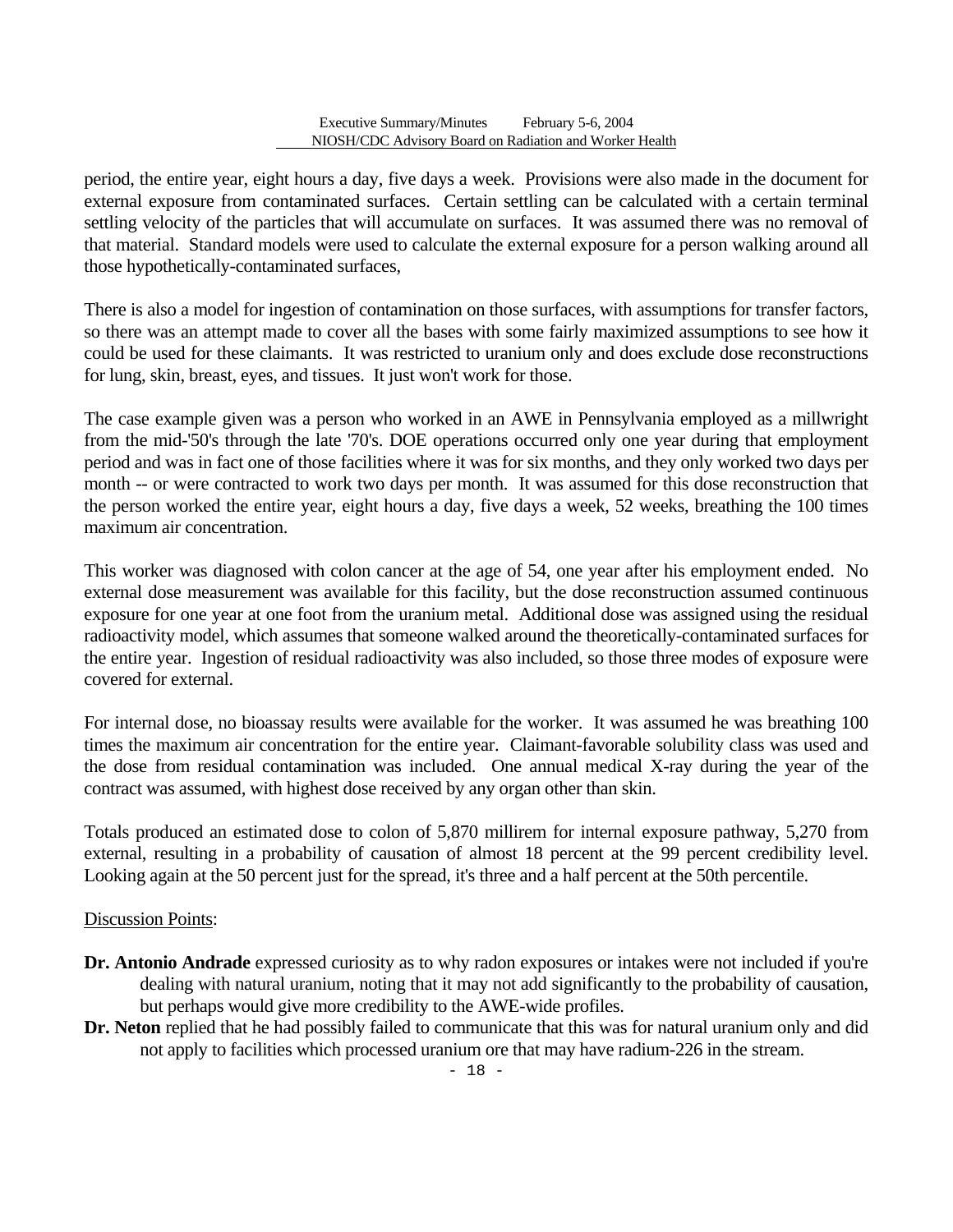period, the entire year, eight hours a day, five days a week. Provisions were also made in the document for external exposure from contaminated surfaces. Certain settling can be calculated with a certain terminal settling velocity of the particles that will accumulate on surfaces. It was assumed there was no removal of that material. Standard models were used to calculate the external exposure for a person walking around all those hypothetically-contaminated surfaces,

There is also a model for ingestion of contamination on those surfaces, with assumptions for transfer factors, so there was an attempt made to cover all the bases with some fairly maximized assumptions to see how it could be used for these claimants. It was restricted to uranium only and does exclude dose reconstructions for lung, skin, breast, eyes, and tissues. It just won't work for those.

The case example given was a person who worked in an AWE in Pennsylvania employed as a millwright from the mid-'50's through the late '70's. DOE operations occurred only one year during that employment period and was in fact one of those facilities where it was for six months, and they only worked two days per month -- or were contracted to work two days per month. It was assumed for this dose reconstruction that the person worked the entire year, eight hours a day, five days a week, 52 weeks, breathing the 100 times maximum air concentration.

This worker was diagnosed with colon cancer at the age of 54, one year after his employment ended. No external dose measurement was available for this facility, but the dose reconstruction assumed continuous exposure for one year at one foot from the uranium metal. Additional dose was assigned using the residual radioactivity model, which assumes that someone walked around the theoretically-contaminated surfaces for the entire year. Ingestion of residual radioactivity was also included, so those three modes of exposure were covered for external.

For internal dose, no bioassay results were available for the worker. It was assumed he was breathing 100 times the maximum air concentration for the entire year. Claimant-favorable solubility class was used and the dose from residual contamination was included. One annual medical X-ray during the year of the contract was assumed, with highest dose received by any organ other than skin.

Totals produced an estimated dose to colon of 5,870 millirem for internal exposure pathway, 5,270 from external, resulting in a probability of causation of almost 18 percent at the 99 percent credibility level. Looking again at the 50 percent just for the spread, it's three and a half percent at the 50th percentile.

### Discussion Points:

- **Dr. Antonio Andrade** expressed curiosity as to why radon exposures or intakes were not included if you're dealing with natural uranium, noting that it may not add significantly to the probability of causation, but perhaps would give more credibility to the AWE-wide profiles.
- **Dr. Neton** replied that he had possibly failed to communicate that this was for natural uranium only and did not apply to facilities which processed uranium ore that may have radium-226 in the stream.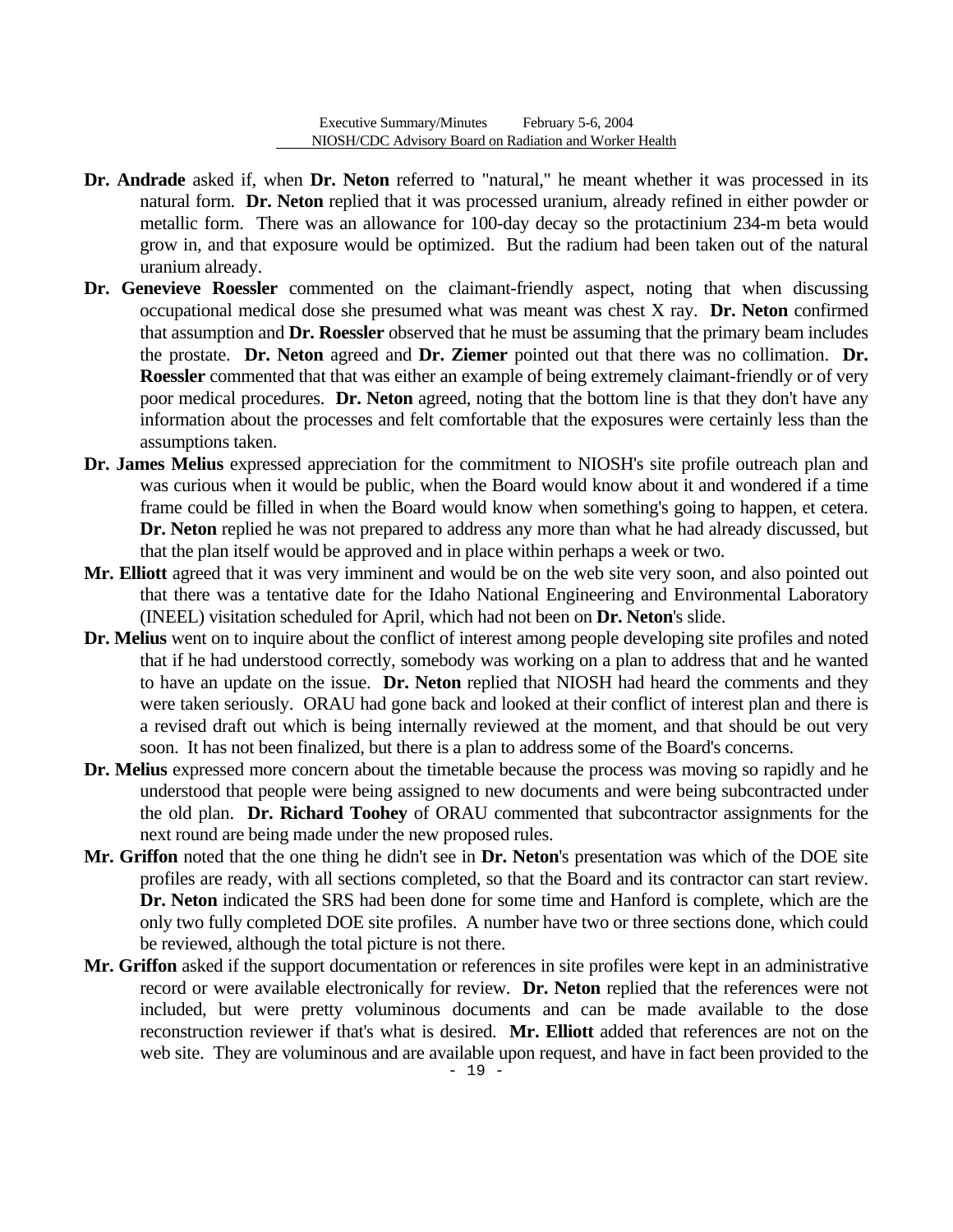- **Dr. Andrade** asked if, when **Dr. Neton** referred to "natural," he meant whether it was processed in its natural form. **Dr. Neton** replied that it was processed uranium, already refined in either powder or metallic form. There was an allowance for 100-day decay so the protactinium 234-m beta would grow in, and that exposure would be optimized. But the radium had been taken out of the natural uranium already.
- **Dr. Genevieve Roessler** commented on the claimant-friendly aspect, noting that when discussing occupational medical dose she presumed what was meant was chest X ray. **Dr. Neton** confirmed that assumption and **Dr. Roessler** observed that he must be assuming that the primary beam includes the prostate. **Dr. Neton** agreed and **Dr. Ziemer** pointed out that there was no collimation. **Dr. Roessler** commented that that was either an example of being extremely claimant-friendly or of very poor medical procedures. **Dr. Neton** agreed, noting that the bottom line is that they don't have any information about the processes and felt comfortable that the exposures were certainly less than the assumptions taken.
- **Dr. James Melius** expressed appreciation for the commitment to NIOSH's site profile outreach plan and was curious when it would be public, when the Board would know about it and wondered if a time frame could be filled in when the Board would know when something's going to happen, et cetera. **Dr. Neton** replied he was not prepared to address any more than what he had already discussed, but that the plan itself would be approved and in place within perhaps a week or two.
- **Mr. Elliott** agreed that it was very imminent and would be on the web site very soon, and also pointed out that there was a tentative date for the Idaho National Engineering and Environmental Laboratory (INEEL) visitation scheduled for April, which had not been on **Dr. Neton**'s slide.
- **Dr. Melius** went on to inquire about the conflict of interest among people developing site profiles and noted that if he had understood correctly, somebody was working on a plan to address that and he wanted to have an update on the issue. **Dr. Neton** replied that NIOSH had heard the comments and they were taken seriously. ORAU had gone back and looked at their conflict of interest plan and there is a revised draft out which is being internally reviewed at the moment, and that should be out very soon. It has not been finalized, but there is a plan to address some of the Board's concerns.
- **Dr. Melius** expressed more concern about the timetable because the process was moving so rapidly and he understood that people were being assigned to new documents and were being subcontracted under the old plan. **Dr. Richard Toohey** of ORAU commented that subcontractor assignments for the next round are being made under the new proposed rules.
- **Mr. Griffon** noted that the one thing he didn't see in **Dr. Neton**'s presentation was which of the DOE site profiles are ready, with all sections completed, so that the Board and its contractor can start review. **Dr. Neton** indicated the SRS had been done for some time and Hanford is complete, which are the only two fully completed DOE site profiles. A number have two or three sections done, which could be reviewed, although the total picture is not there.
- **Mr. Griffon** asked if the support documentation or references in site profiles were kept in an administrative record or were available electronically for review. **Dr. Neton** replied that the references were not included, but were pretty voluminous documents and can be made available to the dose reconstruction reviewer if that's what is desired. **Mr. Elliott** added that references are not on the web site. They are voluminous and are available upon request, and have in fact been provided to the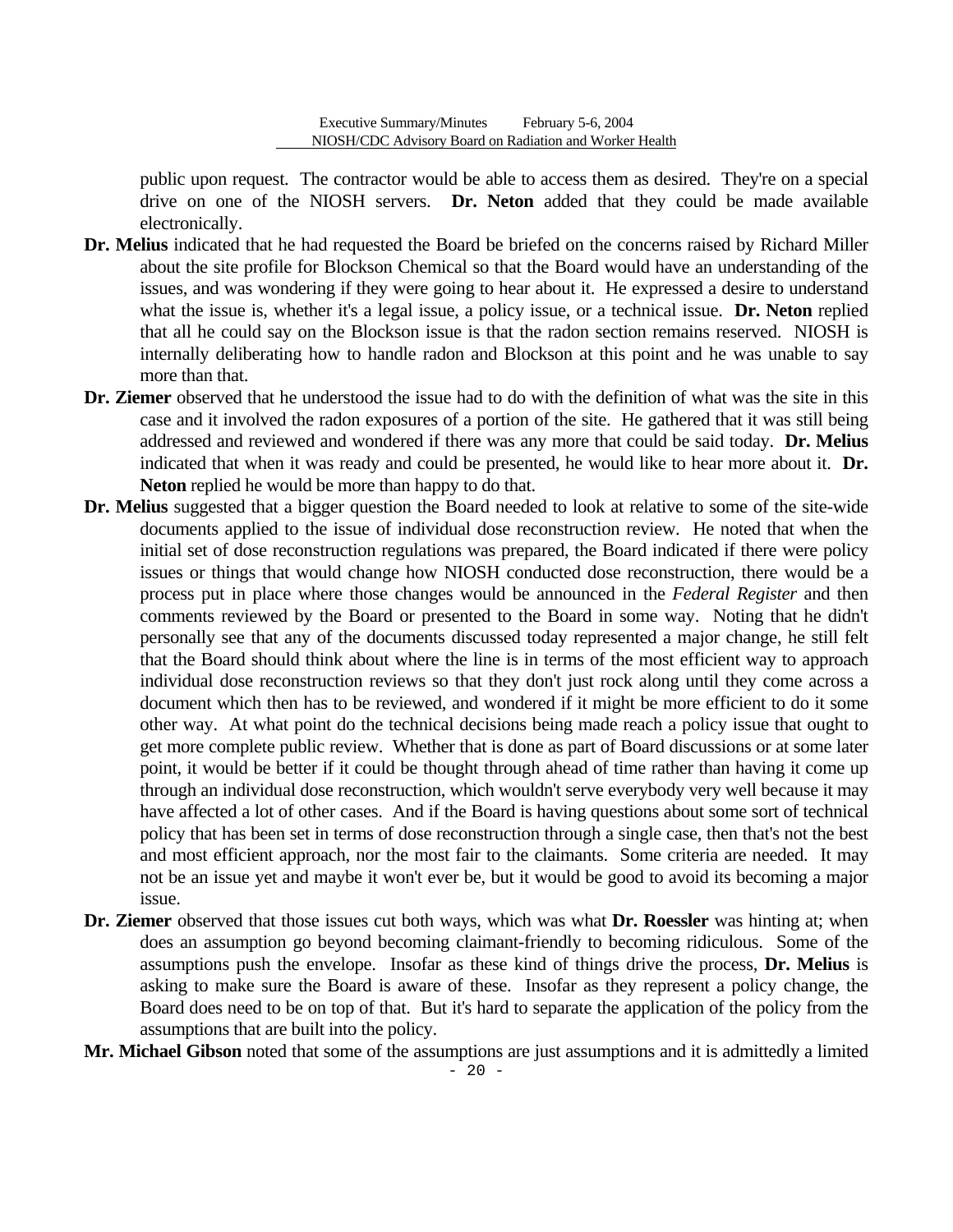public upon request. The contractor would be able to access them as desired. They're on a special drive on one of the NIOSH servers. **Dr. Neton** added that they could be made available electronically.

- **Dr. Melius** indicated that he had requested the Board be briefed on the concerns raised by Richard Miller about the site profile for Blockson Chemical so that the Board would have an understanding of the issues, and was wondering if they were going to hear about it. He expressed a desire to understand what the issue is, whether it's a legal issue, a policy issue, or a technical issue. **Dr. Neton** replied that all he could say on the Blockson issue is that the radon section remains reserved. NIOSH is internally deliberating how to handle radon and Blockson at this point and he was unable to say more than that.
- **Dr. Ziemer** observed that he understood the issue had to do with the definition of what was the site in this case and it involved the radon exposures of a portion of the site. He gathered that it was still being addressed and reviewed and wondered if there was any more that could be said today. **Dr. Melius**  indicated that when it was ready and could be presented, he would like to hear more about it. **Dr. Neton** replied he would be more than happy to do that.
- **Dr. Melius** suggested that a bigger question the Board needed to look at relative to some of the site-wide documents applied to the issue of individual dose reconstruction review. He noted that when the initial set of dose reconstruction regulations was prepared, the Board indicated if there were policy issues or things that would change how NIOSH conducted dose reconstruction, there would be a process put in place where those changes would be announced in the *Federal Register* and then comments reviewed by the Board or presented to the Board in some way. Noting that he didn't personally see that any of the documents discussed today represented a major change, he still felt that the Board should think about where the line is in terms of the most efficient way to approach individual dose reconstruction reviews so that they don't just rock along until they come across a document which then has to be reviewed, and wondered if it might be more efficient to do it some other way. At what point do the technical decisions being made reach a policy issue that ought to get more complete public review. Whether that is done as part of Board discussions or at some later point, it would be better if it could be thought through ahead of time rather than having it come up through an individual dose reconstruction, which wouldn't serve everybody very well because it may have affected a lot of other cases. And if the Board is having questions about some sort of technical policy that has been set in terms of dose reconstruction through a single case, then that's not the best and most efficient approach, nor the most fair to the claimants. Some criteria are needed. It may not be an issue yet and maybe it won't ever be, but it would be good to avoid its becoming a major issue.
- **Dr. Ziemer** observed that those issues cut both ways, which was what **Dr. Roessler** was hinting at; when does an assumption go beyond becoming claimant-friendly to becoming ridiculous. Some of the assumptions push the envelope. Insofar as these kind of things drive the process, **Dr. Melius** is asking to make sure the Board is aware of these. Insofar as they represent a policy change, the Board does need to be on top of that. But it's hard to separate the application of the policy from the assumptions that are built into the policy.
- **Mr. Michael Gibson** noted that some of the assumptions are just assumptions and it is admittedly a limited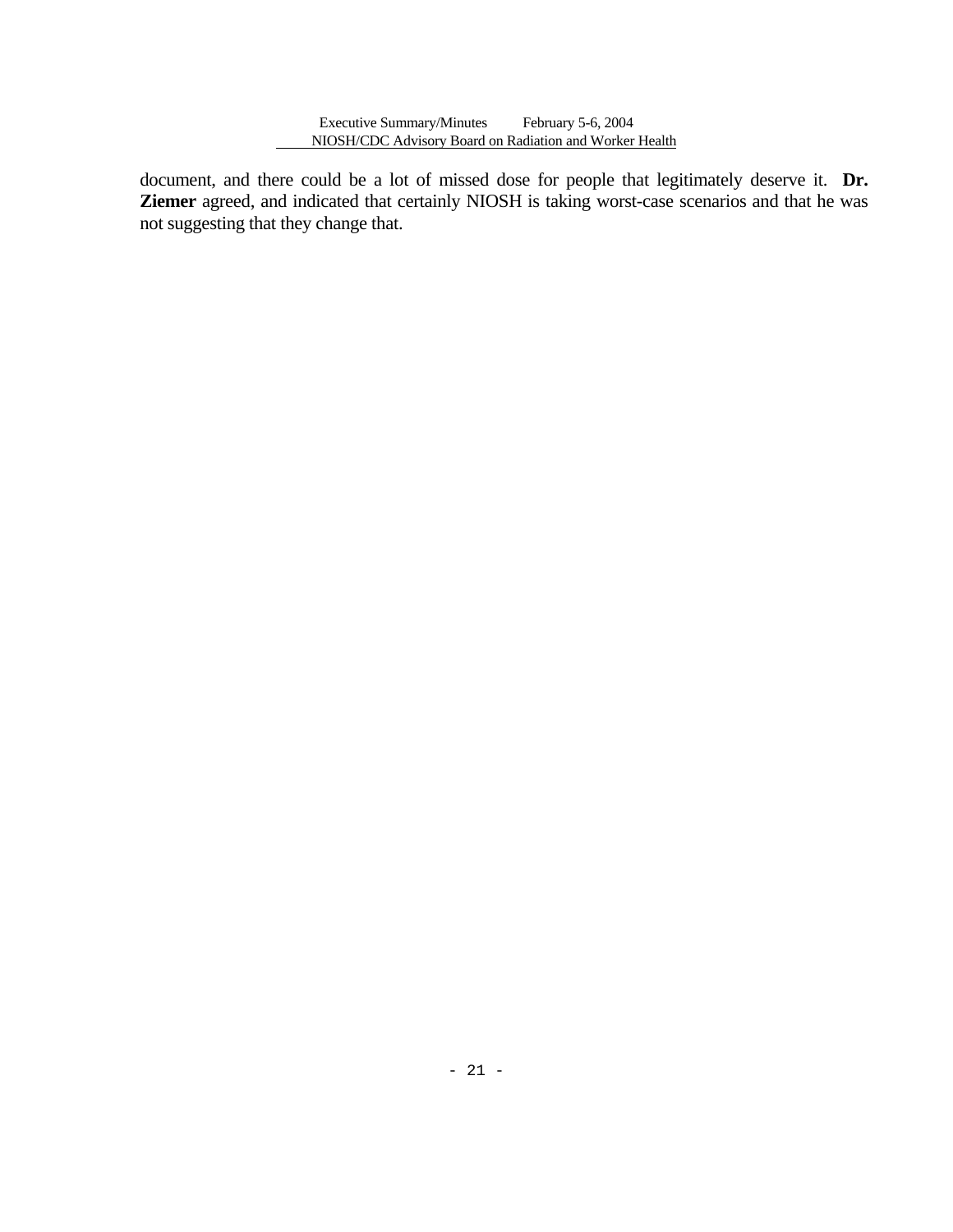document, and there could be a lot of missed dose for people that legitimately deserve it. **Dr. Ziemer** agreed, and indicated that certainly NIOSH is taking worst-case scenarios and that he was not suggesting that they change that.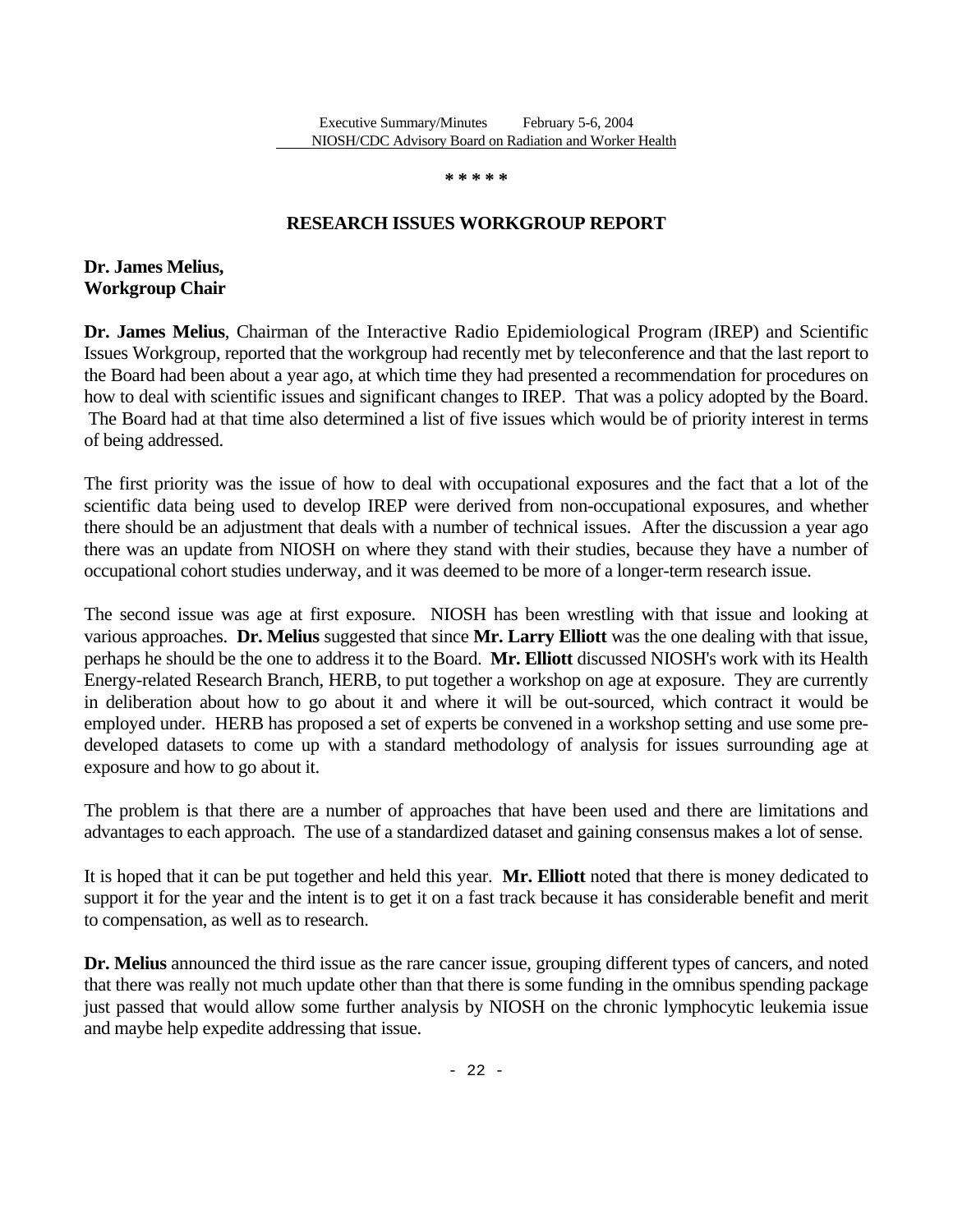**\* \* \* \* \*** 

### **RESEARCH ISSUES WORKGROUP REPORT**

**Dr. James Melius, Workgroup Chair** 

**Dr. James Melius**, Chairman of the Interactive Radio Epidemiological Program (IREP) and Scientific Issues Workgroup, reported that the workgroup had recently met by teleconference and that the last report to the Board had been about a year ago, at which time they had presented a recommendation for procedures on how to deal with scientific issues and significant changes to IREP. That was a policy adopted by the Board. The Board had at that time also determined a list of five issues which would be of priority interest in terms of being addressed.

The first priority was the issue of how to deal with occupational exposures and the fact that a lot of the scientific data being used to develop IREP were derived from non-occupational exposures, and whether there should be an adjustment that deals with a number of technical issues. After the discussion a year ago there was an update from NIOSH on where they stand with their studies, because they have a number of occupational cohort studies underway, and it was deemed to be more of a longer-term research issue.

The second issue was age at first exposure. NIOSH has been wrestling with that issue and looking at various approaches. **Dr. Melius** suggested that since **Mr. Larry Elliott** was the one dealing with that issue, perhaps he should be the one to address it to the Board. **Mr. Elliott** discussed NIOSH's work with its Health Energy-related Research Branch, HERB, to put together a workshop on age at exposure. They are currently in deliberation about how to go about it and where it will be out-sourced, which contract it would be employed under. HERB has proposed a set of experts be convened in a workshop setting and use some predeveloped datasets to come up with a standard methodology of analysis for issues surrounding age at exposure and how to go about it.

The problem is that there are a number of approaches that have been used and there are limitations and advantages to each approach. The use of a standardized dataset and gaining consensus makes a lot of sense.

It is hoped that it can be put together and held this year. **Mr. Elliott** noted that there is money dedicated to support it for the year and the intent is to get it on a fast track because it has considerable benefit and merit to compensation, as well as to research.

**Dr. Melius** announced the third issue as the rare cancer issue, grouping different types of cancers, and noted that there was really not much update other than that there is some funding in the omnibus spending package just passed that would allow some further analysis by NIOSH on the chronic lymphocytic leukemia issue and maybe help expedite addressing that issue.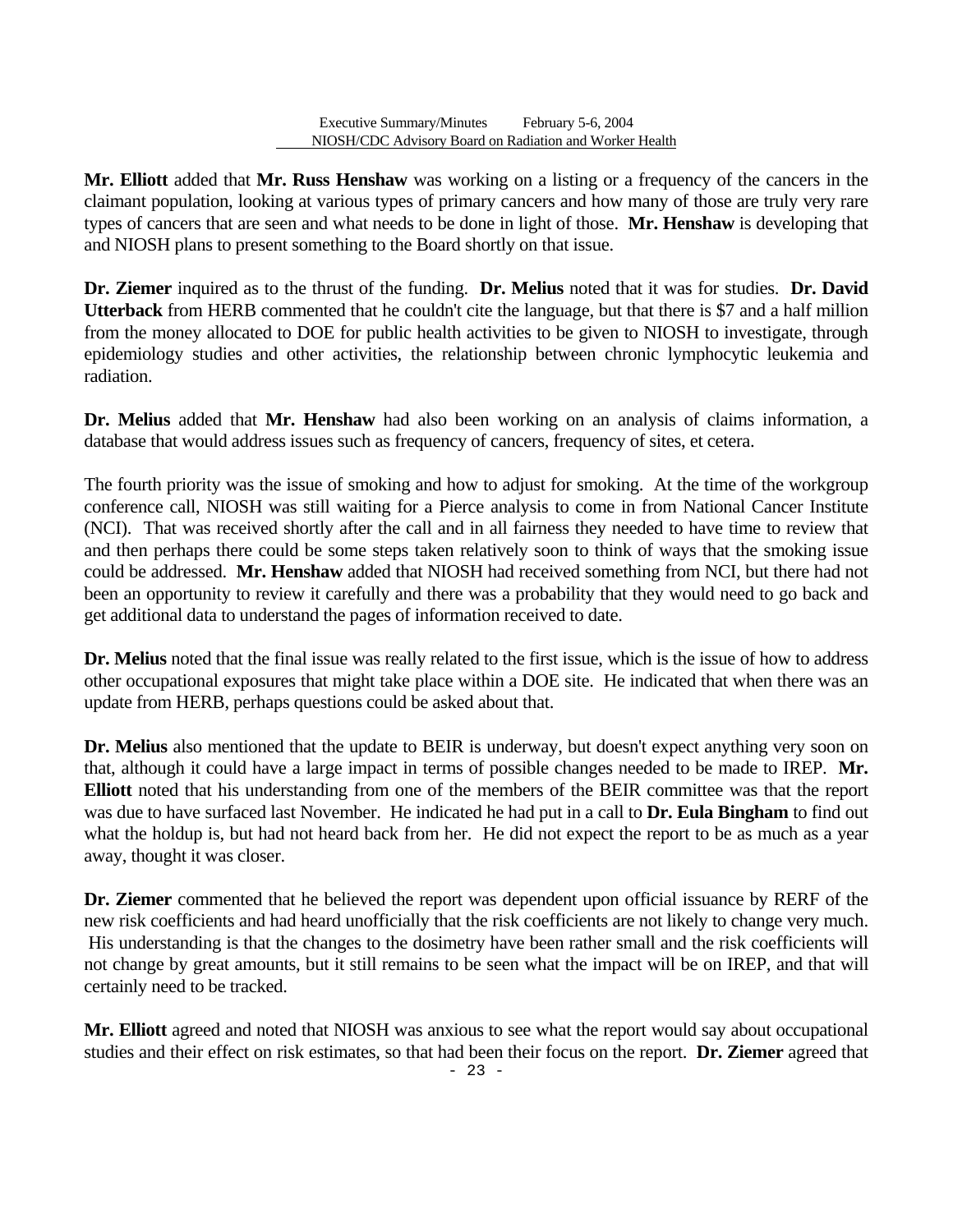**Mr. Elliott** added that **Mr. Russ Henshaw** was working on a listing or a frequency of the cancers in the claimant population, looking at various types of primary cancers and how many of those are truly very rare types of cancers that are seen and what needs to be done in light of those. **Mr. Henshaw** is developing that and NIOSH plans to present something to the Board shortly on that issue.

**Dr. Ziemer** inquired as to the thrust of the funding. **Dr. Melius** noted that it was for studies. **Dr. David Utterback** from HERB commented that he couldn't cite the language, but that there is \$7 and a half million from the money allocated to DOE for public health activities to be given to NIOSH to investigate, through epidemiology studies and other activities, the relationship between chronic lymphocytic leukemia and radiation.

**Dr. Melius** added that **Mr. Henshaw** had also been working on an analysis of claims information, a database that would address issues such as frequency of cancers, frequency of sites, et cetera.

The fourth priority was the issue of smoking and how to adjust for smoking. At the time of the workgroup conference call, NIOSH was still waiting for a Pierce analysis to come in from National Cancer Institute (NCI). That was received shortly after the call and in all fairness they needed to have time to review that and then perhaps there could be some steps taken relatively soon to think of ways that the smoking issue could be addressed. **Mr. Henshaw** added that NIOSH had received something from NCI, but there had not been an opportunity to review it carefully and there was a probability that they would need to go back and get additional data to understand the pages of information received to date.

**Dr. Melius** noted that the final issue was really related to the first issue, which is the issue of how to address other occupational exposures that might take place within a DOE site. He indicated that when there was an update from HERB, perhaps questions could be asked about that.

**Dr. Melius** also mentioned that the update to BEIR is underway, but doesn't expect anything very soon on that, although it could have a large impact in terms of possible changes needed to be made to IREP. **Mr. Elliott** noted that his understanding from one of the members of the BEIR committee was that the report was due to have surfaced last November. He indicated he had put in a call to **Dr. Eula Bingham** to find out what the holdup is, but had not heard back from her. He did not expect the report to be as much as a year away, thought it was closer.

**Dr. Ziemer** commented that he believed the report was dependent upon official issuance by RERF of the new risk coefficients and had heard unofficially that the risk coefficients are not likely to change very much. His understanding is that the changes to the dosimetry have been rather small and the risk coefficients will not change by great amounts, but it still remains to be seen what the impact will be on IREP, and that will certainly need to be tracked.

**Mr. Elliott** agreed and noted that NIOSH was anxious to see what the report would say about occupational studies and their effect on risk estimates, so that had been their focus on the report. **Dr. Ziemer** agreed that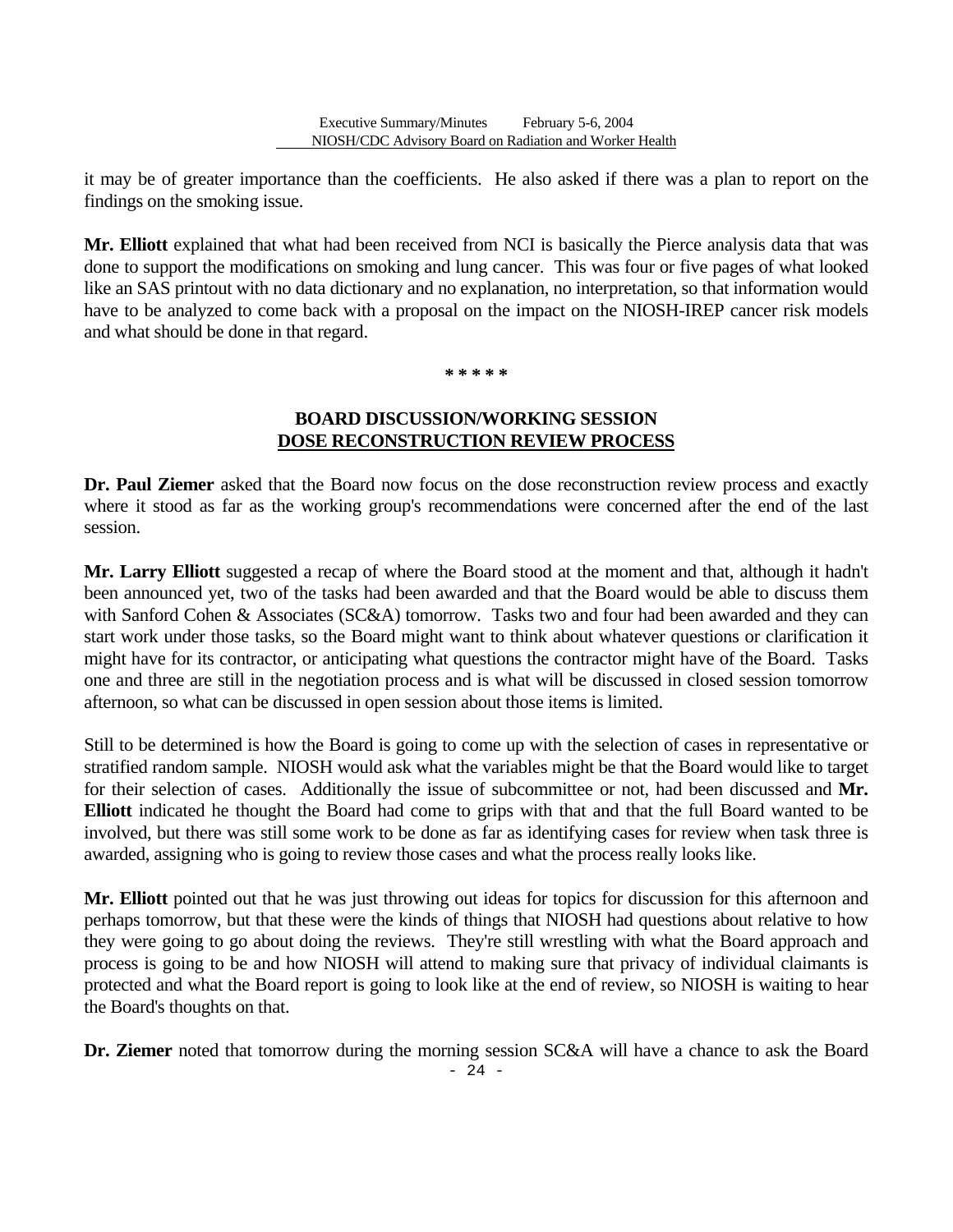it may be of greater importance than the coefficients. He also asked if there was a plan to report on the findings on the smoking issue.

**Mr. Elliott** explained that what had been received from NCI is basically the Pierce analysis data that was done to support the modifications on smoking and lung cancer. This was four or five pages of what looked like an SAS printout with no data dictionary and no explanation, no interpretation, so that information would have to be analyzed to come back with a proposal on the impact on the NIOSH-IREP cancer risk models and what should be done in that regard.

#### **\* \* \* \* \***

### **BOARD DISCUSSION/WORKING SESSION DOSE RECONSTRUCTION REVIEW PROCESS**

**Dr. Paul Ziemer** asked that the Board now focus on the dose reconstruction review process and exactly where it stood as far as the working group's recommendations were concerned after the end of the last session.

**Mr. Larry Elliott** suggested a recap of where the Board stood at the moment and that, although it hadn't been announced yet, two of the tasks had been awarded and that the Board would be able to discuss them with Sanford Cohen & Associates (SC&A) tomorrow. Tasks two and four had been awarded and they can start work under those tasks, so the Board might want to think about whatever questions or clarification it might have for its contractor, or anticipating what questions the contractor might have of the Board. Tasks one and three are still in the negotiation process and is what will be discussed in closed session tomorrow afternoon, so what can be discussed in open session about those items is limited.

Still to be determined is how the Board is going to come up with the selection of cases in representative or stratified random sample. NIOSH would ask what the variables might be that the Board would like to target for their selection of cases. Additionally the issue of subcommittee or not, had been discussed and **Mr. Elliott** indicated he thought the Board had come to grips with that and that the full Board wanted to be involved, but there was still some work to be done as far as identifying cases for review when task three is awarded, assigning who is going to review those cases and what the process really looks like.

**Mr. Elliott** pointed out that he was just throwing out ideas for topics for discussion for this afternoon and perhaps tomorrow, but that these were the kinds of things that NIOSH had questions about relative to how they were going to go about doing the reviews. They're still wrestling with what the Board approach and process is going to be and how NIOSH will attend to making sure that privacy of individual claimants is protected and what the Board report is going to look like at the end of review, so NIOSH is waiting to hear the Board's thoughts on that.

**Dr. Ziemer** noted that tomorrow during the morning session SC&A will have a chance to ask the Board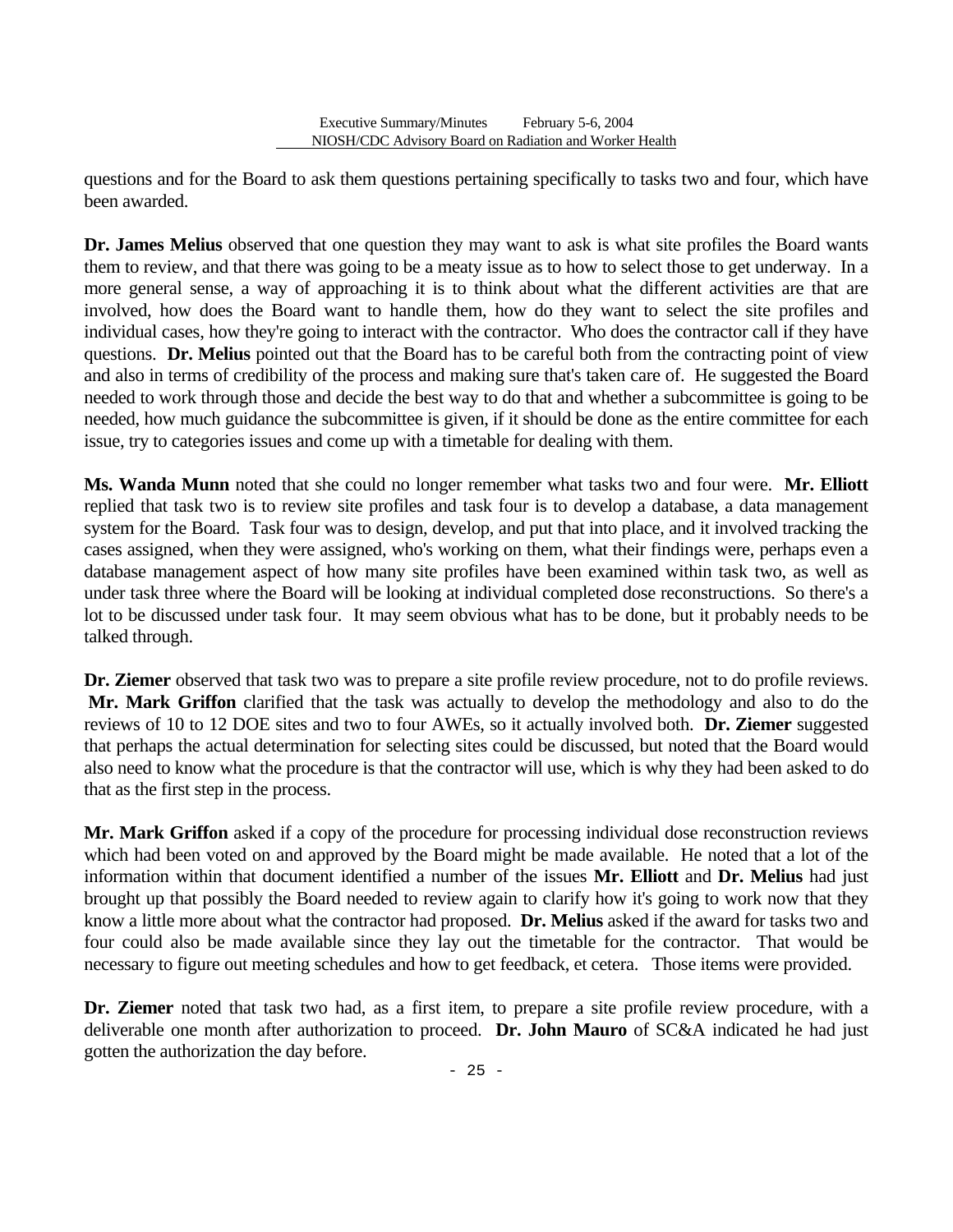questions and for the Board to ask them questions pertaining specifically to tasks two and four, which have been awarded.

**Dr. James Melius** observed that one question they may want to ask is what site profiles the Board wants them to review, and that there was going to be a meaty issue as to how to select those to get underway. In a more general sense, a way of approaching it is to think about what the different activities are that are involved, how does the Board want to handle them, how do they want to select the site profiles and individual cases, how they're going to interact with the contractor. Who does the contractor call if they have questions. **Dr. Melius** pointed out that the Board has to be careful both from the contracting point of view and also in terms of credibility of the process and making sure that's taken care of. He suggested the Board needed to work through those and decide the best way to do that and whether a subcommittee is going to be needed, how much guidance the subcommittee is given, if it should be done as the entire committee for each issue, try to categories issues and come up with a timetable for dealing with them.

**Ms. Wanda Munn** noted that she could no longer remember what tasks two and four were. **Mr. Elliott**  replied that task two is to review site profiles and task four is to develop a database, a data management system for the Board. Task four was to design, develop, and put that into place, and it involved tracking the cases assigned, when they were assigned, who's working on them, what their findings were, perhaps even a database management aspect of how many site profiles have been examined within task two, as well as under task three where the Board will be looking at individual completed dose reconstructions. So there's a lot to be discussed under task four. It may seem obvious what has to be done, but it probably needs to be talked through.

**Dr. Ziemer** observed that task two was to prepare a site profile review procedure, not to do profile reviews. **Mr. Mark Griffon** clarified that the task was actually to develop the methodology and also to do the reviews of 10 to 12 DOE sites and two to four AWEs, so it actually involved both. **Dr. Ziemer** suggested that perhaps the actual determination for selecting sites could be discussed, but noted that the Board would also need to know what the procedure is that the contractor will use, which is why they had been asked to do that as the first step in the process.

**Mr. Mark Griffon** asked if a copy of the procedure for processing individual dose reconstruction reviews which had been voted on and approved by the Board might be made available. He noted that a lot of the information within that document identified a number of the issues **Mr. Elliott** and **Dr. Melius** had just brought up that possibly the Board needed to review again to clarify how it's going to work now that they know a little more about what the contractor had proposed. **Dr. Melius** asked if the award for tasks two and four could also be made available since they lay out the timetable for the contractor. That would be necessary to figure out meeting schedules and how to get feedback, et cetera. Those items were provided.

**Dr. Ziemer** noted that task two had, as a first item, to prepare a site profile review procedure, with a deliverable one month after authorization to proceed. **Dr. John Mauro** of SC&A indicated he had just gotten the authorization the day before.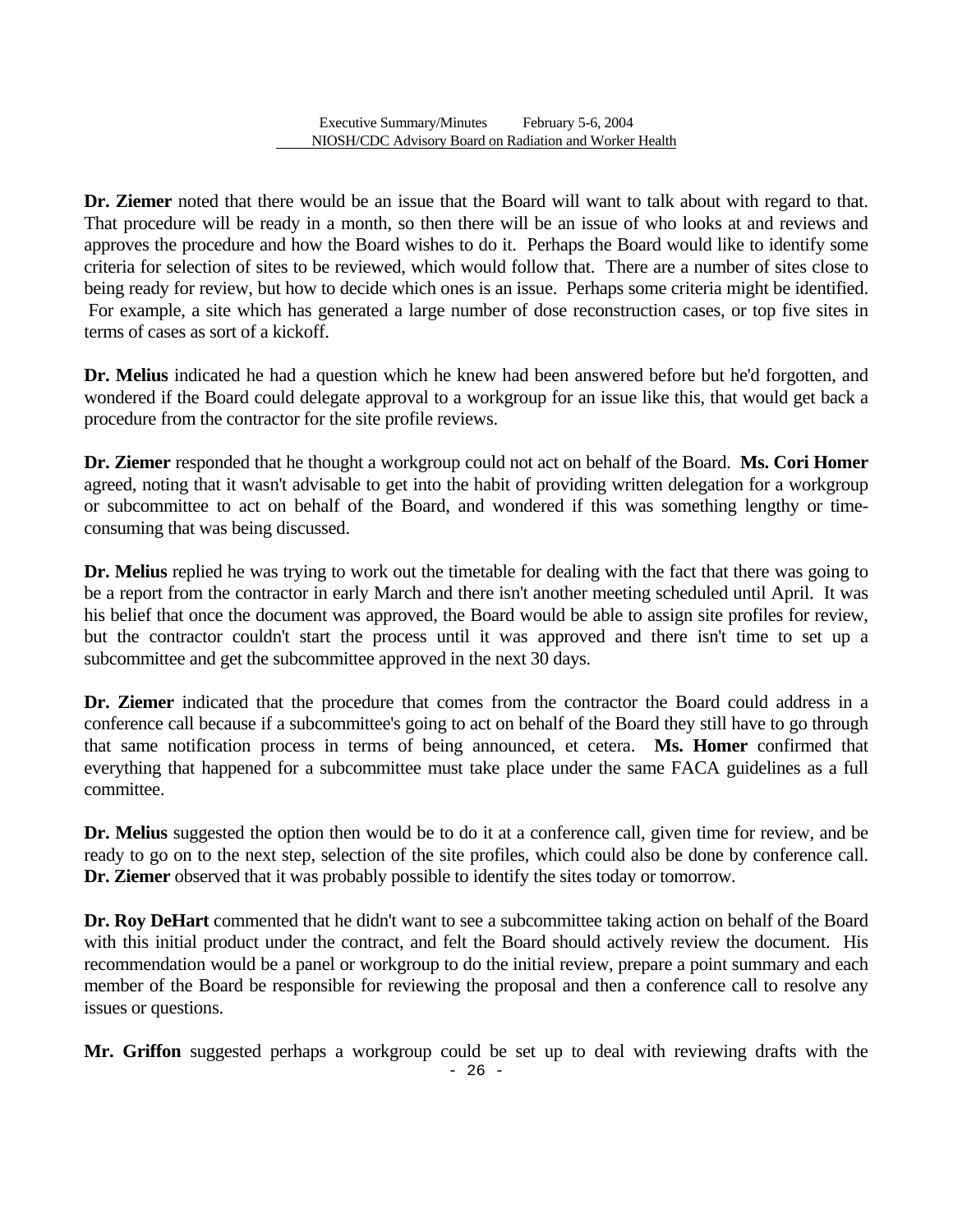**Dr. Ziemer** noted that there would be an issue that the Board will want to talk about with regard to that. That procedure will be ready in a month, so then there will be an issue of who looks at and reviews and approves the procedure and how the Board wishes to do it. Perhaps the Board would like to identify some criteria for selection of sites to be reviewed, which would follow that. There are a number of sites close to being ready for review, but how to decide which ones is an issue. Perhaps some criteria might be identified. For example, a site which has generated a large number of dose reconstruction cases, or top five sites in terms of cases as sort of a kickoff.

**Dr. Melius** indicated he had a question which he knew had been answered before but he'd forgotten, and wondered if the Board could delegate approval to a workgroup for an issue like this, that would get back a procedure from the contractor for the site profile reviews.

**Dr. Ziemer** responded that he thought a workgroup could not act on behalf of the Board. **Ms. Cori Homer**  agreed, noting that it wasn't advisable to get into the habit of providing written delegation for a workgroup or subcommittee to act on behalf of the Board, and wondered if this was something lengthy or timeconsuming that was being discussed.

**Dr. Melius** replied he was trying to work out the timetable for dealing with the fact that there was going to be a report from the contractor in early March and there isn't another meeting scheduled until April. It was his belief that once the document was approved, the Board would be able to assign site profiles for review, but the contractor couldn't start the process until it was approved and there isn't time to set up a subcommittee and get the subcommittee approved in the next 30 days.

**Dr. Ziemer** indicated that the procedure that comes from the contractor the Board could address in a conference call because if a subcommittee's going to act on behalf of the Board they still have to go through that same notification process in terms of being announced, et cetera. **Ms. Homer** confirmed that everything that happened for a subcommittee must take place under the same FACA guidelines as a full committee.

**Dr. Melius** suggested the option then would be to do it at a conference call, given time for review, and be ready to go on to the next step, selection of the site profiles, which could also be done by conference call. **Dr. Ziemer** observed that it was probably possible to identify the sites today or tomorrow.

**Dr. Roy DeHart** commented that he didn't want to see a subcommittee taking action on behalf of the Board with this initial product under the contract, and felt the Board should actively review the document. His recommendation would be a panel or workgroup to do the initial review, prepare a point summary and each member of the Board be responsible for reviewing the proposal and then a conference call to resolve any issues or questions.

**Mr. Griffon** suggested perhaps a workgroup could be set up to deal with reviewing drafts with the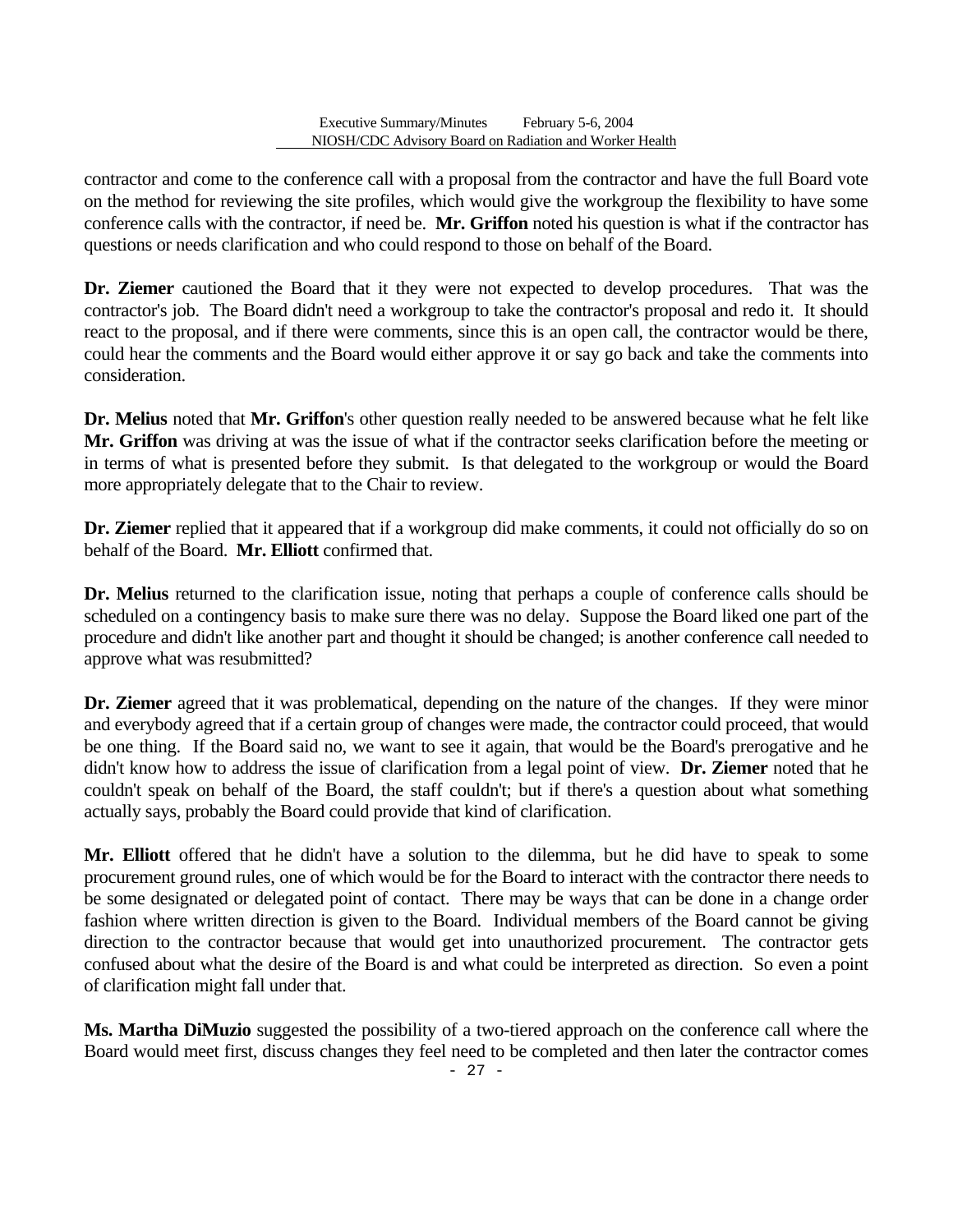contractor and come to the conference call with a proposal from the contractor and have the full Board vote on the method for reviewing the site profiles, which would give the workgroup the flexibility to have some conference calls with the contractor, if need be. **Mr. Griffon** noted his question is what if the contractor has questions or needs clarification and who could respond to those on behalf of the Board.

**Dr. Ziemer** cautioned the Board that it they were not expected to develop procedures. That was the contractor's job. The Board didn't need a workgroup to take the contractor's proposal and redo it. It should react to the proposal, and if there were comments, since this is an open call, the contractor would be there, could hear the comments and the Board would either approve it or say go back and take the comments into consideration.

**Dr. Melius** noted that **Mr. Griffon**'s other question really needed to be answered because what he felt like **Mr. Griffon** was driving at was the issue of what if the contractor seeks clarification before the meeting or in terms of what is presented before they submit. Is that delegated to the workgroup or would the Board more appropriately delegate that to the Chair to review.

**Dr. Ziemer** replied that it appeared that if a workgroup did make comments, it could not officially do so on behalf of the Board. **Mr. Elliott** confirmed that.

**Dr. Melius** returned to the clarification issue, noting that perhaps a couple of conference calls should be scheduled on a contingency basis to make sure there was no delay. Suppose the Board liked one part of the procedure and didn't like another part and thought it should be changed; is another conference call needed to approve what was resubmitted?

**Dr. Ziemer** agreed that it was problematical, depending on the nature of the changes. If they were minor and everybody agreed that if a certain group of changes were made, the contractor could proceed, that would be one thing. If the Board said no, we want to see it again, that would be the Board's prerogative and he didn't know how to address the issue of clarification from a legal point of view. **Dr. Ziemer** noted that he couldn't speak on behalf of the Board, the staff couldn't; but if there's a question about what something actually says, probably the Board could provide that kind of clarification.

**Mr. Elliott** offered that he didn't have a solution to the dilemma, but he did have to speak to some procurement ground rules, one of which would be for the Board to interact with the contractor there needs to be some designated or delegated point of contact. There may be ways that can be done in a change order fashion where written direction is given to the Board. Individual members of the Board cannot be giving direction to the contractor because that would get into unauthorized procurement. The contractor gets confused about what the desire of the Board is and what could be interpreted as direction. So even a point of clarification might fall under that.

**Ms. Martha DiMuzio** suggested the possibility of a two-tiered approach on the conference call where the Board would meet first, discuss changes they feel need to be completed and then later the contractor comes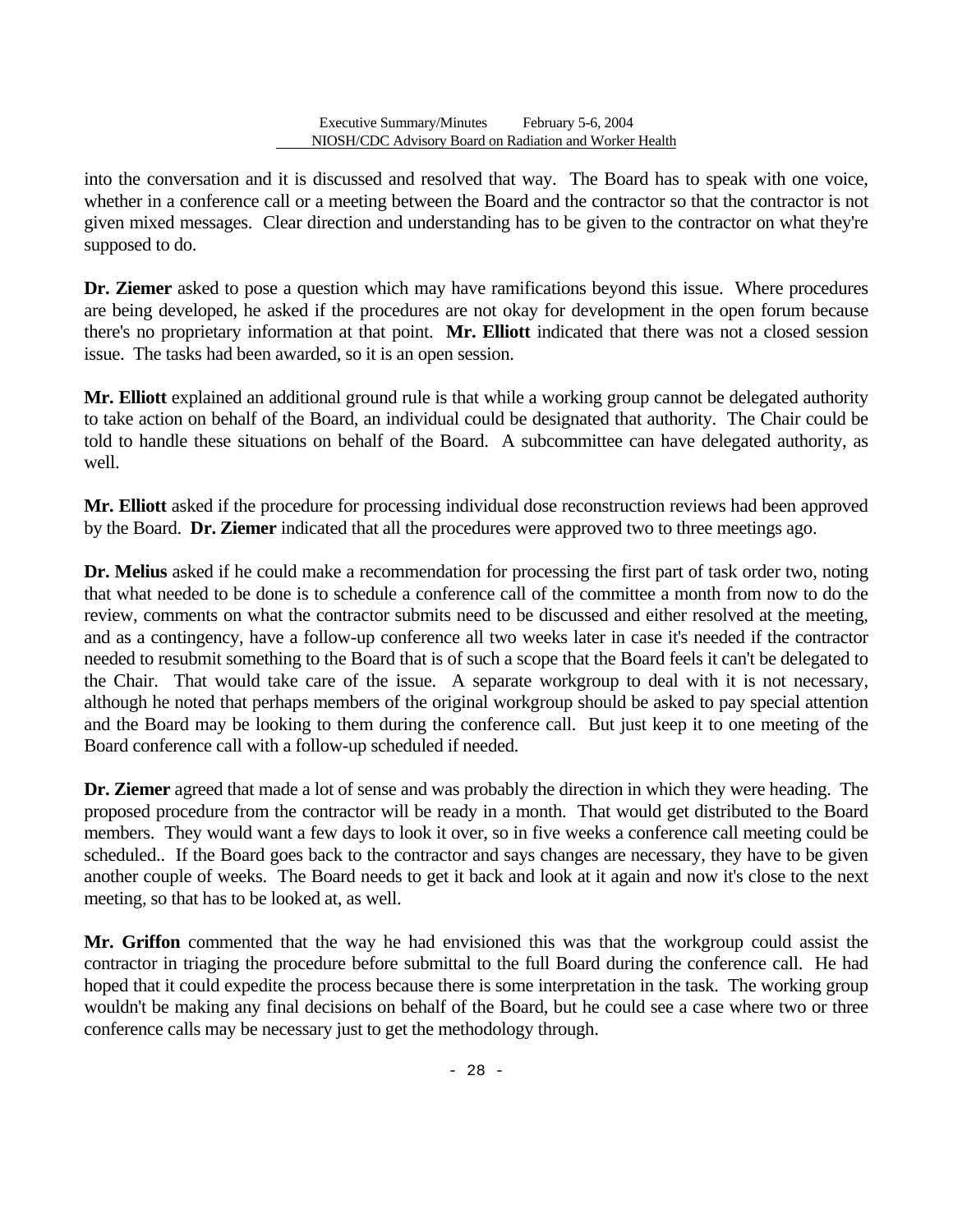into the conversation and it is discussed and resolved that way. The Board has to speak with one voice, whether in a conference call or a meeting between the Board and the contractor so that the contractor is not given mixed messages. Clear direction and understanding has to be given to the contractor on what they're supposed to do.

**Dr. Ziemer** asked to pose a question which may have ramifications beyond this issue. Where procedures are being developed, he asked if the procedures are not okay for development in the open forum because there's no proprietary information at that point. **Mr. Elliott** indicated that there was not a closed session issue. The tasks had been awarded, so it is an open session.

**Mr. Elliott** explained an additional ground rule is that while a working group cannot be delegated authority to take action on behalf of the Board, an individual could be designated that authority. The Chair could be told to handle these situations on behalf of the Board. A subcommittee can have delegated authority, as well.

**Mr. Elliott** asked if the procedure for processing individual dose reconstruction reviews had been approved by the Board. **Dr. Ziemer** indicated that all the procedures were approved two to three meetings ago.

**Dr. Melius** asked if he could make a recommendation for processing the first part of task order two, noting that what needed to be done is to schedule a conference call of the committee a month from now to do the review, comments on what the contractor submits need to be discussed and either resolved at the meeting, and as a contingency, have a follow-up conference all two weeks later in case it's needed if the contractor needed to resubmit something to the Board that is of such a scope that the Board feels it can't be delegated to the Chair. That would take care of the issue. A separate workgroup to deal with it is not necessary, although he noted that perhaps members of the original workgroup should be asked to pay special attention and the Board may be looking to them during the conference call. But just keep it to one meeting of the Board conference call with a follow-up scheduled if needed.

**Dr. Ziemer** agreed that made a lot of sense and was probably the direction in which they were heading. The proposed procedure from the contractor will be ready in a month. That would get distributed to the Board members. They would want a few days to look it over, so in five weeks a conference call meeting could be scheduled.. If the Board goes back to the contractor and says changes are necessary, they have to be given another couple of weeks. The Board needs to get it back and look at it again and now it's close to the next meeting, so that has to be looked at, as well.

**Mr. Griffon** commented that the way he had envisioned this was that the workgroup could assist the contractor in triaging the procedure before submittal to the full Board during the conference call. He had hoped that it could expedite the process because there is some interpretation in the task. The working group wouldn't be making any final decisions on behalf of the Board, but he could see a case where two or three conference calls may be necessary just to get the methodology through.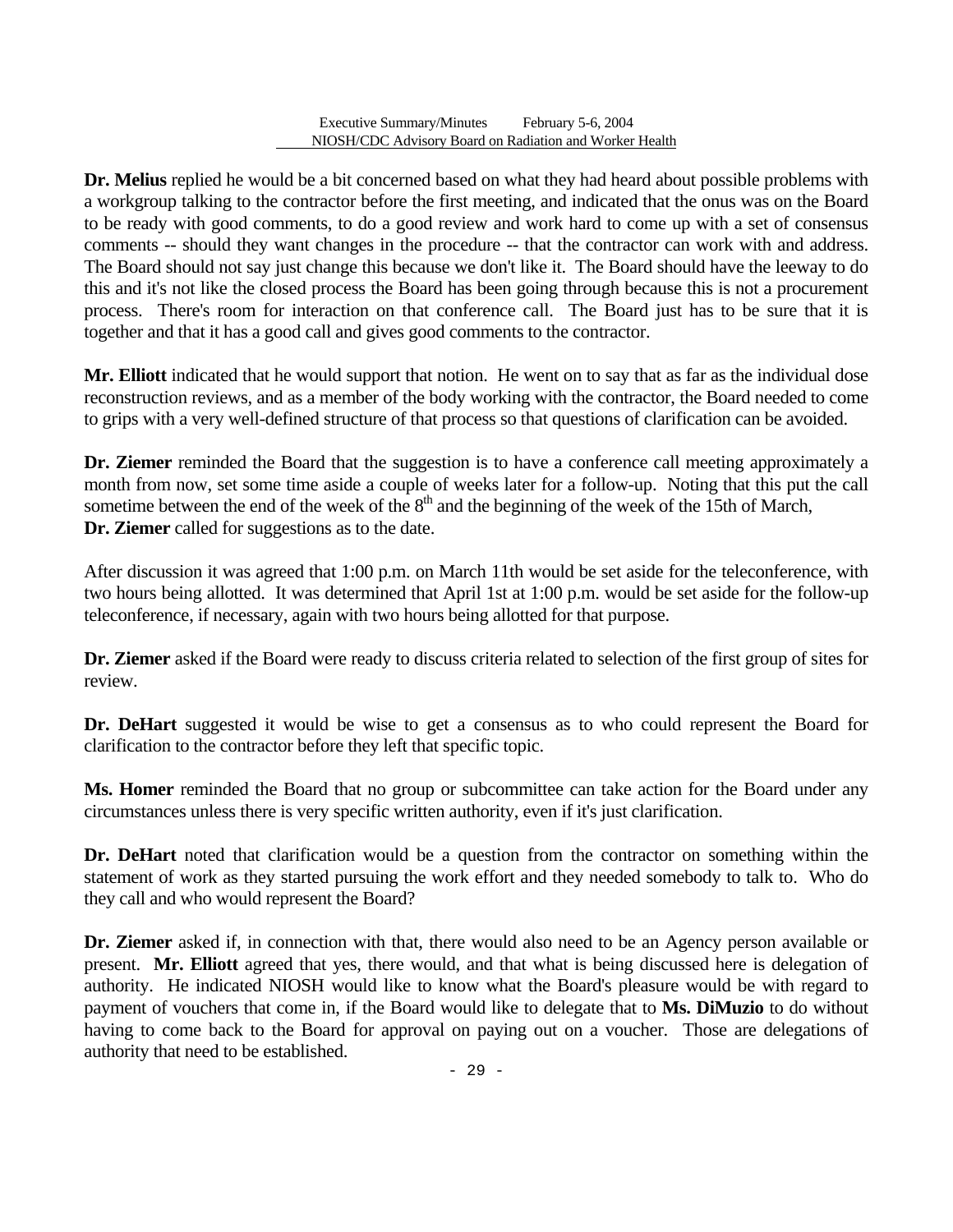**Dr. Melius** replied he would be a bit concerned based on what they had heard about possible problems with a workgroup talking to the contractor before the first meeting, and indicated that the onus was on the Board to be ready with good comments, to do a good review and work hard to come up with a set of consensus comments -- should they want changes in the procedure -- that the contractor can work with and address. The Board should not say just change this because we don't like it. The Board should have the leeway to do this and it's not like the closed process the Board has been going through because this is not a procurement process. There's room for interaction on that conference call. The Board just has to be sure that it is together and that it has a good call and gives good comments to the contractor.

**Mr. Elliott** indicated that he would support that notion. He went on to say that as far as the individual dose reconstruction reviews, and as a member of the body working with the contractor, the Board needed to come to grips with a very well-defined structure of that process so that questions of clarification can be avoided.

**Dr. Ziemer** reminded the Board that the suggestion is to have a conference call meeting approximately a month from now, set some time aside a couple of weeks later for a follow-up. Noting that this put the call sometime between the end of the week of the  $8<sup>th</sup>$  and the beginning of the week of the 15th of March, **Dr. Ziemer** called for suggestions as to the date.

After discussion it was agreed that 1:00 p.m. on March 11th would be set aside for the teleconference, with two hours being allotted. It was determined that April 1st at 1:00 p.m. would be set aside for the follow-up teleconference, if necessary, again with two hours being allotted for that purpose.

**Dr. Ziemer** asked if the Board were ready to discuss criteria related to selection of the first group of sites for review.

**Dr. DeHart** suggested it would be wise to get a consensus as to who could represent the Board for clarification to the contractor before they left that specific topic.

**Ms. Homer** reminded the Board that no group or subcommittee can take action for the Board under any circumstances unless there is very specific written authority, even if it's just clarification.

**Dr. DeHart** noted that clarification would be a question from the contractor on something within the statement of work as they started pursuing the work effort and they needed somebody to talk to. Who do they call and who would represent the Board?

**Dr. Ziemer** asked if, in connection with that, there would also need to be an Agency person available or present. **Mr. Elliott** agreed that yes, there would, and that what is being discussed here is delegation of authority. He indicated NIOSH would like to know what the Board's pleasure would be with regard to payment of vouchers that come in, if the Board would like to delegate that to **Ms. DiMuzio** to do without having to come back to the Board for approval on paying out on a voucher. Those are delegations of authority that need to be established.

- 29 -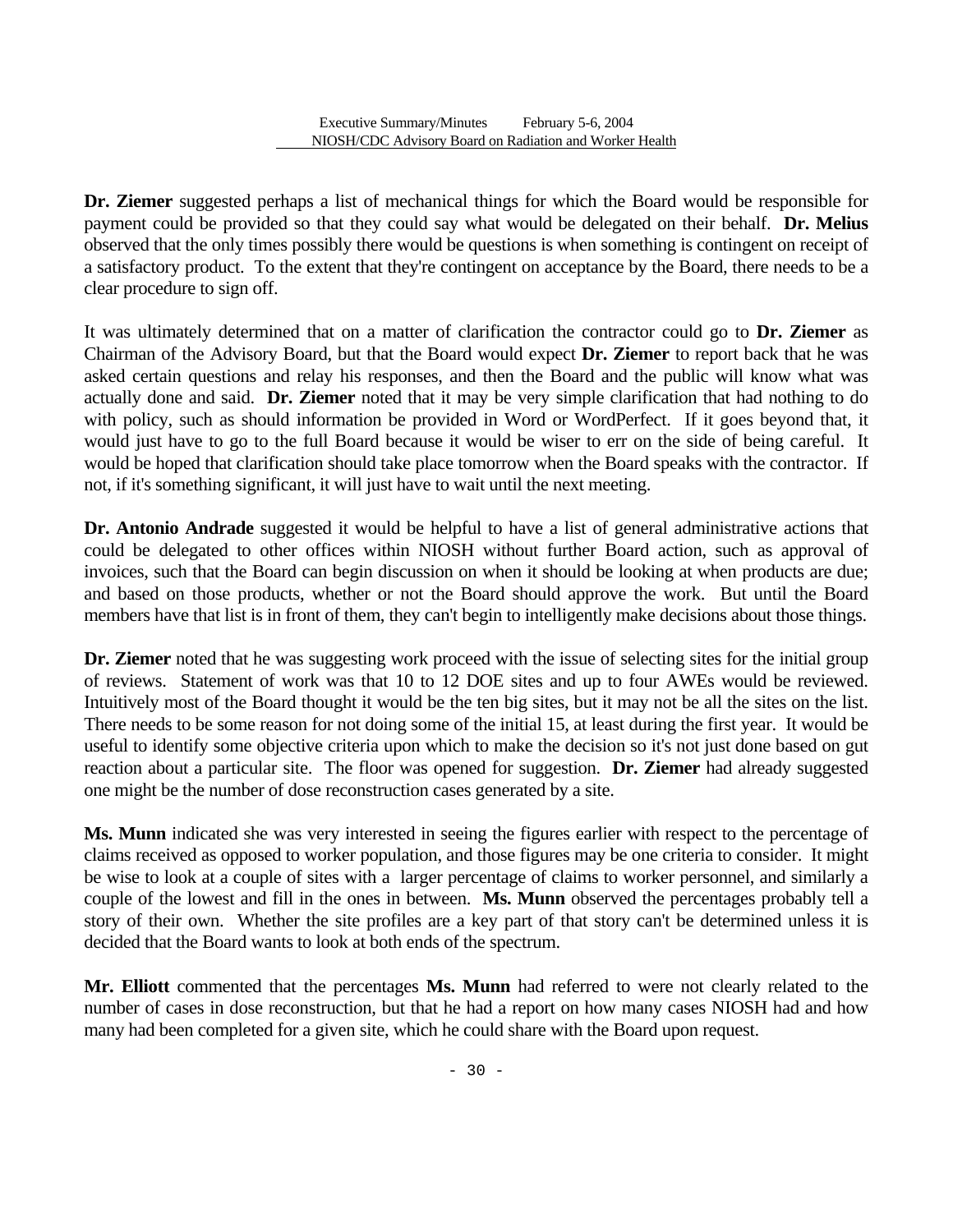**Dr. Ziemer** suggested perhaps a list of mechanical things for which the Board would be responsible for payment could be provided so that they could say what would be delegated on their behalf. **Dr. Melius**  observed that the only times possibly there would be questions is when something is contingent on receipt of a satisfactory product. To the extent that they're contingent on acceptance by the Board, there needs to be a clear procedure to sign off.

It was ultimately determined that on a matter of clarification the contractor could go to **Dr. Ziemer** as Chairman of the Advisory Board, but that the Board would expect **Dr. Ziemer** to report back that he was asked certain questions and relay his responses, and then the Board and the public will know what was actually done and said. **Dr. Ziemer** noted that it may be very simple clarification that had nothing to do with policy, such as should information be provided in Word or WordPerfect. If it goes beyond that, it would just have to go to the full Board because it would be wiser to err on the side of being careful. It would be hoped that clarification should take place tomorrow when the Board speaks with the contractor. If not, if it's something significant, it will just have to wait until the next meeting.

**Dr. Antonio Andrade** suggested it would be helpful to have a list of general administrative actions that could be delegated to other offices within NIOSH without further Board action, such as approval of invoices, such that the Board can begin discussion on when it should be looking at when products are due; and based on those products, whether or not the Board should approve the work. But until the Board members have that list is in front of them, they can't begin to intelligently make decisions about those things.

**Dr. Ziemer** noted that he was suggesting work proceed with the issue of selecting sites for the initial group of reviews. Statement of work was that 10 to 12 DOE sites and up to four AWEs would be reviewed. Intuitively most of the Board thought it would be the ten big sites, but it may not be all the sites on the list. There needs to be some reason for not doing some of the initial 15, at least during the first year. It would be useful to identify some objective criteria upon which to make the decision so it's not just done based on gut reaction about a particular site. The floor was opened for suggestion. **Dr. Ziemer** had already suggested one might be the number of dose reconstruction cases generated by a site.

**Ms. Munn** indicated she was very interested in seeing the figures earlier with respect to the percentage of claims received as opposed to worker population, and those figures may be one criteria to consider. It might be wise to look at a couple of sites with a larger percentage of claims to worker personnel, and similarly a couple of the lowest and fill in the ones in between. **Ms. Munn** observed the percentages probably tell a story of their own. Whether the site profiles are a key part of that story can't be determined unless it is decided that the Board wants to look at both ends of the spectrum.

**Mr. Elliott** commented that the percentages **Ms. Munn** had referred to were not clearly related to the number of cases in dose reconstruction, but that he had a report on how many cases NIOSH had and how many had been completed for a given site, which he could share with the Board upon request.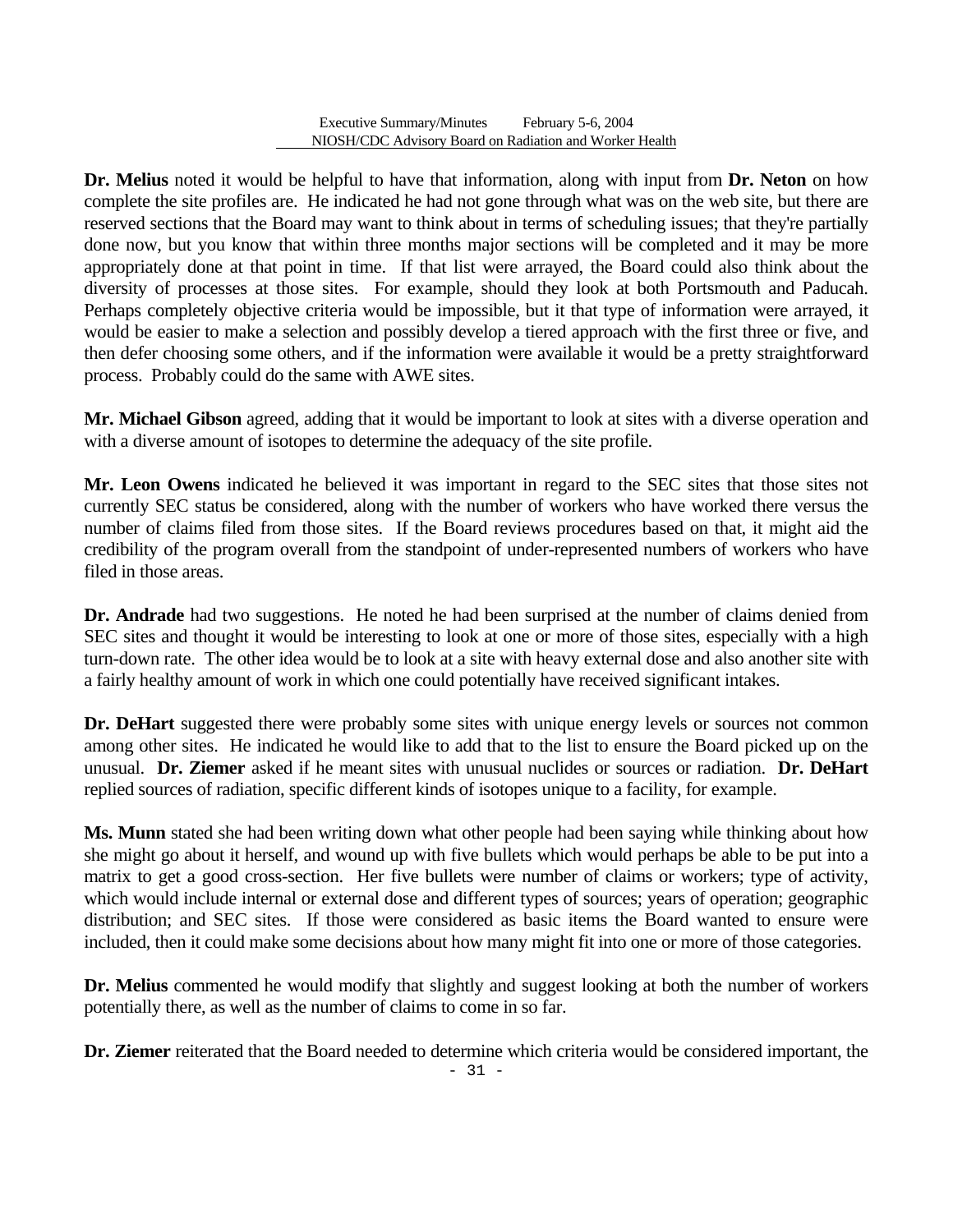**Dr. Melius** noted it would be helpful to have that information, along with input from **Dr. Neton** on how complete the site profiles are. He indicated he had not gone through what was on the web site, but there are reserved sections that the Board may want to think about in terms of scheduling issues; that they're partially done now, but you know that within three months major sections will be completed and it may be more appropriately done at that point in time. If that list were arrayed, the Board could also think about the diversity of processes at those sites. For example, should they look at both Portsmouth and Paducah. Perhaps completely objective criteria would be impossible, but it that type of information were arrayed, it would be easier to make a selection and possibly develop a tiered approach with the first three or five, and then defer choosing some others, and if the information were available it would be a pretty straightforward process. Probably could do the same with AWE sites.

**Mr. Michael Gibson** agreed, adding that it would be important to look at sites with a diverse operation and with a diverse amount of isotopes to determine the adequacy of the site profile.

**Mr. Leon Owens** indicated he believed it was important in regard to the SEC sites that those sites not currently SEC status be considered, along with the number of workers who have worked there versus the number of claims filed from those sites. If the Board reviews procedures based on that, it might aid the credibility of the program overall from the standpoint of under-represented numbers of workers who have filed in those areas.

**Dr. Andrade** had two suggestions. He noted he had been surprised at the number of claims denied from SEC sites and thought it would be interesting to look at one or more of those sites, especially with a high turn-down rate. The other idea would be to look at a site with heavy external dose and also another site with a fairly healthy amount of work in which one could potentially have received significant intakes.

Dr. DeHart suggested there were probably some sites with unique energy levels or sources not common among other sites. He indicated he would like to add that to the list to ensure the Board picked up on the unusual. **Dr. Ziemer** asked if he meant sites with unusual nuclides or sources or radiation. **Dr. DeHart**  replied sources of radiation, specific different kinds of isotopes unique to a facility, for example.

**Ms. Munn** stated she had been writing down what other people had been saying while thinking about how she might go about it herself, and wound up with five bullets which would perhaps be able to be put into a matrix to get a good cross-section. Her five bullets were number of claims or workers; type of activity, which would include internal or external dose and different types of sources; years of operation; geographic distribution; and SEC sites. If those were considered as basic items the Board wanted to ensure were included, then it could make some decisions about how many might fit into one or more of those categories.

**Dr. Melius** commented he would modify that slightly and suggest looking at both the number of workers potentially there, as well as the number of claims to come in so far.

**Dr. Ziemer** reiterated that the Board needed to determine which criteria would be considered important, the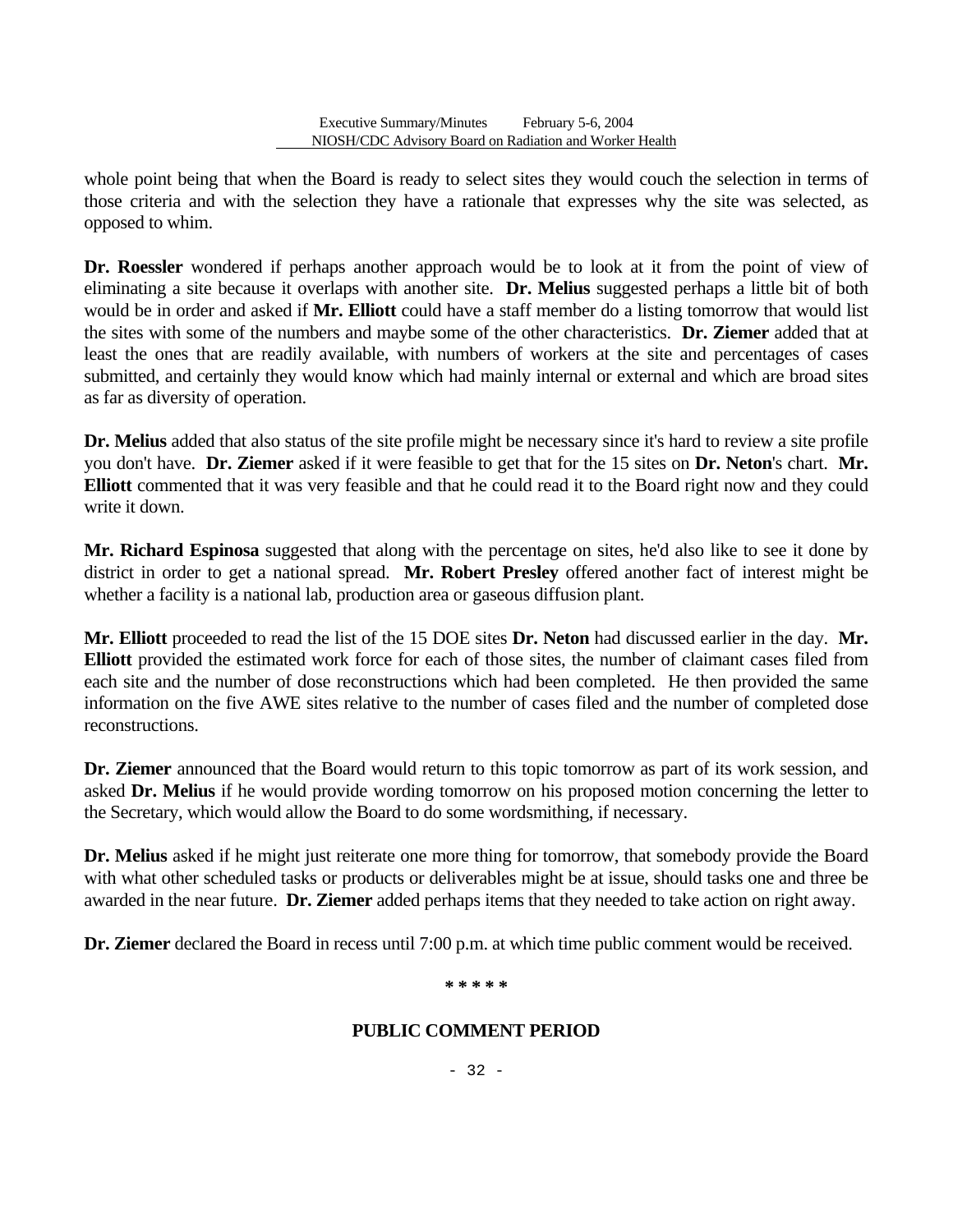whole point being that when the Board is ready to select sites they would couch the selection in terms of those criteria and with the selection they have a rationale that expresses why the site was selected, as opposed to whim.

**Dr. Roessler** wondered if perhaps another approach would be to look at it from the point of view of eliminating a site because it overlaps with another site. **Dr. Melius** suggested perhaps a little bit of both would be in order and asked if **Mr. Elliott** could have a staff member do a listing tomorrow that would list the sites with some of the numbers and maybe some of the other characteristics. **Dr. Ziemer** added that at least the ones that are readily available, with numbers of workers at the site and percentages of cases submitted, and certainly they would know which had mainly internal or external and which are broad sites as far as diversity of operation.

**Dr. Melius** added that also status of the site profile might be necessary since it's hard to review a site profile you don't have. **Dr. Ziemer** asked if it were feasible to get that for the 15 sites on **Dr. Neton**'s chart. **Mr. Elliott** commented that it was very feasible and that he could read it to the Board right now and they could write it down.

**Mr. Richard Espinosa** suggested that along with the percentage on sites, he'd also like to see it done by district in order to get a national spread. **Mr. Robert Presley** offered another fact of interest might be whether a facility is a national lab, production area or gaseous diffusion plant.

**Mr. Elliott** proceeded to read the list of the 15 DOE sites **Dr. Neton** had discussed earlier in the day. **Mr. Elliott** provided the estimated work force for each of those sites, the number of claimant cases filed from each site and the number of dose reconstructions which had been completed. He then provided the same information on the five AWE sites relative to the number of cases filed and the number of completed dose reconstructions.

**Dr. Ziemer** announced that the Board would return to this topic tomorrow as part of its work session, and asked **Dr. Melius** if he would provide wording tomorrow on his proposed motion concerning the letter to the Secretary, which would allow the Board to do some wordsmithing, if necessary.

**Dr. Melius** asked if he might just reiterate one more thing for tomorrow, that somebody provide the Board with what other scheduled tasks or products or deliverables might be at issue, should tasks one and three be awarded in the near future. **Dr. Ziemer** added perhaps items that they needed to take action on right away.

**Dr. Ziemer** declared the Board in recess until 7:00 p.m. at which time public comment would be received.

#### **\* \* \* \* \***

# **PUBLIC COMMENT PERIOD**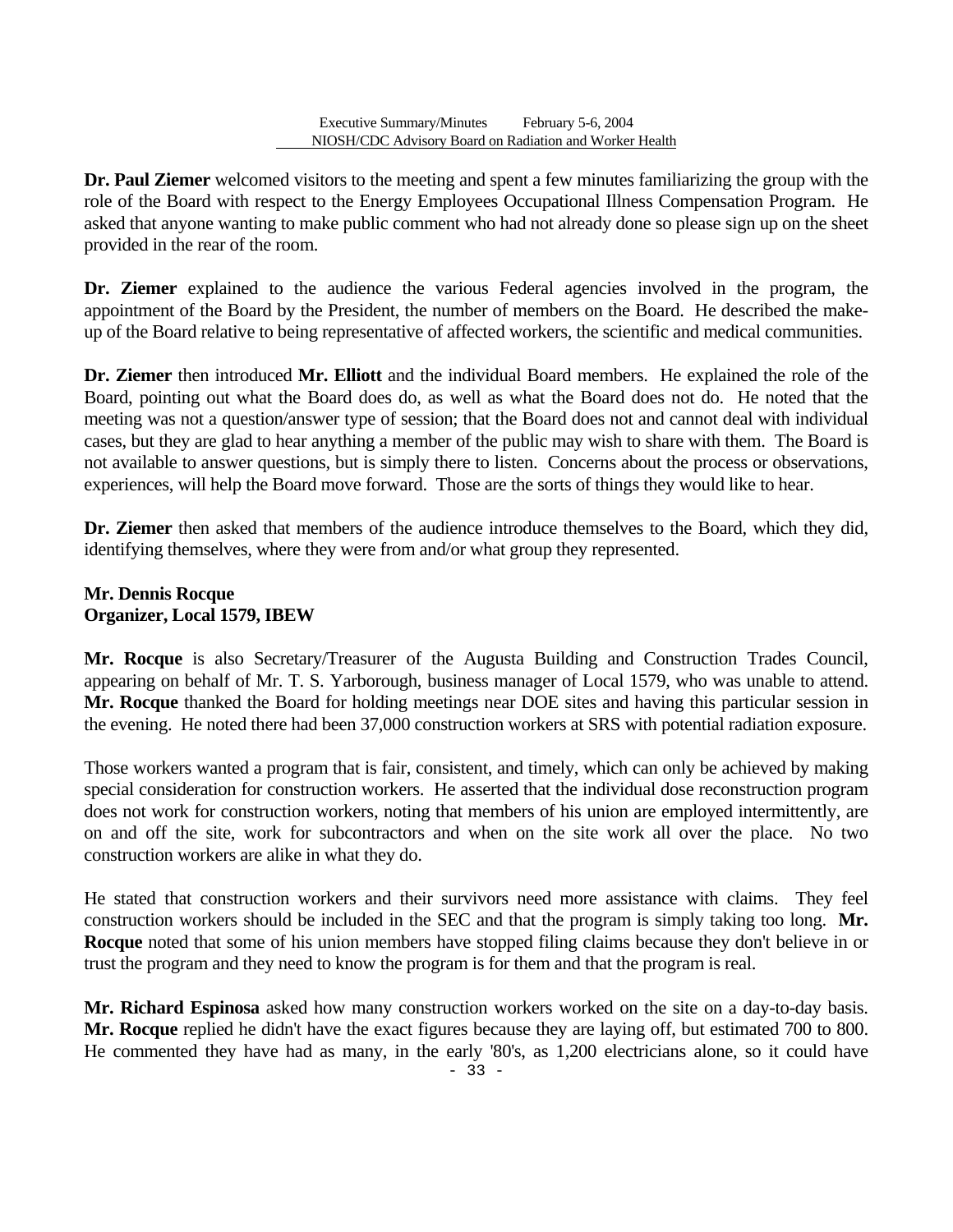**Dr. Paul Ziemer** welcomed visitors to the meeting and spent a few minutes familiarizing the group with the role of the Board with respect to the Energy Employees Occupational Illness Compensation Program. He asked that anyone wanting to make public comment who had not already done so please sign up on the sheet provided in the rear of the room.

**Dr. Ziemer** explained to the audience the various Federal agencies involved in the program, the appointment of the Board by the President, the number of members on the Board. He described the makeup of the Board relative to being representative of affected workers, the scientific and medical communities.

**Dr. Ziemer** then introduced **Mr. Elliott** and the individual Board members. He explained the role of the Board, pointing out what the Board does do, as well as what the Board does not do. He noted that the meeting was not a question/answer type of session; that the Board does not and cannot deal with individual cases, but they are glad to hear anything a member of the public may wish to share with them. The Board is not available to answer questions, but is simply there to listen. Concerns about the process or observations, experiences, will help the Board move forward. Those are the sorts of things they would like to hear.

**Dr. Ziemer** then asked that members of the audience introduce themselves to the Board, which they did, identifying themselves, where they were from and/or what group they represented.

# **Mr. Dennis Rocque Organizer, Local 1579, IBEW**

**Mr. Rocque** is also Secretary/Treasurer of the Augusta Building and Construction Trades Council, appearing on behalf of Mr. T. S. Yarborough, business manager of Local 1579, who was unable to attend. **Mr. Rocque** thanked the Board for holding meetings near DOE sites and having this particular session in the evening. He noted there had been 37,000 construction workers at SRS with potential radiation exposure.

Those workers wanted a program that is fair, consistent, and timely, which can only be achieved by making special consideration for construction workers. He asserted that the individual dose reconstruction program does not work for construction workers, noting that members of his union are employed intermittently, are on and off the site, work for subcontractors and when on the site work all over the place. No two construction workers are alike in what they do.

He stated that construction workers and their survivors need more assistance with claims. They feel construction workers should be included in the SEC and that the program is simply taking too long. **Mr. Rocque** noted that some of his union members have stopped filing claims because they don't believe in or trust the program and they need to know the program is for them and that the program is real.

**Mr. Richard Espinosa** asked how many construction workers worked on the site on a day-to-day basis. **Mr. Rocque** replied he didn't have the exact figures because they are laying off, but estimated 700 to 800. He commented they have had as many, in the early '80's, as 1,200 electricians alone, so it could have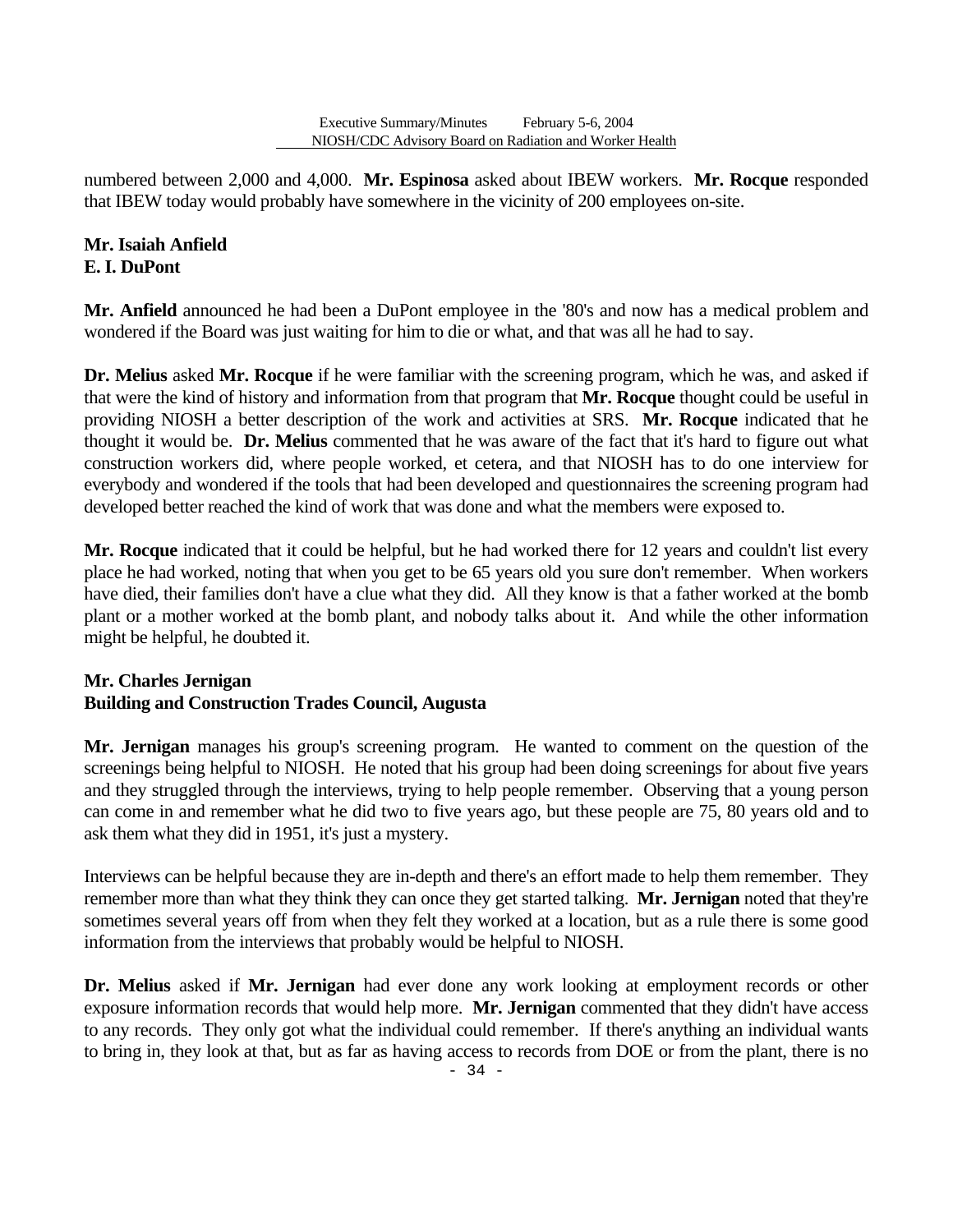numbered between 2,000 and 4,000. **Mr. Espinosa** asked about IBEW workers. **Mr. Rocque** responded that IBEW today would probably have somewhere in the vicinity of 200 employees on-site.

# **Mr. Isaiah Anfield E. I. DuPont**

**Mr. Anfield** announced he had been a DuPont employee in the '80's and now has a medical problem and wondered if the Board was just waiting for him to die or what, and that was all he had to say.

**Dr. Melius** asked **Mr. Rocque** if he were familiar with the screening program, which he was, and asked if that were the kind of history and information from that program that **Mr. Rocque** thought could be useful in providing NIOSH a better description of the work and activities at SRS. **Mr. Rocque** indicated that he thought it would be. **Dr. Melius** commented that he was aware of the fact that it's hard to figure out what construction workers did, where people worked, et cetera, and that NIOSH has to do one interview for everybody and wondered if the tools that had been developed and questionnaires the screening program had developed better reached the kind of work that was done and what the members were exposed to.

**Mr. Rocque** indicated that it could be helpful, but he had worked there for 12 years and couldn't list every place he had worked, noting that when you get to be 65 years old you sure don't remember. When workers have died, their families don't have a clue what they did. All they know is that a father worked at the bomb plant or a mother worked at the bomb plant, and nobody talks about it. And while the other information might be helpful, he doubted it.

# **Mr. Charles Jernigan Building and Construction Trades Council, Augusta**

**Mr. Jernigan** manages his group's screening program. He wanted to comment on the question of the screenings being helpful to NIOSH. He noted that his group had been doing screenings for about five years and they struggled through the interviews, trying to help people remember. Observing that a young person can come in and remember what he did two to five years ago, but these people are 75, 80 years old and to ask them what they did in 1951, it's just a mystery.

Interviews can be helpful because they are in-depth and there's an effort made to help them remember. They remember more than what they think they can once they get started talking. **Mr. Jernigan** noted that they're sometimes several years off from when they felt they worked at a location, but as a rule there is some good information from the interviews that probably would be helpful to NIOSH.

**Dr. Melius** asked if **Mr. Jernigan** had ever done any work looking at employment records or other exposure information records that would help more. **Mr. Jernigan** commented that they didn't have access to any records. They only got what the individual could remember. If there's anything an individual wants to bring in, they look at that, but as far as having access to records from DOE or from the plant, there is no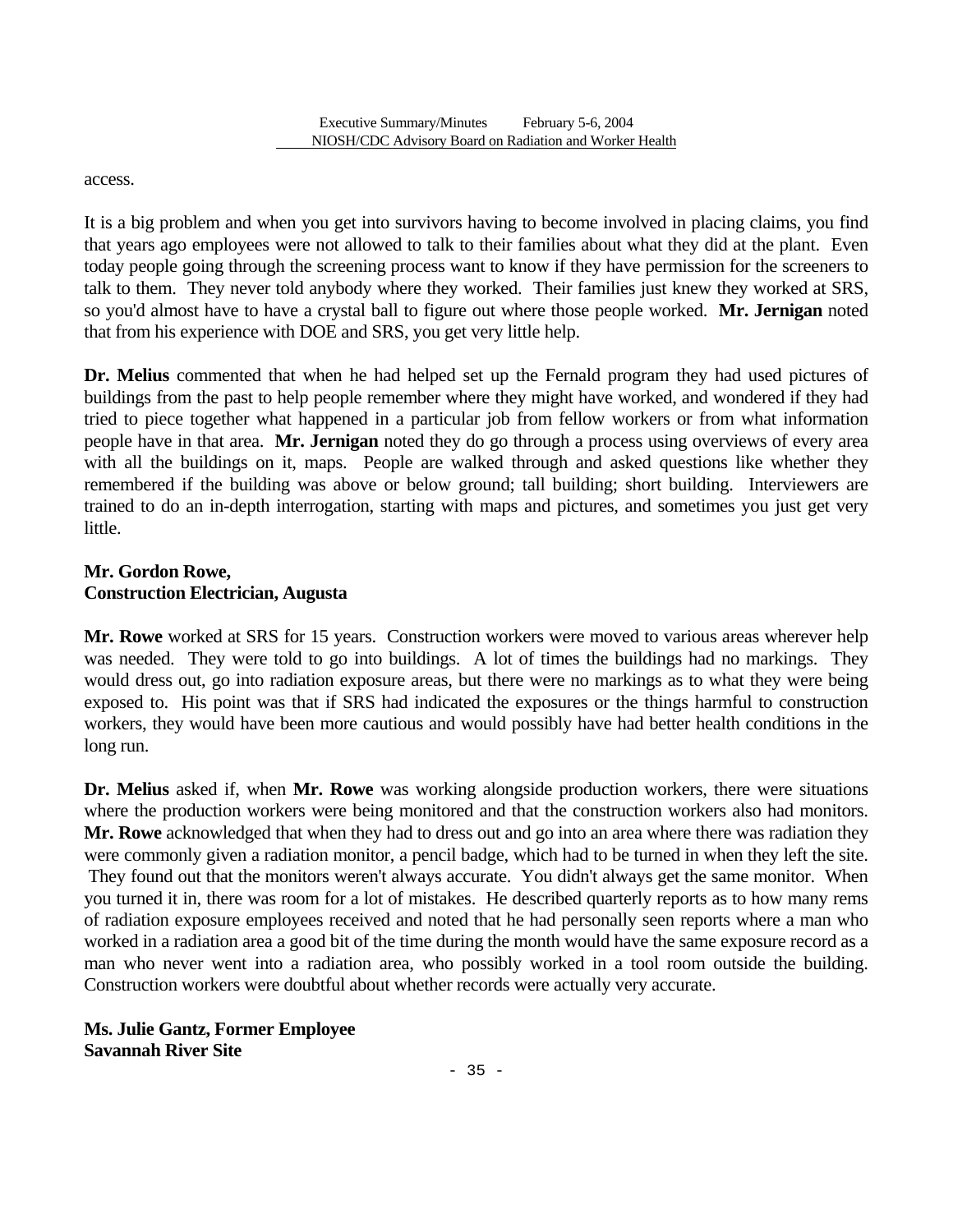access.

It is a big problem and when you get into survivors having to become involved in placing claims, you find that years ago employees were not allowed to talk to their families about what they did at the plant. Even today people going through the screening process want to know if they have permission for the screeners to talk to them. They never told anybody where they worked. Their families just knew they worked at SRS, so you'd almost have to have a crystal ball to figure out where those people worked. **Mr. Jernigan** noted that from his experience with DOE and SRS, you get very little help.

**Dr. Melius** commented that when he had helped set up the Fernald program they had used pictures of buildings from the past to help people remember where they might have worked, and wondered if they had tried to piece together what happened in a particular job from fellow workers or from what information people have in that area. **Mr. Jernigan** noted they do go through a process using overviews of every area with all the buildings on it, maps. People are walked through and asked questions like whether they remembered if the building was above or below ground; tall building; short building. Interviewers are trained to do an in-depth interrogation, starting with maps and pictures, and sometimes you just get very little.

### **Mr. Gordon Rowe, Construction Electrician, Augusta**

**Mr. Rowe** worked at SRS for 15 years. Construction workers were moved to various areas wherever help was needed. They were told to go into buildings. A lot of times the buildings had no markings. They would dress out, go into radiation exposure areas, but there were no markings as to what they were being exposed to. His point was that if SRS had indicated the exposures or the things harmful to construction workers, they would have been more cautious and would possibly have had better health conditions in the long run.

**Dr. Melius** asked if, when **Mr. Rowe** was working alongside production workers, there were situations where the production workers were being monitored and that the construction workers also had monitors. **Mr. Rowe** acknowledged that when they had to dress out and go into an area where there was radiation they were commonly given a radiation monitor, a pencil badge, which had to be turned in when they left the site. They found out that the monitors weren't always accurate. You didn't always get the same monitor. When you turned it in, there was room for a lot of mistakes. He described quarterly reports as to how many rems of radiation exposure employees received and noted that he had personally seen reports where a man who worked in a radiation area a good bit of the time during the month would have the same exposure record as a man who never went into a radiation area, who possibly worked in a tool room outside the building. Construction workers were doubtful about whether records were actually very accurate.

**Ms. Julie Gantz, Former Employee Savannah River Site**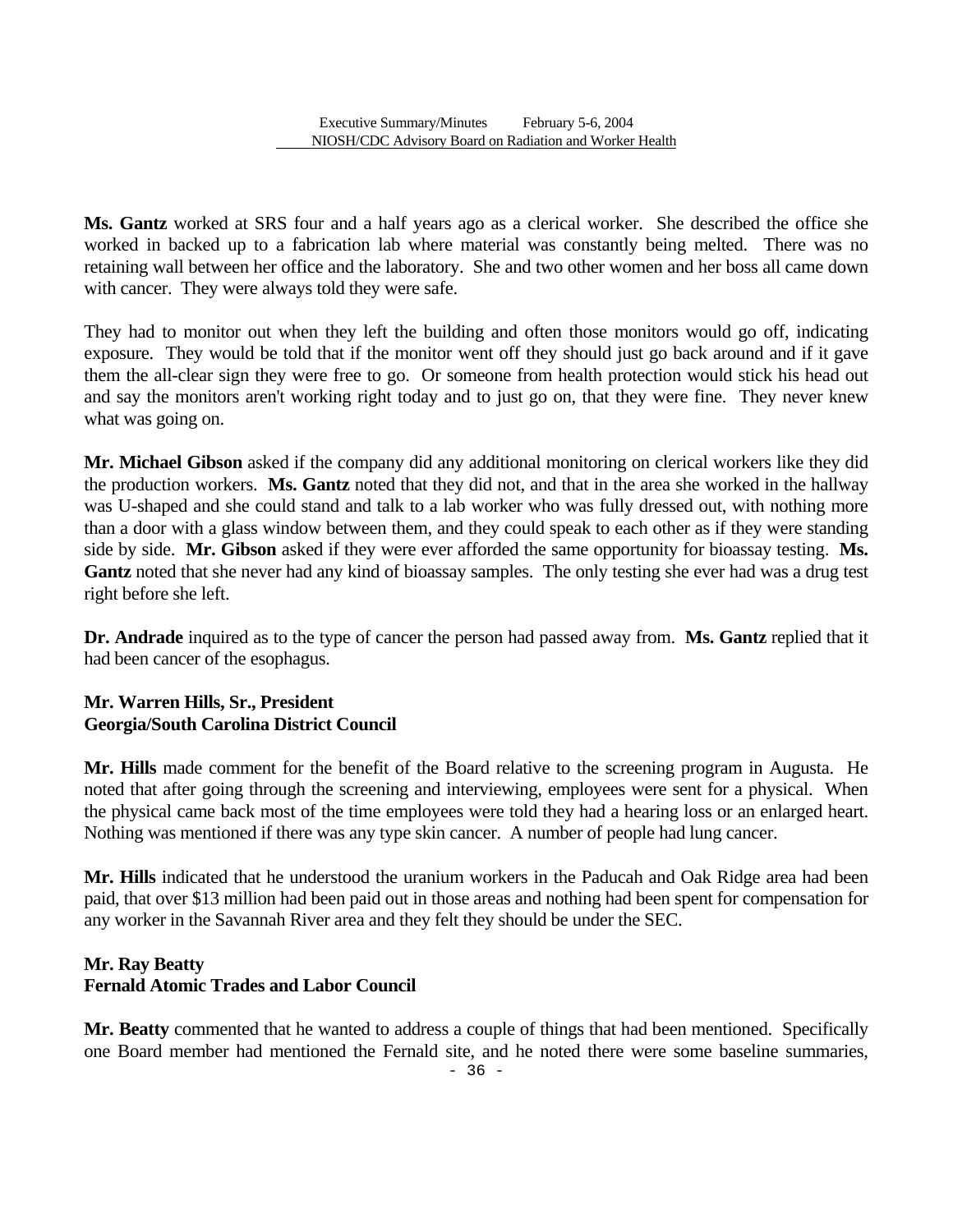**Ms. Gantz** worked at SRS four and a half years ago as a clerical worker. She described the office she worked in backed up to a fabrication lab where material was constantly being melted. There was no retaining wall between her office and the laboratory. She and two other women and her boss all came down with cancer. They were always told they were safe.

They had to monitor out when they left the building and often those monitors would go off, indicating exposure. They would be told that if the monitor went off they should just go back around and if it gave them the all-clear sign they were free to go. Or someone from health protection would stick his head out and say the monitors aren't working right today and to just go on, that they were fine. They never knew what was going on.

**Mr. Michael Gibson** asked if the company did any additional monitoring on clerical workers like they did the production workers. **Ms. Gantz** noted that they did not, and that in the area she worked in the hallway was U-shaped and she could stand and talk to a lab worker who was fully dressed out, with nothing more than a door with a glass window between them, and they could speak to each other as if they were standing side by side. **Mr. Gibson** asked if they were ever afforded the same opportunity for bioassay testing. **Ms.**  Gantz noted that she never had any kind of bioassay samples. The only testing she ever had was a drug test right before she left.

**Dr. Andrade** inquired as to the type of cancer the person had passed away from. **Ms. Gantz** replied that it had been cancer of the esophagus.

### **Mr. Warren Hills, Sr., President Georgia/South Carolina District Council**

**Mr. Hills** made comment for the benefit of the Board relative to the screening program in Augusta. He noted that after going through the screening and interviewing, employees were sent for a physical. When the physical came back most of the time employees were told they had a hearing loss or an enlarged heart. Nothing was mentioned if there was any type skin cancer. A number of people had lung cancer.

**Mr. Hills** indicated that he understood the uranium workers in the Paducah and Oak Ridge area had been paid, that over \$13 million had been paid out in those areas and nothing had been spent for compensation for any worker in the Savannah River area and they felt they should be under the SEC.

#### **Mr. Ray Beatty Fernald Atomic Trades and Labor Council**

**Mr. Beatty** commented that he wanted to address a couple of things that had been mentioned. Specifically one Board member had mentioned the Fernald site, and he noted there were some baseline summaries,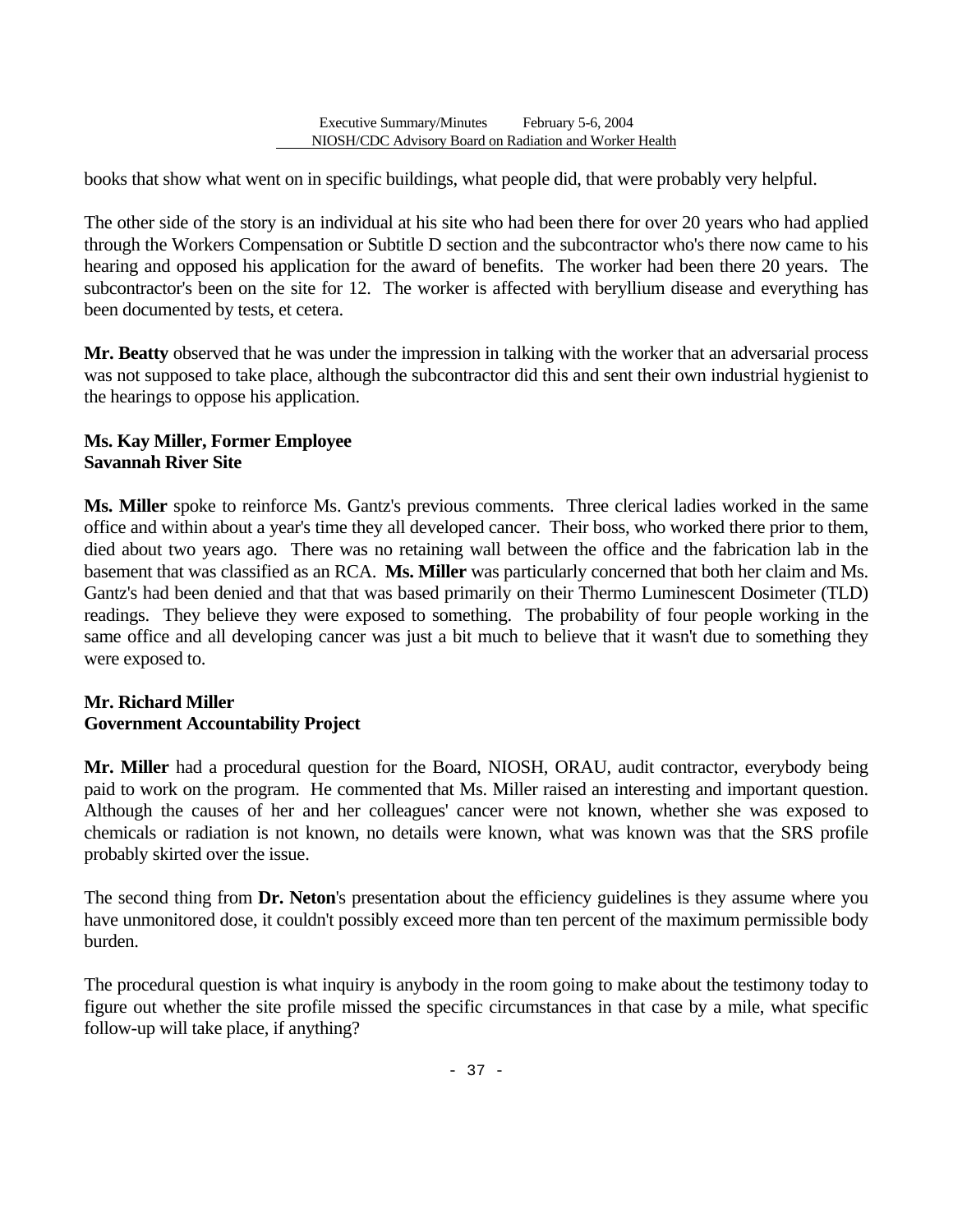books that show what went on in specific buildings, what people did, that were probably very helpful.

The other side of the story is an individual at his site who had been there for over 20 years who had applied through the Workers Compensation or Subtitle D section and the subcontractor who's there now came to his hearing and opposed his application for the award of benefits. The worker had been there 20 years. The subcontractor's been on the site for 12. The worker is affected with beryllium disease and everything has been documented by tests, et cetera.

**Mr. Beatty** observed that he was under the impression in talking with the worker that an adversarial process was not supposed to take place, although the subcontractor did this and sent their own industrial hygienist to the hearings to oppose his application.

### **Ms. Kay Miller, Former Employee Savannah River Site**

**Ms. Miller** spoke to reinforce Ms. Gantz's previous comments. Three clerical ladies worked in the same office and within about a year's time they all developed cancer. Their boss, who worked there prior to them, died about two years ago. There was no retaining wall between the office and the fabrication lab in the basement that was classified as an RCA. **Ms. Miller** was particularly concerned that both her claim and Ms. Gantz's had been denied and that that was based primarily on their Thermo Luminescent Dosimeter (TLD) readings. They believe they were exposed to something. The probability of four people working in the same office and all developing cancer was just a bit much to believe that it wasn't due to something they were exposed to.

# **Mr. Richard Miller Government Accountability Project**

**Mr. Miller** had a procedural question for the Board, NIOSH, ORAU, audit contractor, everybody being paid to work on the program. He commented that Ms. Miller raised an interesting and important question. Although the causes of her and her colleagues' cancer were not known, whether she was exposed to chemicals or radiation is not known, no details were known, what was known was that the SRS profile probably skirted over the issue.

The second thing from **Dr. Neton**'s presentation about the efficiency guidelines is they assume where you have unmonitored dose, it couldn't possibly exceed more than ten percent of the maximum permissible body burden.

The procedural question is what inquiry is anybody in the room going to make about the testimony today to figure out whether the site profile missed the specific circumstances in that case by a mile, what specific follow-up will take place, if anything?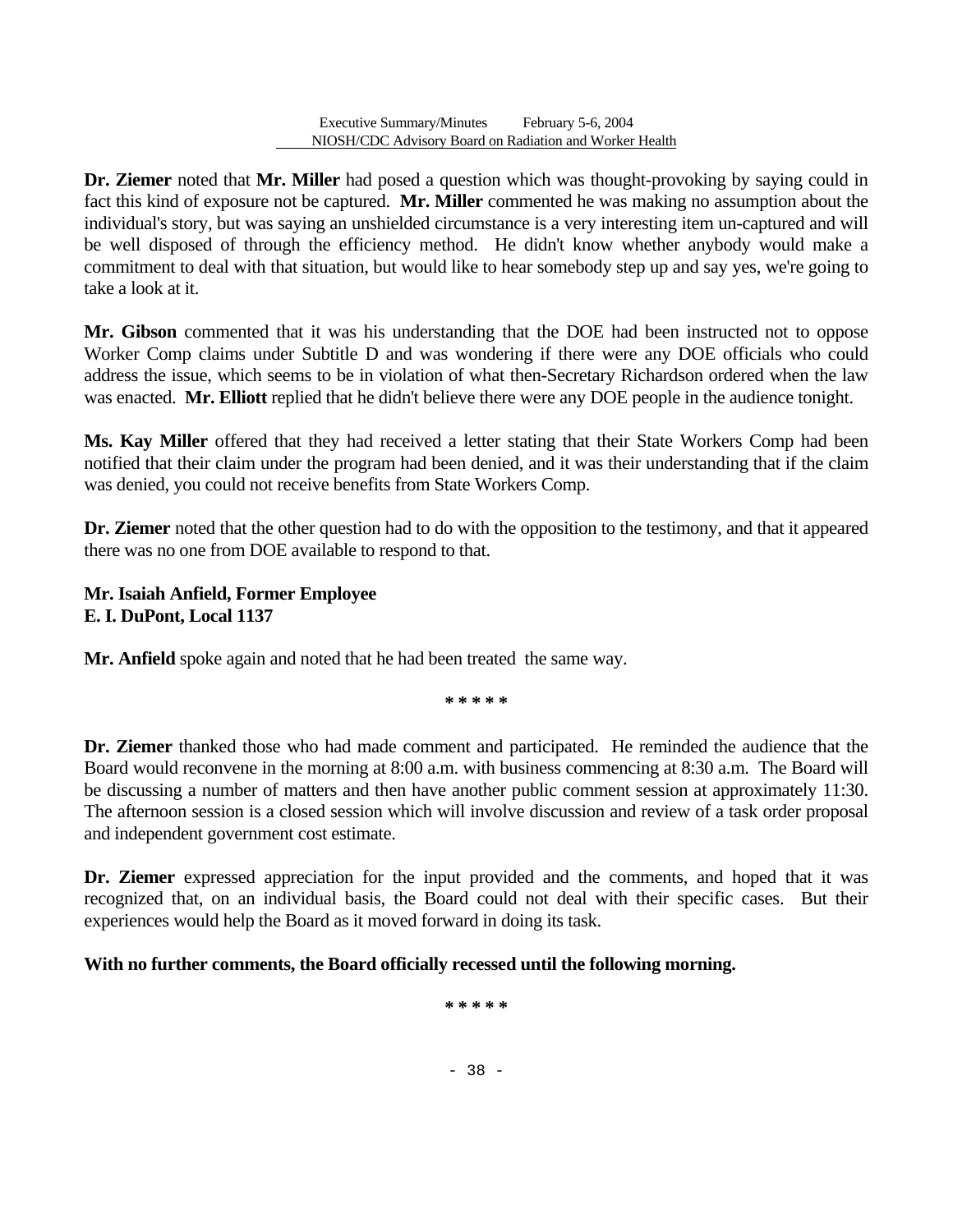**Dr. Ziemer** noted that **Mr. Miller** had posed a question which was thought-provoking by saying could in fact this kind of exposure not be captured. **Mr. Miller** commented he was making no assumption about the individual's story, but was saying an unshielded circumstance is a very interesting item un-captured and will be well disposed of through the efficiency method. He didn't know whether anybody would make a commitment to deal with that situation, but would like to hear somebody step up and say yes, we're going to take a look at it.

**Mr. Gibson** commented that it was his understanding that the DOE had been instructed not to oppose Worker Comp claims under Subtitle D and was wondering if there were any DOE officials who could address the issue, which seems to be in violation of what then-Secretary Richardson ordered when the law was enacted. **Mr. Elliott** replied that he didn't believe there were any DOE people in the audience tonight.

**Ms. Kay Miller** offered that they had received a letter stating that their State Workers Comp had been notified that their claim under the program had been denied, and it was their understanding that if the claim was denied, you could not receive benefits from State Workers Comp.

**Dr. Ziemer** noted that the other question had to do with the opposition to the testimony, and that it appeared there was no one from DOE available to respond to that.

# **Mr. Isaiah Anfield, Former Employee E. I. DuPont, Local 1137**

**Mr. Anfield** spoke again and noted that he had been treated the same way.

**\* \* \* \* \*** 

**Dr. Ziemer** thanked those who had made comment and participated. He reminded the audience that the Board would reconvene in the morning at 8:00 a.m. with business commencing at 8:30 a.m. The Board will be discussing a number of matters and then have another public comment session at approximately 11:30. The afternoon session is a closed session which will involve discussion and review of a task order proposal and independent government cost estimate.

**Dr. Ziemer** expressed appreciation for the input provided and the comments, and hoped that it was recognized that, on an individual basis, the Board could not deal with their specific cases. But their experiences would help the Board as it moved forward in doing its task.

# **With no further comments, the Board officially recessed until the following morning.**

**\* \* \* \* \*** 

- 38 -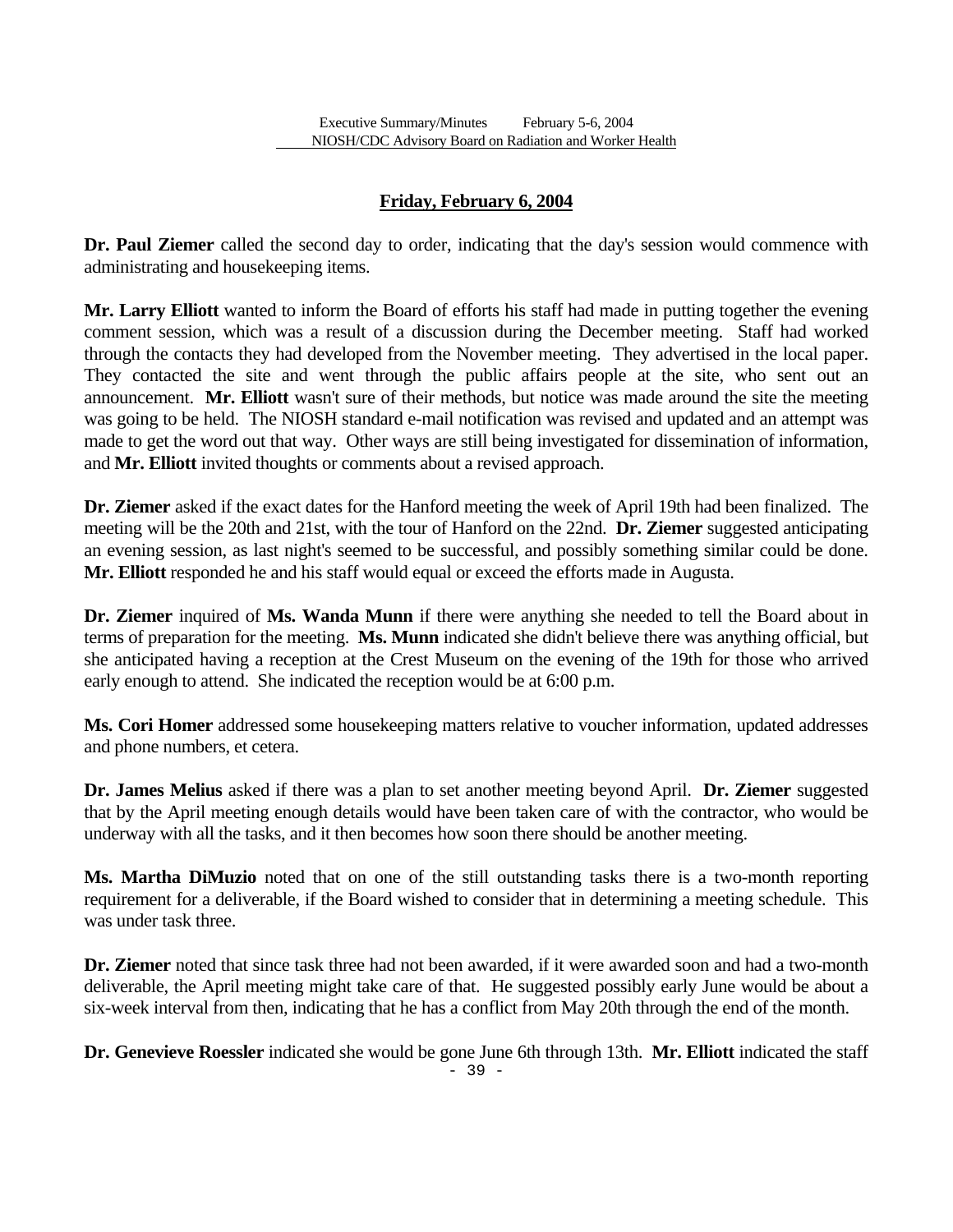# **Friday, February 6, 2004**

**Dr. Paul Ziemer** called the second day to order, indicating that the day's session would commence with administrating and housekeeping items.

**Mr. Larry Elliott** wanted to inform the Board of efforts his staff had made in putting together the evening comment session, which was a result of a discussion during the December meeting. Staff had worked through the contacts they had developed from the November meeting. They advertised in the local paper. They contacted the site and went through the public affairs people at the site, who sent out an announcement. **Mr. Elliott** wasn't sure of their methods, but notice was made around the site the meeting was going to be held. The NIOSH standard e-mail notification was revised and updated and an attempt was made to get the word out that way. Other ways are still being investigated for dissemination of information, and **Mr. Elliott** invited thoughts or comments about a revised approach.

**Dr. Ziemer** asked if the exact dates for the Hanford meeting the week of April 19th had been finalized. The meeting will be the 20th and 21st, with the tour of Hanford on the 22nd. **Dr. Ziemer** suggested anticipating an evening session, as last night's seemed to be successful, and possibly something similar could be done. **Mr. Elliott** responded he and his staff would equal or exceed the efforts made in Augusta.

**Dr. Ziemer** inquired of **Ms. Wanda Munn** if there were anything she needed to tell the Board about in terms of preparation for the meeting. **Ms. Munn** indicated she didn't believe there was anything official, but she anticipated having a reception at the Crest Museum on the evening of the 19th for those who arrived early enough to attend. She indicated the reception would be at 6:00 p.m.

**Ms. Cori Homer** addressed some housekeeping matters relative to voucher information, updated addresses and phone numbers, et cetera.

**Dr. James Melius** asked if there was a plan to set another meeting beyond April. **Dr. Ziemer** suggested that by the April meeting enough details would have been taken care of with the contractor, who would be underway with all the tasks, and it then becomes how soon there should be another meeting.

**Ms. Martha DiMuzio** noted that on one of the still outstanding tasks there is a two-month reporting requirement for a deliverable, if the Board wished to consider that in determining a meeting schedule. This was under task three.

**Dr. Ziemer** noted that since task three had not been awarded, if it were awarded soon and had a two-month deliverable, the April meeting might take care of that. He suggested possibly early June would be about a six-week interval from then, indicating that he has a conflict from May 20th through the end of the month.

**Dr. Genevieve Roessler** indicated she would be gone June 6th through 13th. **Mr. Elliott** indicated the staff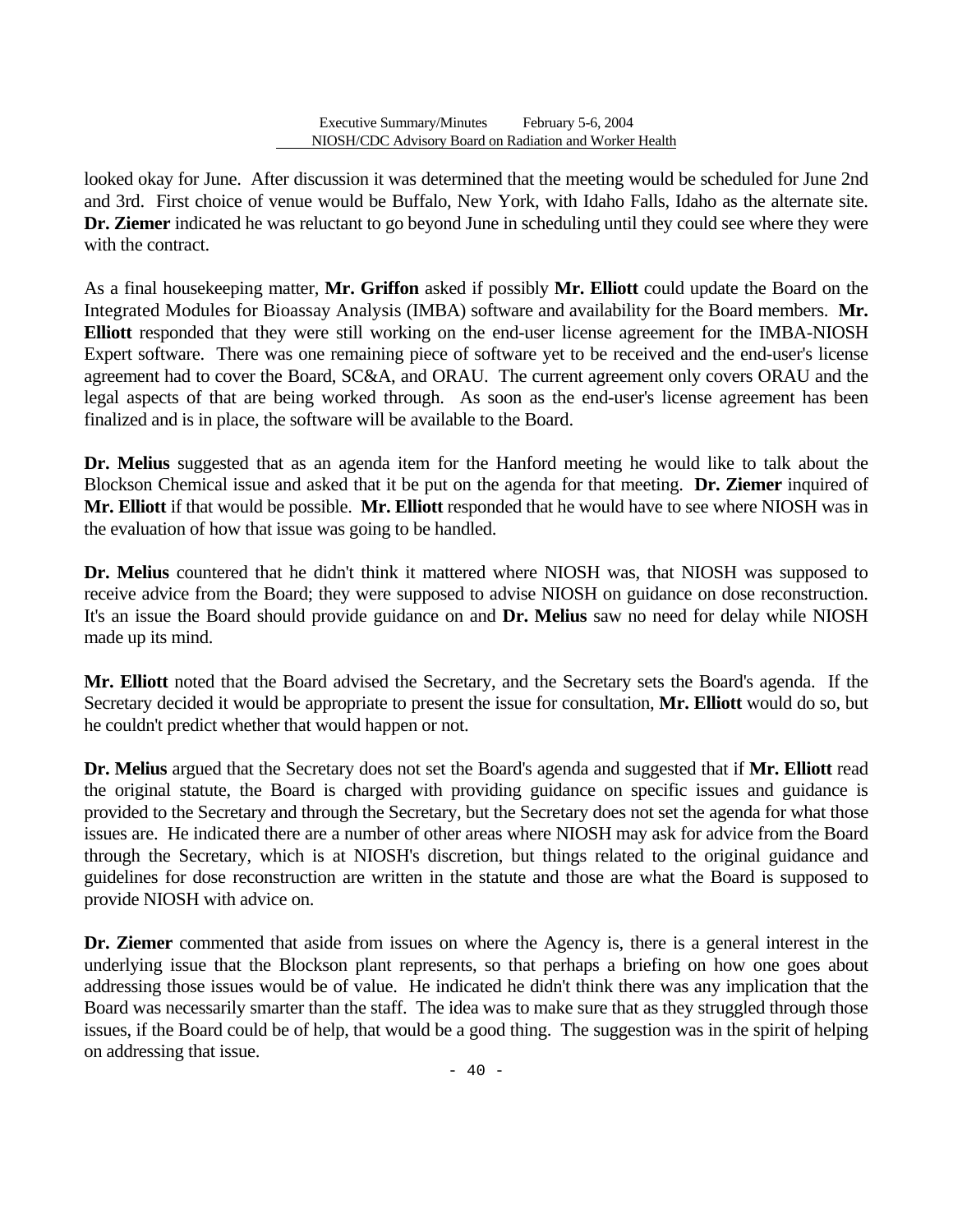looked okay for June. After discussion it was determined that the meeting would be scheduled for June 2nd and 3rd. First choice of venue would be Buffalo, New York, with Idaho Falls, Idaho as the alternate site. **Dr. Ziemer** indicated he was reluctant to go beyond June in scheduling until they could see where they were with the contract.

As a final housekeeping matter, **Mr. Griffon** asked if possibly **Mr. Elliott** could update the Board on the Integrated Modules for Bioassay Analysis (IMBA) software and availability for the Board members. **Mr. Elliott** responded that they were still working on the end-user license agreement for the IMBA-NIOSH Expert software. There was one remaining piece of software yet to be received and the end-user's license agreement had to cover the Board, SC&A, and ORAU. The current agreement only covers ORAU and the legal aspects of that are being worked through. As soon as the end-user's license agreement has been finalized and is in place, the software will be available to the Board.

**Dr. Melius** suggested that as an agenda item for the Hanford meeting he would like to talk about the Blockson Chemical issue and asked that it be put on the agenda for that meeting. **Dr. Ziemer** inquired of **Mr. Elliott** if that would be possible. **Mr. Elliott** responded that he would have to see where NIOSH was in the evaluation of how that issue was going to be handled.

**Dr. Melius** countered that he didn't think it mattered where NIOSH was, that NIOSH was supposed to receive advice from the Board; they were supposed to advise NIOSH on guidance on dose reconstruction. It's an issue the Board should provide guidance on and **Dr. Melius** saw no need for delay while NIOSH made up its mind.

**Mr. Elliott** noted that the Board advised the Secretary, and the Secretary sets the Board's agenda. If the Secretary decided it would be appropriate to present the issue for consultation, **Mr. Elliott** would do so, but he couldn't predict whether that would happen or not.

**Dr. Melius** argued that the Secretary does not set the Board's agenda and suggested that if **Mr. Elliott** read the original statute, the Board is charged with providing guidance on specific issues and guidance is provided to the Secretary and through the Secretary, but the Secretary does not set the agenda for what those issues are. He indicated there are a number of other areas where NIOSH may ask for advice from the Board through the Secretary, which is at NIOSH's discretion, but things related to the original guidance and guidelines for dose reconstruction are written in the statute and those are what the Board is supposed to provide NIOSH with advice on.

**Dr. Ziemer** commented that aside from issues on where the Agency is, there is a general interest in the underlying issue that the Blockson plant represents, so that perhaps a briefing on how one goes about addressing those issues would be of value. He indicated he didn't think there was any implication that the Board was necessarily smarter than the staff. The idea was to make sure that as they struggled through those issues, if the Board could be of help, that would be a good thing. The suggestion was in the spirit of helping on addressing that issue.

- 40 -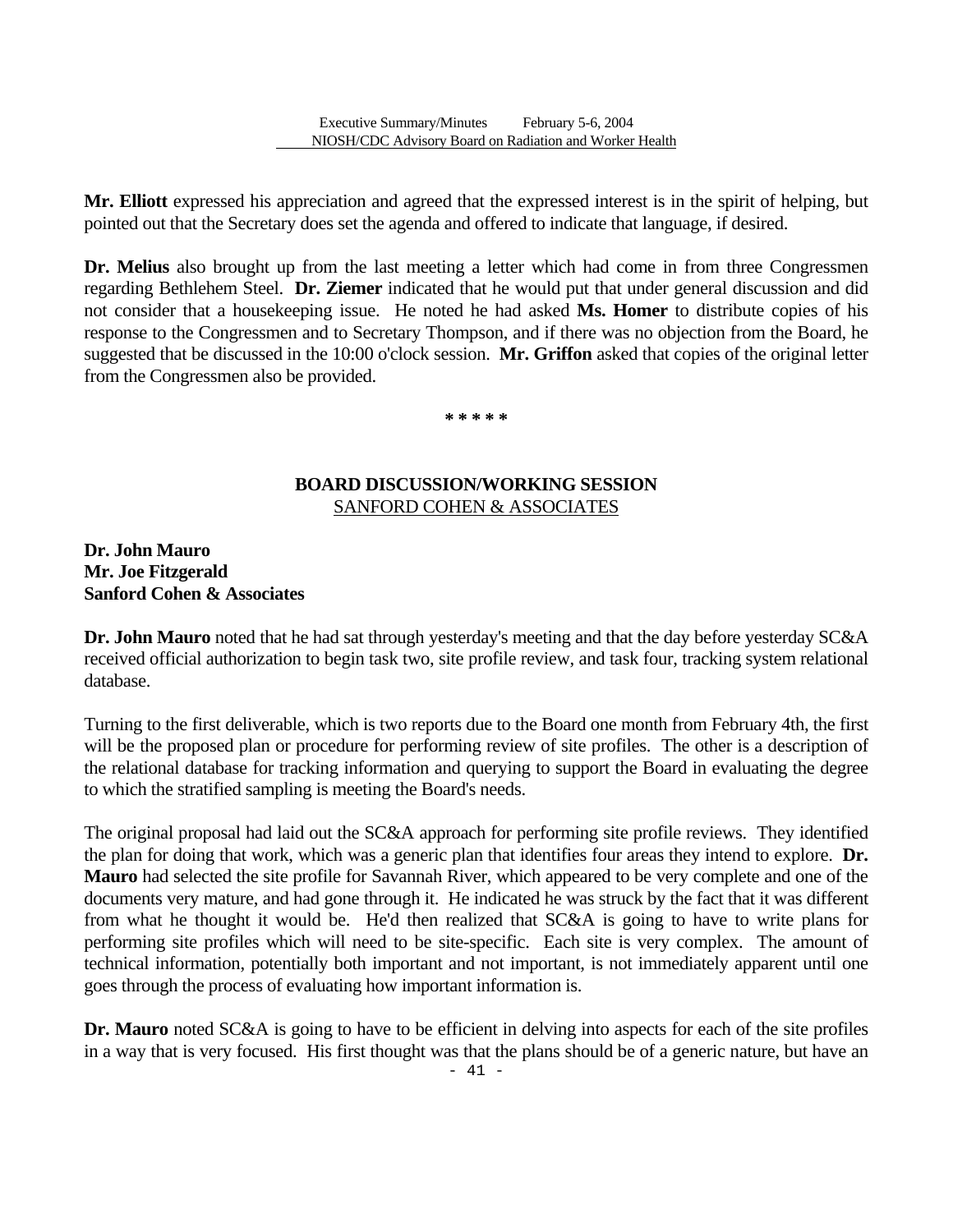**Mr. Elliott** expressed his appreciation and agreed that the expressed interest is in the spirit of helping, but pointed out that the Secretary does set the agenda and offered to indicate that language, if desired.

**Dr. Melius** also brought up from the last meeting a letter which had come in from three Congressmen regarding Bethlehem Steel. **Dr. Ziemer** indicated that he would put that under general discussion and did not consider that a housekeeping issue. He noted he had asked **Ms. Homer** to distribute copies of his response to the Congressmen and to Secretary Thompson, and if there was no objection from the Board, he suggested that be discussed in the 10:00 o'clock session. **Mr. Griffon** asked that copies of the original letter from the Congressmen also be provided.

**\* \* \* \* \*** 

### **BOARD DISCUSSION/WORKING SESSION**  SANFORD COHEN & ASSOCIATES

### **Dr. John Mauro Mr. Joe Fitzgerald Sanford Cohen & Associates**

**Dr. John Mauro** noted that he had sat through yesterday's meeting and that the day before yesterday SC&A received official authorization to begin task two, site profile review, and task four, tracking system relational database.

Turning to the first deliverable, which is two reports due to the Board one month from February 4th, the first will be the proposed plan or procedure for performing review of site profiles. The other is a description of the relational database for tracking information and querying to support the Board in evaluating the degree to which the stratified sampling is meeting the Board's needs.

The original proposal had laid out the SC&A approach for performing site profile reviews. They identified the plan for doing that work, which was a generic plan that identifies four areas they intend to explore. **Dr. Mauro** had selected the site profile for Savannah River, which appeared to be very complete and one of the documents very mature, and had gone through it. He indicated he was struck by the fact that it was different from what he thought it would be. He'd then realized that SC&A is going to have to write plans for performing site profiles which will need to be site-specific. Each site is very complex. The amount of technical information, potentially both important and not important, is not immediately apparent until one goes through the process of evaluating how important information is.

**Dr. Mauro** noted SC&A is going to have to be efficient in delving into aspects for each of the site profiles in a way that is very focused. His first thought was that the plans should be of a generic nature, but have an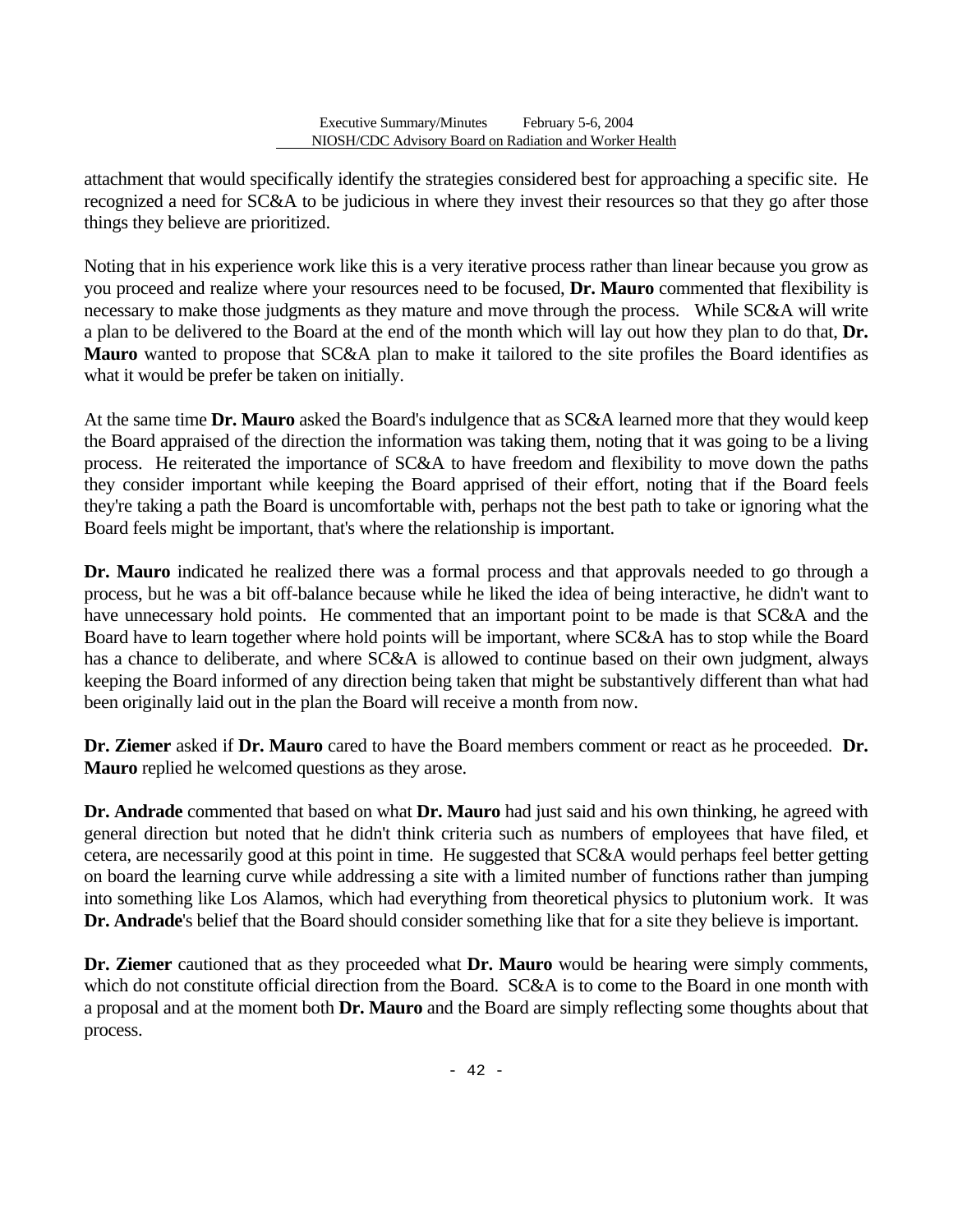attachment that would specifically identify the strategies considered best for approaching a specific site. He recognized a need for SC&A to be judicious in where they invest their resources so that they go after those things they believe are prioritized.

Noting that in his experience work like this is a very iterative process rather than linear because you grow as you proceed and realize where your resources need to be focused, **Dr. Mauro** commented that flexibility is necessary to make those judgments as they mature and move through the process. While SC&A will write a plan to be delivered to the Board at the end of the month which will lay out how they plan to do that, **Dr. Mauro** wanted to propose that SC&A plan to make it tailored to the site profiles the Board identifies as what it would be prefer be taken on initially.

At the same time **Dr. Mauro** asked the Board's indulgence that as SC&A learned more that they would keep the Board appraised of the direction the information was taking them, noting that it was going to be a living process. He reiterated the importance of SC&A to have freedom and flexibility to move down the paths they consider important while keeping the Board apprised of their effort, noting that if the Board feels they're taking a path the Board is uncomfortable with, perhaps not the best path to take or ignoring what the Board feels might be important, that's where the relationship is important.

**Dr. Mauro** indicated he realized there was a formal process and that approvals needed to go through a process, but he was a bit off-balance because while he liked the idea of being interactive, he didn't want to have unnecessary hold points. He commented that an important point to be made is that SC&A and the Board have to learn together where hold points will be important, where SC&A has to stop while the Board has a chance to deliberate, and where SC&A is allowed to continue based on their own judgment, always keeping the Board informed of any direction being taken that might be substantively different than what had been originally laid out in the plan the Board will receive a month from now.

**Dr. Ziemer** asked if **Dr. Mauro** cared to have the Board members comment or react as he proceeded. **Dr. Mauro** replied he welcomed questions as they arose.

**Dr. Andrade** commented that based on what **Dr. Mauro** had just said and his own thinking, he agreed with general direction but noted that he didn't think criteria such as numbers of employees that have filed, et cetera, are necessarily good at this point in time. He suggested that SC&A would perhaps feel better getting on board the learning curve while addressing a site with a limited number of functions rather than jumping into something like Los Alamos, which had everything from theoretical physics to plutonium work. It was **Dr. Andrade**'s belief that the Board should consider something like that for a site they believe is important.

**Dr. Ziemer** cautioned that as they proceeded what **Dr. Mauro** would be hearing were simply comments, which do not constitute official direction from the Board. SC&A is to come to the Board in one month with a proposal and at the moment both **Dr. Mauro** and the Board are simply reflecting some thoughts about that process.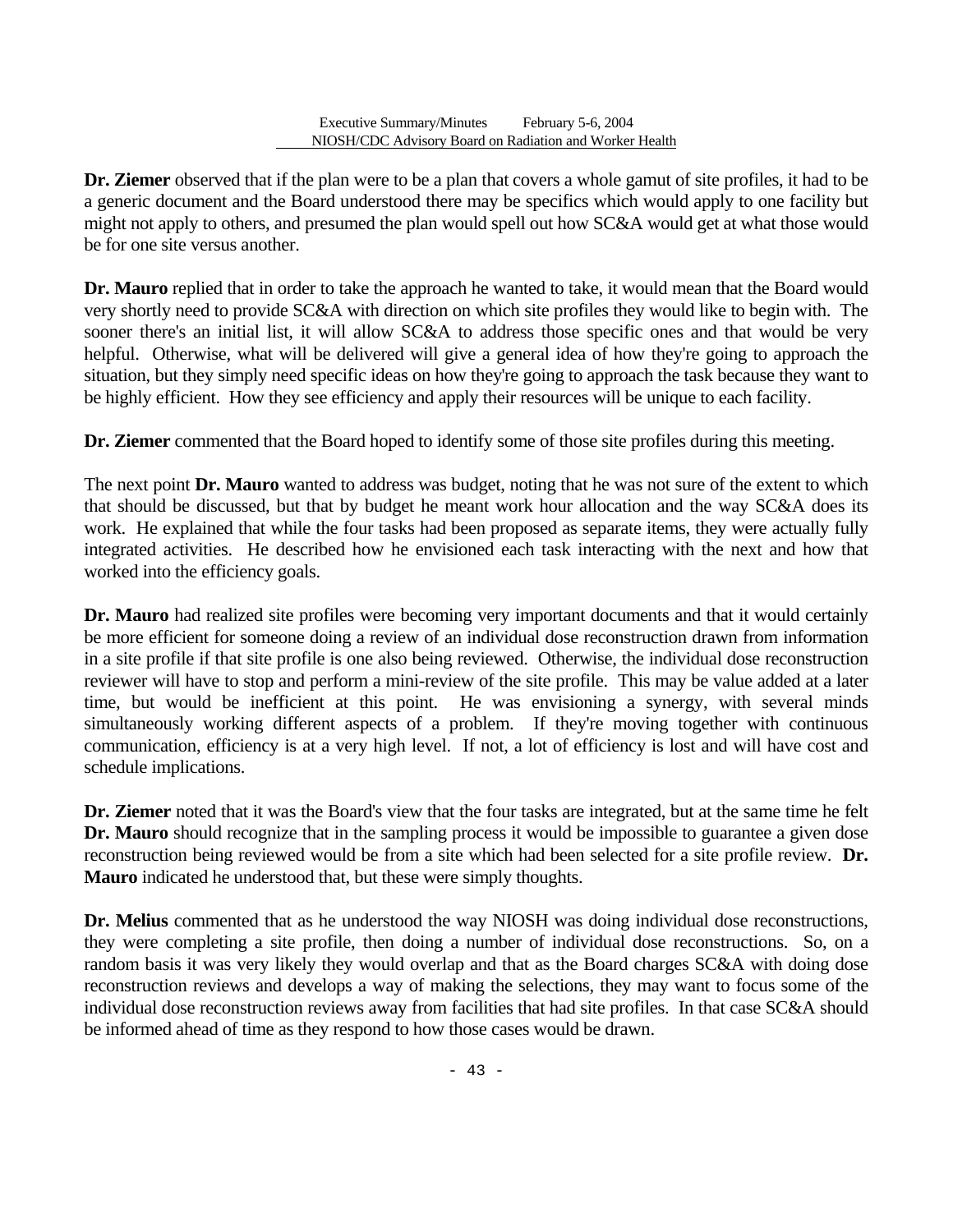**Dr. Ziemer** observed that if the plan were to be a plan that covers a whole gamut of site profiles, it had to be a generic document and the Board understood there may be specifics which would apply to one facility but might not apply to others, and presumed the plan would spell out how SC&A would get at what those would be for one site versus another.

**Dr. Mauro** replied that in order to take the approach he wanted to take, it would mean that the Board would very shortly need to provide SC&A with direction on which site profiles they would like to begin with. The sooner there's an initial list, it will allow SC&A to address those specific ones and that would be very helpful. Otherwise, what will be delivered will give a general idea of how they're going to approach the situation, but they simply need specific ideas on how they're going to approach the task because they want to be highly efficient. How they see efficiency and apply their resources will be unique to each facility.

**Dr. Ziemer** commented that the Board hoped to identify some of those site profiles during this meeting.

The next point **Dr. Mauro** wanted to address was budget, noting that he was not sure of the extent to which that should be discussed, but that by budget he meant work hour allocation and the way SC&A does its work. He explained that while the four tasks had been proposed as separate items, they were actually fully integrated activities. He described how he envisioned each task interacting with the next and how that worked into the efficiency goals.

**Dr. Mauro** had realized site profiles were becoming very important documents and that it would certainly be more efficient for someone doing a review of an individual dose reconstruction drawn from information in a site profile if that site profile is one also being reviewed. Otherwise, the individual dose reconstruction reviewer will have to stop and perform a mini-review of the site profile. This may be value added at a later time, but would be inefficient at this point. He was envisioning a synergy, with several minds simultaneously working different aspects of a problem. If they're moving together with continuous communication, efficiency is at a very high level. If not, a lot of efficiency is lost and will have cost and schedule implications.

**Dr. Ziemer** noted that it was the Board's view that the four tasks are integrated, but at the same time he felt **Dr. Mauro** should recognize that in the sampling process it would be impossible to guarantee a given dose reconstruction being reviewed would be from a site which had been selected for a site profile review. **Dr. Mauro** indicated he understood that, but these were simply thoughts.

**Dr. Melius** commented that as he understood the way NIOSH was doing individual dose reconstructions, they were completing a site profile, then doing a number of individual dose reconstructions. So, on a random basis it was very likely they would overlap and that as the Board charges SC&A with doing dose reconstruction reviews and develops a way of making the selections, they may want to focus some of the individual dose reconstruction reviews away from facilities that had site profiles. In that case SC&A should be informed ahead of time as they respond to how those cases would be drawn.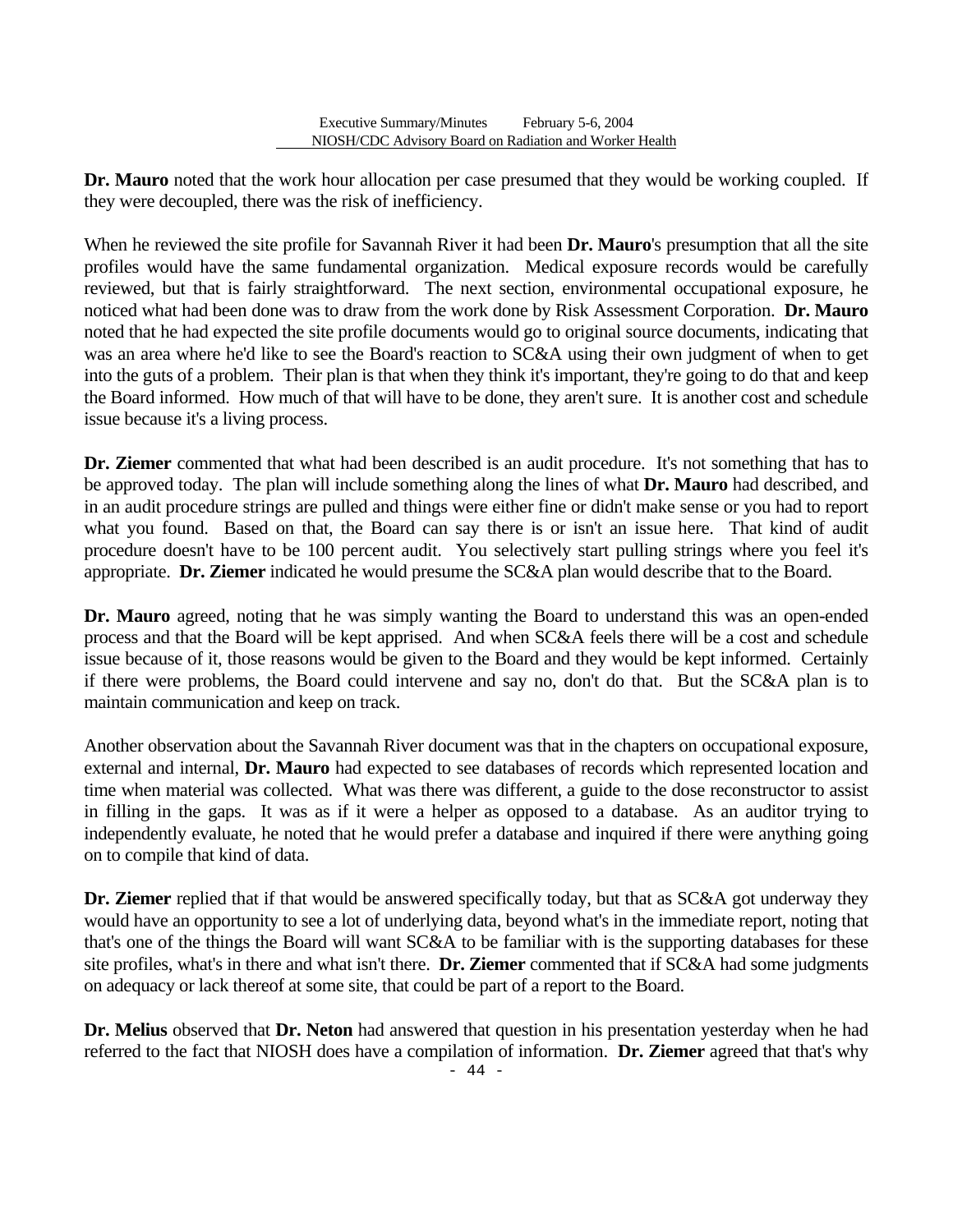**Dr. Mauro** noted that the work hour allocation per case presumed that they would be working coupled. If they were decoupled, there was the risk of inefficiency.

When he reviewed the site profile for Savannah River it had been **Dr. Mauro**'s presumption that all the site profiles would have the same fundamental organization. Medical exposure records would be carefully reviewed, but that is fairly straightforward. The next section, environmental occupational exposure, he noticed what had been done was to draw from the work done by Risk Assessment Corporation. **Dr. Mauro**  noted that he had expected the site profile documents would go to original source documents, indicating that was an area where he'd like to see the Board's reaction to SC&A using their own judgment of when to get into the guts of a problem. Their plan is that when they think it's important, they're going to do that and keep the Board informed. How much of that will have to be done, they aren't sure. It is another cost and schedule issue because it's a living process.

**Dr. Ziemer** commented that what had been described is an audit procedure. It's not something that has to be approved today. The plan will include something along the lines of what **Dr. Mauro** had described, and in an audit procedure strings are pulled and things were either fine or didn't make sense or you had to report what you found. Based on that, the Board can say there is or isn't an issue here. That kind of audit procedure doesn't have to be 100 percent audit. You selectively start pulling strings where you feel it's appropriate. **Dr. Ziemer** indicated he would presume the SC&A plan would describe that to the Board.

**Dr. Mauro** agreed, noting that he was simply wanting the Board to understand this was an open-ended process and that the Board will be kept apprised. And when SC&A feels there will be a cost and schedule issue because of it, those reasons would be given to the Board and they would be kept informed. Certainly if there were problems, the Board could intervene and say no, don't do that. But the SC&A plan is to maintain communication and keep on track.

Another observation about the Savannah River document was that in the chapters on occupational exposure, external and internal, **Dr. Mauro** had expected to see databases of records which represented location and time when material was collected. What was there was different, a guide to the dose reconstructor to assist in filling in the gaps. It was as if it were a helper as opposed to a database. As an auditor trying to independently evaluate, he noted that he would prefer a database and inquired if there were anything going on to compile that kind of data.

**Dr. Ziemer** replied that if that would be answered specifically today, but that as SC&A got underway they would have an opportunity to see a lot of underlying data, beyond what's in the immediate report, noting that that's one of the things the Board will want SC&A to be familiar with is the supporting databases for these site profiles, what's in there and what isn't there. **Dr. Ziemer** commented that if SC&A had some judgments on adequacy or lack thereof at some site, that could be part of a report to the Board.

**Dr. Melius** observed that **Dr. Neton** had answered that question in his presentation yesterday when he had referred to the fact that NIOSH does have a compilation of information. **Dr. Ziemer** agreed that that's why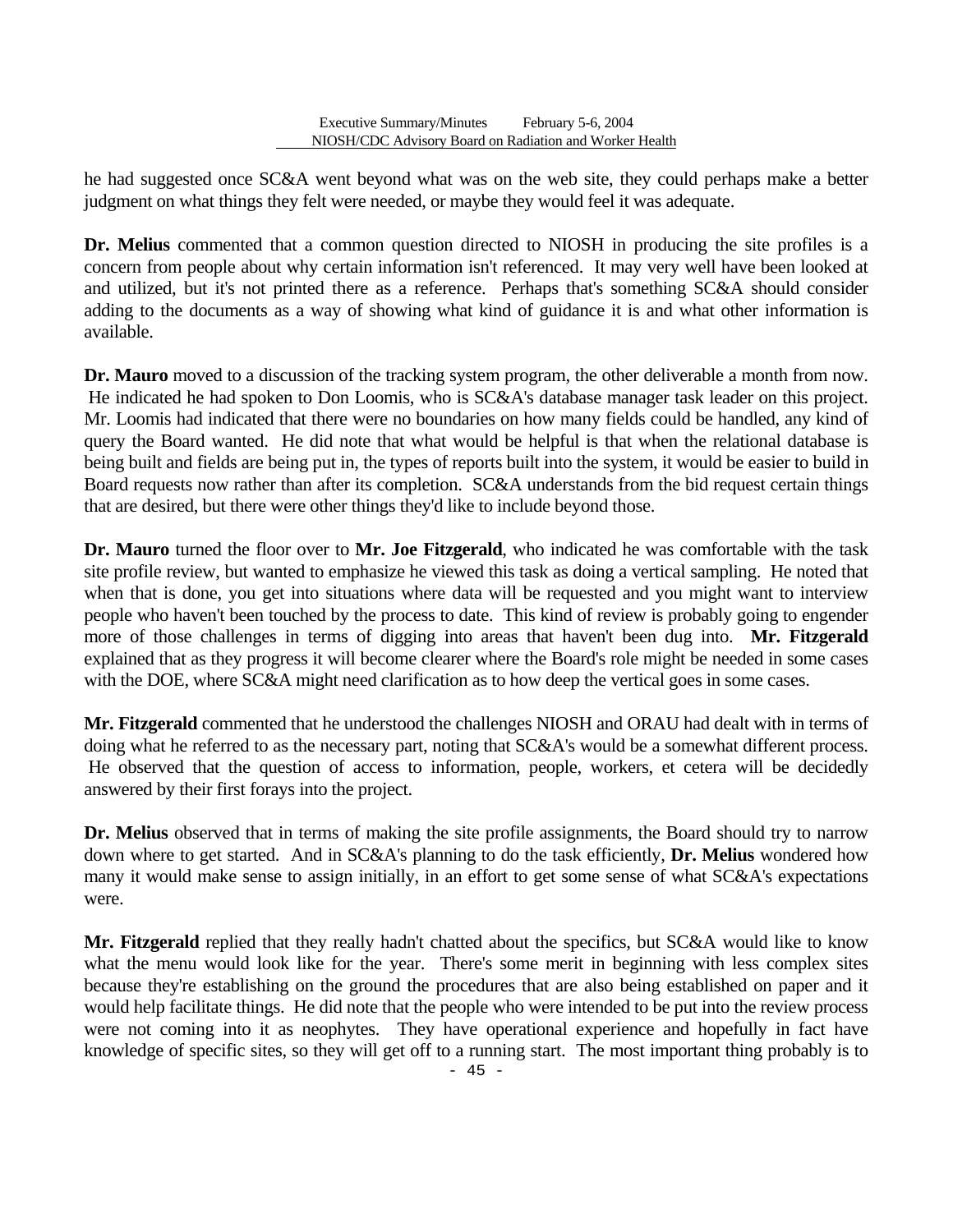he had suggested once SC&A went beyond what was on the web site, they could perhaps make a better judgment on what things they felt were needed, or maybe they would feel it was adequate.

**Dr. Melius** commented that a common question directed to NIOSH in producing the site profiles is a concern from people about why certain information isn't referenced. It may very well have been looked at and utilized, but it's not printed there as a reference. Perhaps that's something SC&A should consider adding to the documents as a way of showing what kind of guidance it is and what other information is available.

**Dr. Mauro** moved to a discussion of the tracking system program, the other deliverable a month from now. He indicated he had spoken to Don Loomis, who is SC&A's database manager task leader on this project. Mr. Loomis had indicated that there were no boundaries on how many fields could be handled, any kind of query the Board wanted. He did note that what would be helpful is that when the relational database is being built and fields are being put in, the types of reports built into the system, it would be easier to build in Board requests now rather than after its completion. SC&A understands from the bid request certain things that are desired, but there were other things they'd like to include beyond those.

**Dr. Mauro** turned the floor over to **Mr. Joe Fitzgerald**, who indicated he was comfortable with the task site profile review, but wanted to emphasize he viewed this task as doing a vertical sampling. He noted that when that is done, you get into situations where data will be requested and you might want to interview people who haven't been touched by the process to date. This kind of review is probably going to engender more of those challenges in terms of digging into areas that haven't been dug into. **Mr. Fitzgerald**  explained that as they progress it will become clearer where the Board's role might be needed in some cases with the DOE, where SC&A might need clarification as to how deep the vertical goes in some cases.

**Mr. Fitzgerald** commented that he understood the challenges NIOSH and ORAU had dealt with in terms of doing what he referred to as the necessary part, noting that SC&A's would be a somewhat different process. He observed that the question of access to information, people, workers, et cetera will be decidedly answered by their first forays into the project.

**Dr. Melius** observed that in terms of making the site profile assignments, the Board should try to narrow down where to get started. And in SC&A's planning to do the task efficiently, **Dr. Melius** wondered how many it would make sense to assign initially, in an effort to get some sense of what SC&A's expectations were.

**Mr. Fitzgerald** replied that they really hadn't chatted about the specifics, but SC&A would like to know what the menu would look like for the year. There's some merit in beginning with less complex sites because they're establishing on the ground the procedures that are also being established on paper and it would help facilitate things. He did note that the people who were intended to be put into the review process were not coming into it as neophytes. They have operational experience and hopefully in fact have knowledge of specific sites, so they will get off to a running start. The most important thing probably is to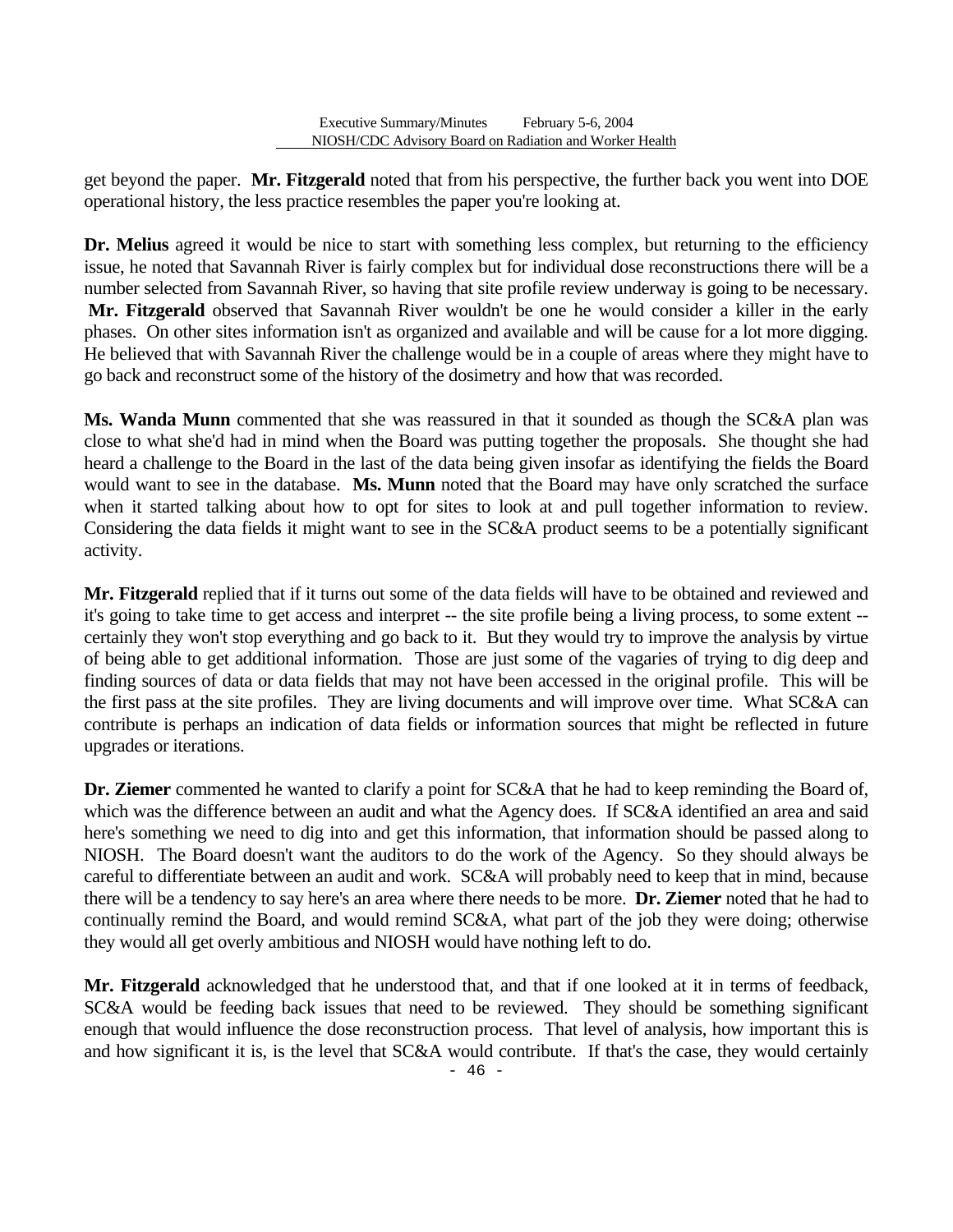get beyond the paper. **Mr. Fitzgerald** noted that from his perspective, the further back you went into DOE operational history, the less practice resembles the paper you're looking at.

**Dr. Melius** agreed it would be nice to start with something less complex, but returning to the efficiency issue, he noted that Savannah River is fairly complex but for individual dose reconstructions there will be a number selected from Savannah River, so having that site profile review underway is going to be necessary. **Mr. Fitzgerald** observed that Savannah River wouldn't be one he would consider a killer in the early phases. On other sites information isn't as organized and available and will be cause for a lot more digging. He believed that with Savannah River the challenge would be in a couple of areas where they might have to go back and reconstruct some of the history of the dosimetry and how that was recorded.

**Ms. Wanda Munn** commented that she was reassured in that it sounded as though the SC&A plan was close to what she'd had in mind when the Board was putting together the proposals. She thought she had heard a challenge to the Board in the last of the data being given insofar as identifying the fields the Board would want to see in the database. **Ms. Munn** noted that the Board may have only scratched the surface when it started talking about how to opt for sites to look at and pull together information to review. Considering the data fields it might want to see in the SC&A product seems to be a potentially significant activity.

**Mr. Fitzgerald** replied that if it turns out some of the data fields will have to be obtained and reviewed and it's going to take time to get access and interpret -- the site profile being a living process, to some extent - certainly they won't stop everything and go back to it. But they would try to improve the analysis by virtue of being able to get additional information. Those are just some of the vagaries of trying to dig deep and finding sources of data or data fields that may not have been accessed in the original profile. This will be the first pass at the site profiles. They are living documents and will improve over time. What SC&A can contribute is perhaps an indication of data fields or information sources that might be reflected in future upgrades or iterations.

**Dr. Ziemer** commented he wanted to clarify a point for SC&A that he had to keep reminding the Board of, which was the difference between an audit and what the Agency does. If SC&A identified an area and said here's something we need to dig into and get this information, that information should be passed along to NIOSH. The Board doesn't want the auditors to do the work of the Agency. So they should always be careful to differentiate between an audit and work. SC&A will probably need to keep that in mind, because there will be a tendency to say here's an area where there needs to be more. **Dr. Ziemer** noted that he had to continually remind the Board, and would remind SC&A, what part of the job they were doing; otherwise they would all get overly ambitious and NIOSH would have nothing left to do.

**Mr. Fitzgerald** acknowledged that he understood that, and that if one looked at it in terms of feedback, SC&A would be feeding back issues that need to be reviewed. They should be something significant enough that would influence the dose reconstruction process. That level of analysis, how important this is and how significant it is, is the level that SC&A would contribute. If that's the case, they would certainly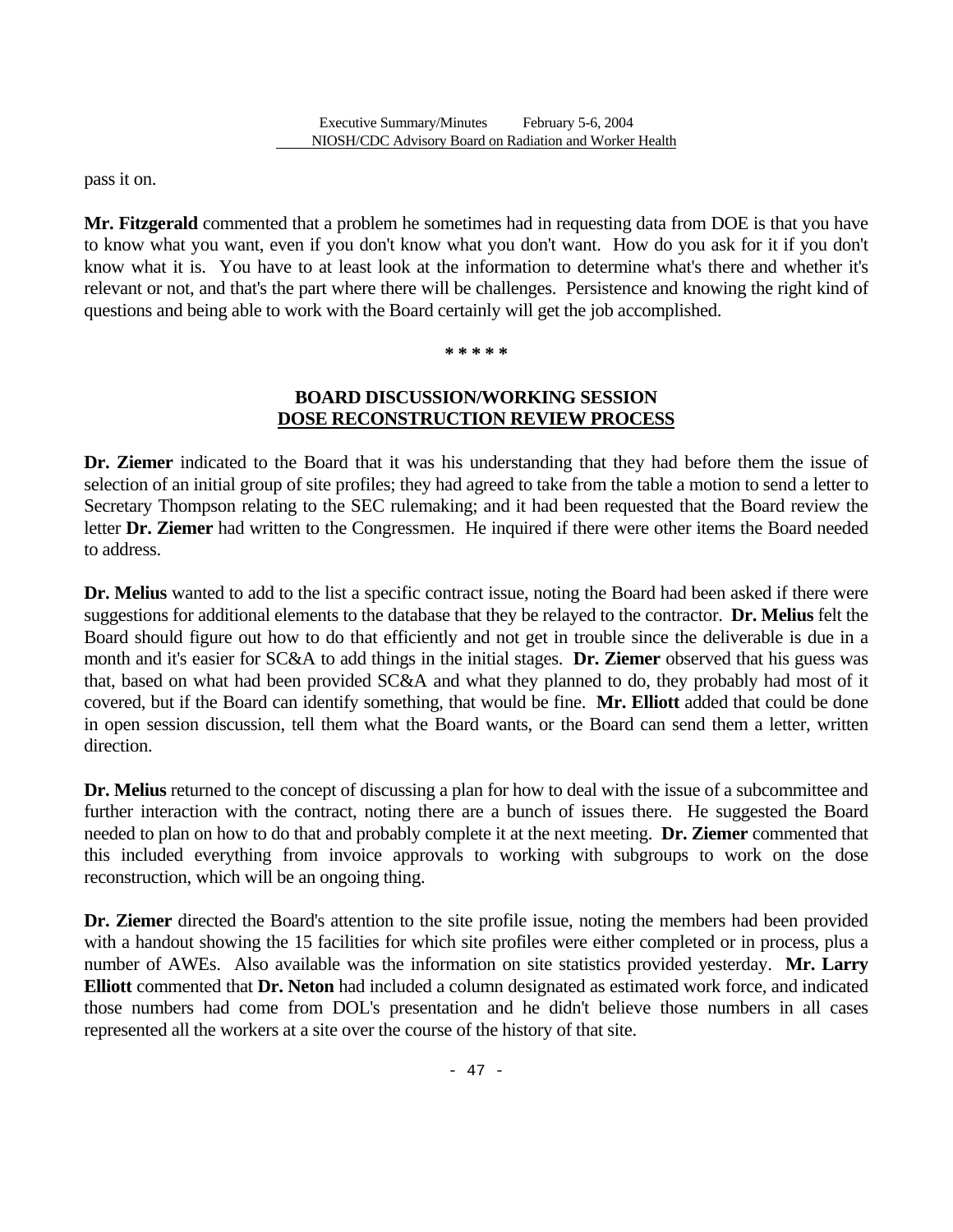pass it on.

**Mr. Fitzgerald** commented that a problem he sometimes had in requesting data from DOE is that you have to know what you want, even if you don't know what you don't want. How do you ask for it if you don't know what it is. You have to at least look at the information to determine what's there and whether it's relevant or not, and that's the part where there will be challenges. Persistence and knowing the right kind of questions and being able to work with the Board certainly will get the job accomplished.

#### **\* \* \* \* \***

### **BOARD DISCUSSION/WORKING SESSION DOSE RECONSTRUCTION REVIEW PROCESS**

**Dr. Ziemer** indicated to the Board that it was his understanding that they had before them the issue of selection of an initial group of site profiles; they had agreed to take from the table a motion to send a letter to Secretary Thompson relating to the SEC rulemaking; and it had been requested that the Board review the letter **Dr. Ziemer** had written to the Congressmen. He inquired if there were other items the Board needed to address.

**Dr. Melius** wanted to add to the list a specific contract issue, noting the Board had been asked if there were suggestions for additional elements to the database that they be relayed to the contractor. **Dr. Melius** felt the Board should figure out how to do that efficiently and not get in trouble since the deliverable is due in a month and it's easier for SC&A to add things in the initial stages. **Dr. Ziemer** observed that his guess was that, based on what had been provided SC&A and what they planned to do, they probably had most of it covered, but if the Board can identify something, that would be fine. **Mr. Elliott** added that could be done in open session discussion, tell them what the Board wants, or the Board can send them a letter, written direction.

**Dr. Melius** returned to the concept of discussing a plan for how to deal with the issue of a subcommittee and further interaction with the contract, noting there are a bunch of issues there. He suggested the Board needed to plan on how to do that and probably complete it at the next meeting. **Dr. Ziemer** commented that this included everything from invoice approvals to working with subgroups to work on the dose reconstruction, which will be an ongoing thing.

**Dr. Ziemer** directed the Board's attention to the site profile issue, noting the members had been provided with a handout showing the 15 facilities for which site profiles were either completed or in process, plus a number of AWEs. Also available was the information on site statistics provided yesterday. **Mr. Larry Elliott** commented that **Dr. Neton** had included a column designated as estimated work force, and indicated those numbers had come from DOL's presentation and he didn't believe those numbers in all cases represented all the workers at a site over the course of the history of that site.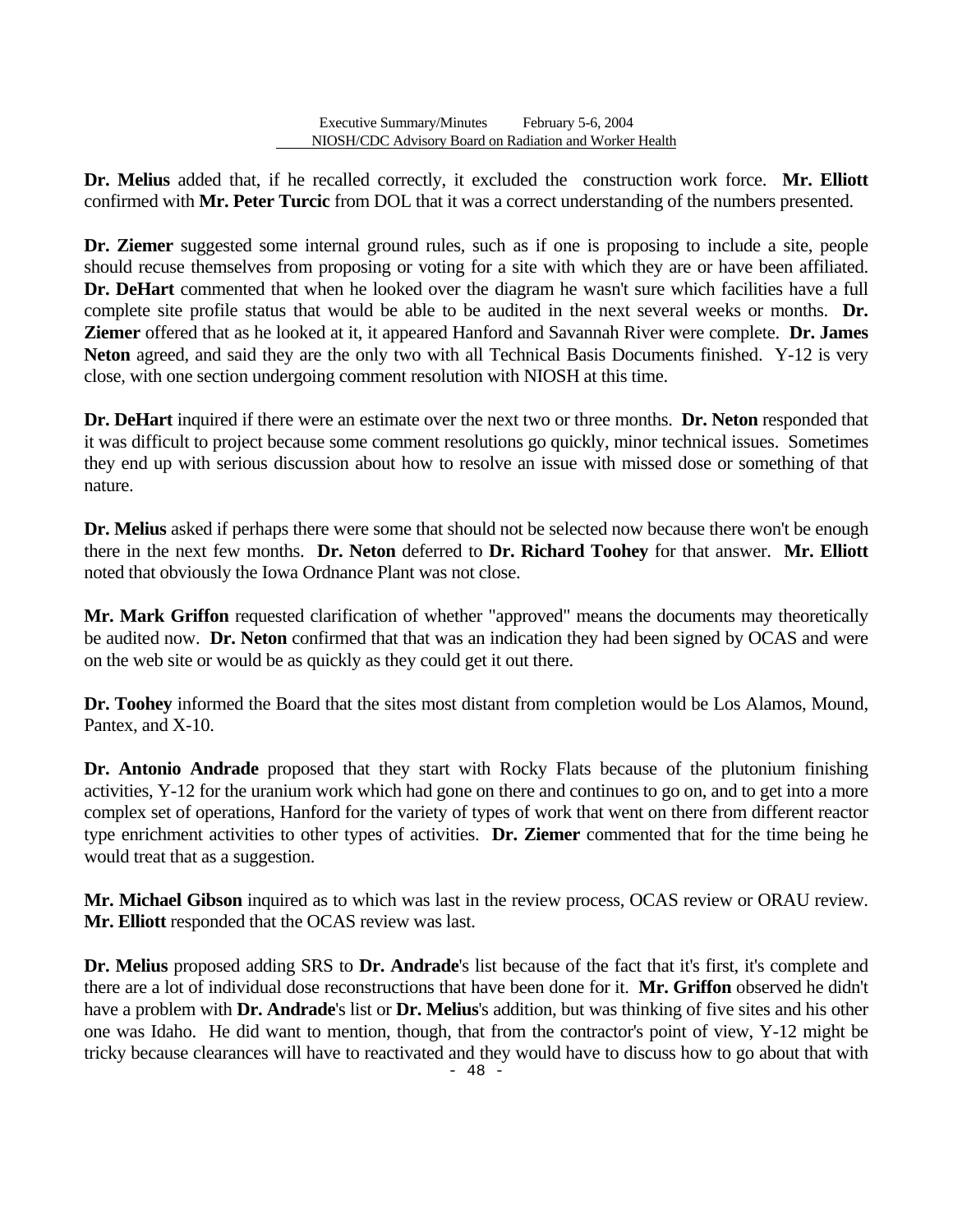**Dr. Melius** added that, if he recalled correctly, it excluded the construction work force. **Mr. Elliott**  confirmed with **Mr. Peter Turcic** from DOL that it was a correct understanding of the numbers presented.

**Dr. Ziemer** suggested some internal ground rules, such as if one is proposing to include a site, people should recuse themselves from proposing or voting for a site with which they are or have been affiliated. **Dr. DeHart** commented that when he looked over the diagram he wasn't sure which facilities have a full complete site profile status that would be able to be audited in the next several weeks or months. **Dr. Ziemer** offered that as he looked at it, it appeared Hanford and Savannah River were complete. **Dr. James Neton** agreed, and said they are the only two with all Technical Basis Documents finished. Y-12 is very close, with one section undergoing comment resolution with NIOSH at this time.

**Dr. DeHart** inquired if there were an estimate over the next two or three months. **Dr. Neton** responded that it was difficult to project because some comment resolutions go quickly, minor technical issues. Sometimes they end up with serious discussion about how to resolve an issue with missed dose or something of that nature.

**Dr. Melius** asked if perhaps there were some that should not be selected now because there won't be enough there in the next few months. **Dr. Neton** deferred to **Dr. Richard Toohey** for that answer. **Mr. Elliott**  noted that obviously the Iowa Ordnance Plant was not close.

**Mr. Mark Griffon** requested clarification of whether "approved" means the documents may theoretically be audited now. **Dr. Neton** confirmed that that was an indication they had been signed by OCAS and were on the web site or would be as quickly as they could get it out there.

**Dr. Toohey** informed the Board that the sites most distant from completion would be Los Alamos, Mound, Pantex, and X-10.

**Dr. Antonio Andrade** proposed that they start with Rocky Flats because of the plutonium finishing activities, Y-12 for the uranium work which had gone on there and continues to go on, and to get into a more complex set of operations, Hanford for the variety of types of work that went on there from different reactor type enrichment activities to other types of activities. **Dr. Ziemer** commented that for the time being he would treat that as a suggestion.

**Mr. Michael Gibson** inquired as to which was last in the review process, OCAS review or ORAU review. **Mr. Elliott** responded that the OCAS review was last.

**Dr. Melius** proposed adding SRS to **Dr. Andrade**'s list because of the fact that it's first, it's complete and there are a lot of individual dose reconstructions that have been done for it. **Mr. Griffon** observed he didn't have a problem with **Dr. Andrade**'s list or **Dr. Melius**'s addition, but was thinking of five sites and his other one was Idaho. He did want to mention, though, that from the contractor's point of view, Y-12 might be tricky because clearances will have to reactivated and they would have to discuss how to go about that with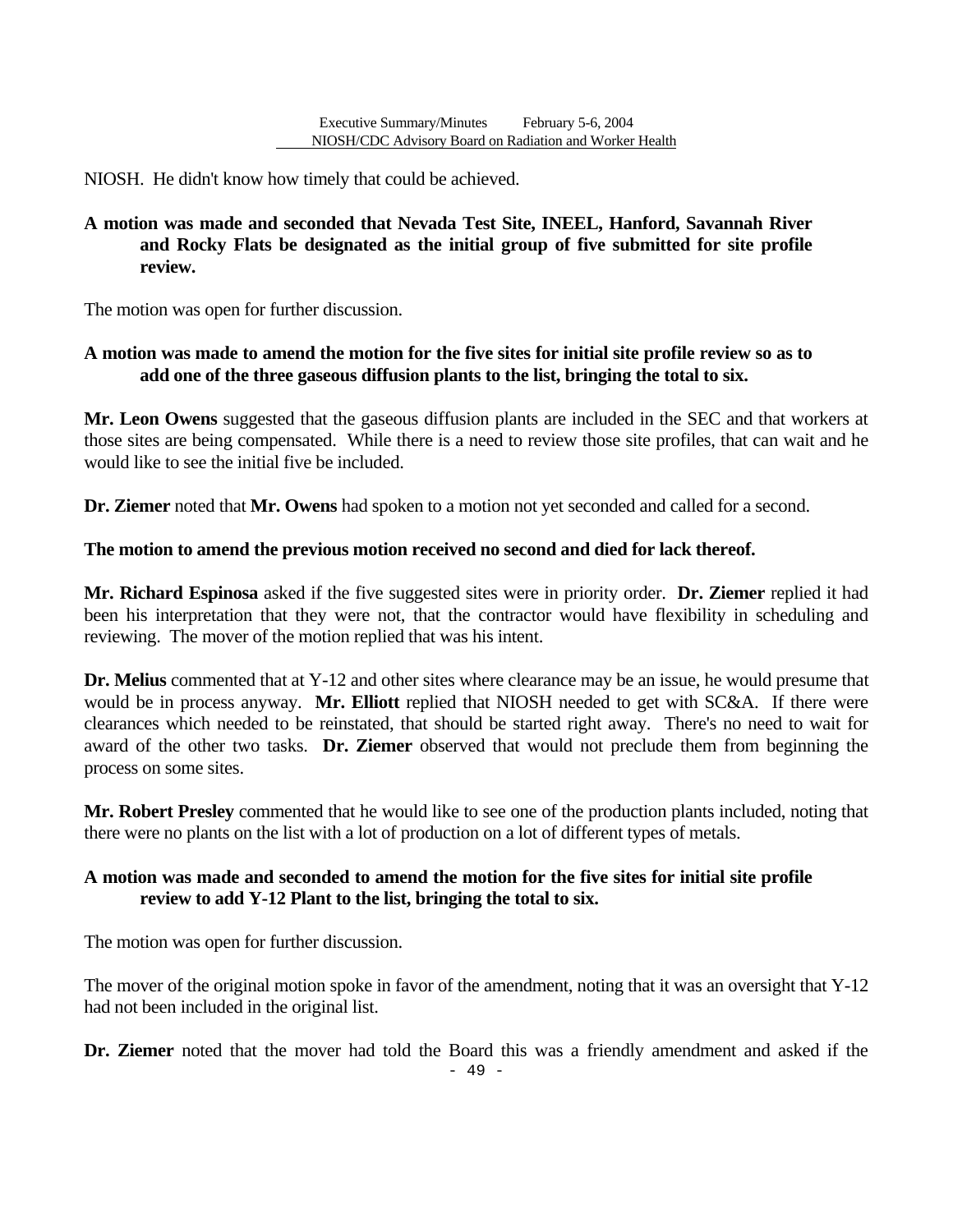NIOSH. He didn't know how timely that could be achieved.

# **review. A motion was made and seconded that Nevada Test Site, INEEL, Hanford, Savannah River and Rocky Flats be designated as the initial group of five submitted for site profile**

The motion was open for further discussion.

### **A motion was made to amend the motion for the five sites for initial site profile review so as to add one of the three gaseous diffusion plants to the list, bringing the total to six.**

**Mr. Leon Owens** suggested that the gaseous diffusion plants are included in the SEC and that workers at those sites are being compensated. While there is a need to review those site profiles, that can wait and he would like to see the initial five be included.

**Dr. Ziemer** noted that **Mr. Owens** had spoken to a motion not yet seconded and called for a second.

### **The motion to amend the previous motion received no second and died for lack thereof.**

**Mr. Richard Espinosa** asked if the five suggested sites were in priority order. **Dr. Ziemer** replied it had been his interpretation that they were not, that the contractor would have flexibility in scheduling and reviewing. The mover of the motion replied that was his intent.

**Dr. Melius** commented that at Y-12 and other sites where clearance may be an issue, he would presume that would be in process anyway. **Mr. Elliott** replied that NIOSH needed to get with SC&A. If there were clearances which needed to be reinstated, that should be started right away. There's no need to wait for award of the other two tasks. **Dr. Ziemer** observed that would not preclude them from beginning the process on some sites.

**Mr. Robert Presley** commented that he would like to see one of the production plants included, noting that there were no plants on the list with a lot of production on a lot of different types of metals.

### **A motion was made and seconded to amend the motion for the five sites for initial site profile review to add Y-12 Plant to the list, bringing the total to six.**

The motion was open for further discussion.

The mover of the original motion spoke in favor of the amendment, noting that it was an oversight that Y-12 had not been included in the original list.

**Dr. Ziemer** noted that the mover had told the Board this was a friendly amendment and asked if the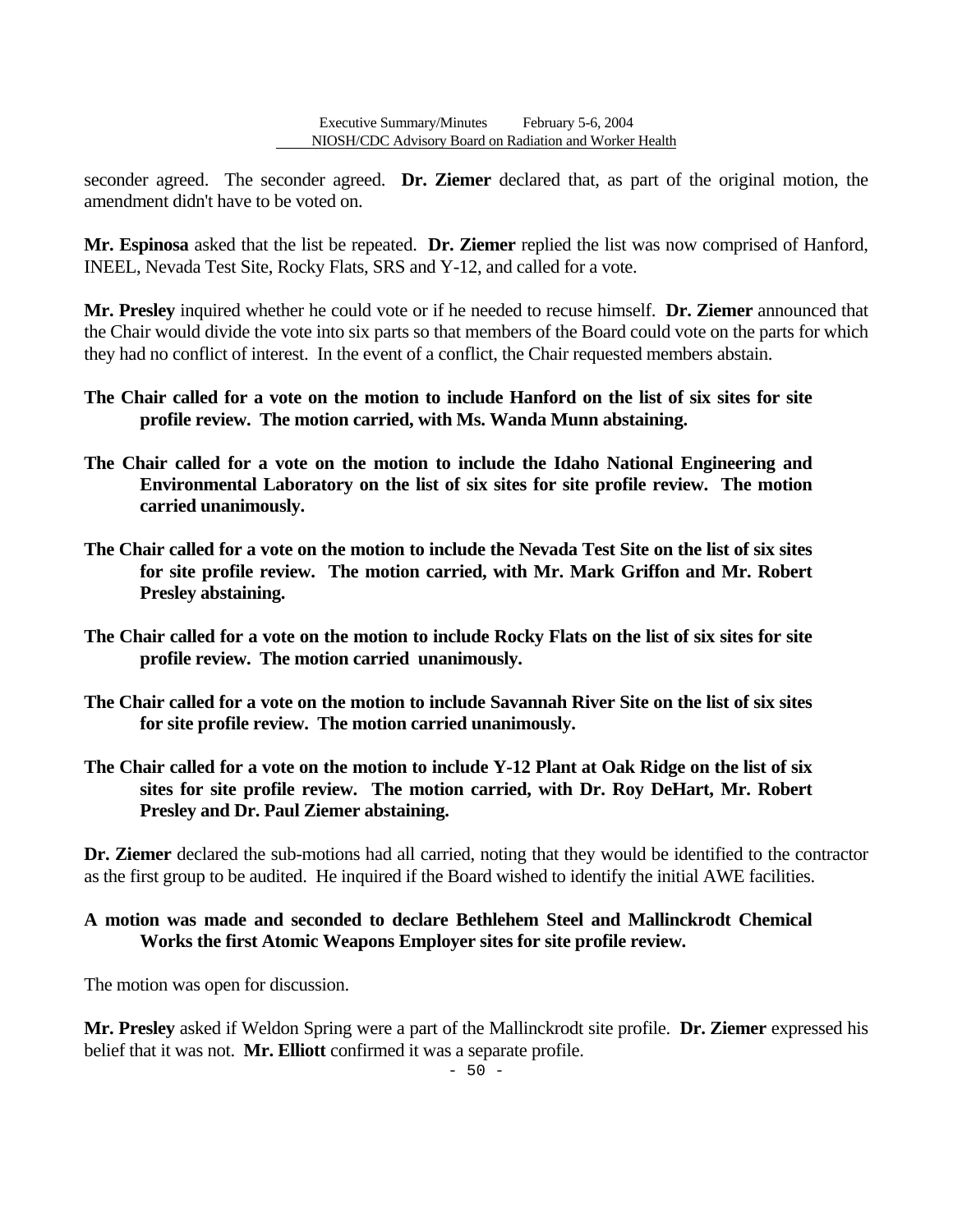seconder agreed. The seconder agreed. **Dr. Ziemer** declared that, as part of the original motion, the amendment didn't have to be voted on.

**Mr. Espinosa** asked that the list be repeated. **Dr. Ziemer** replied the list was now comprised of Hanford, INEEL, Nevada Test Site, Rocky Flats, SRS and Y-12, and called for a vote.

**Mr. Presley** inquired whether he could vote or if he needed to recuse himself. **Dr. Ziemer** announced that the Chair would divide the vote into six parts so that members of the Board could vote on the parts for which they had no conflict of interest. In the event of a conflict, the Chair requested members abstain.

- **The Chair called for a vote on the motion to include Hanford on the list of six sites for site profile review. The motion carried, with Ms. Wanda Munn abstaining.**
- **The Chair called for a vote on the motion to include the Idaho National Engineering and Environmental Laboratory on the list of six sites for site profile review. The motion carried unanimously.**
- **The Chair called for a vote on the motion to include the Nevada Test Site on the list of six sites for site profile review. The motion carried, with Mr. Mark Griffon and Mr. Robert Presley abstaining.**
- **The Chair called for a vote on the motion to include Rocky Flats on the list of six sites for site profile review. The motion carried unanimously.**
- **The Chair called for a vote on the motion to include Savannah River Site on the list of six sites for site profile review. The motion carried unanimously.**
- **The Chair called for a vote on the motion to include Y-12 Plant at Oak Ridge on the list of six sites for site profile review. The motion carried, with Dr. Roy DeHart, Mr. Robert Presley and Dr. Paul Ziemer abstaining.**

**Dr. Ziemer** declared the sub-motions had all carried, noting that they would be identified to the contractor as the first group to be audited. He inquired if the Board wished to identify the initial AWE facilities.

### **A motion was made and seconded to declare Bethlehem Steel and Mallinckrodt Chemical Works the first Atomic Weapons Employer sites for site profile review.**

The motion was open for discussion.

**Mr. Presley** asked if Weldon Spring were a part of the Mallinckrodt site profile. **Dr. Ziemer** expressed his belief that it was not. **Mr. Elliott** confirmed it was a separate profile.

 $-50 -$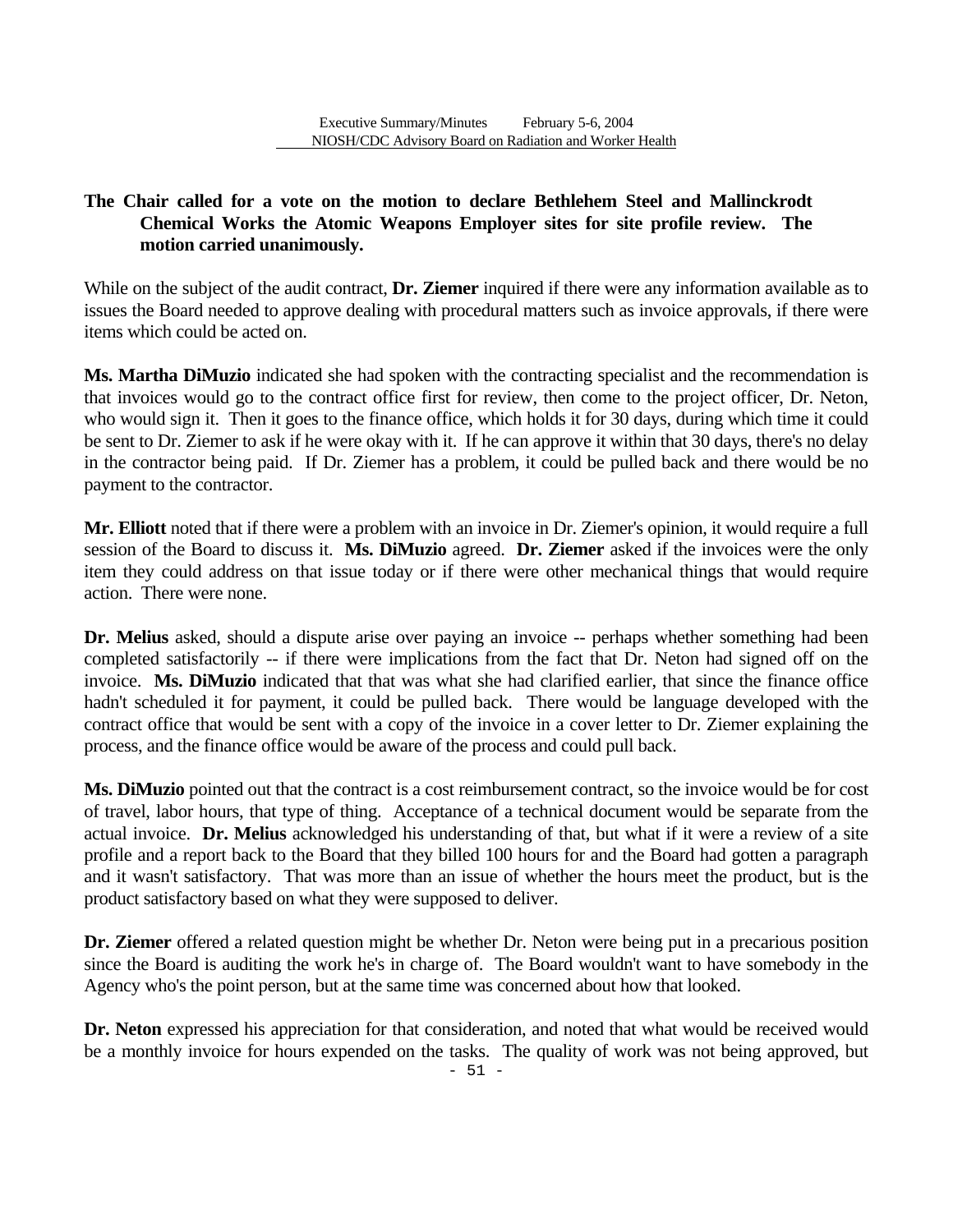# **The Chair called for a vote on the motion to declare Bethlehem Steel and Mallinckrodt Chemical Works the Atomic Weapons Employer sites for site profile review. The motion carried unanimously.**

While on the subject of the audit contract, **Dr. Ziemer** inquired if there were any information available as to issues the Board needed to approve dealing with procedural matters such as invoice approvals, if there were items which could be acted on.

**Ms. Martha DiMuzio** indicated she had spoken with the contracting specialist and the recommendation is that invoices would go to the contract office first for review, then come to the project officer, Dr. Neton, who would sign it. Then it goes to the finance office, which holds it for 30 days, during which time it could be sent to Dr. Ziemer to ask if he were okay with it. If he can approve it within that 30 days, there's no delay in the contractor being paid. If Dr. Ziemer has a problem, it could be pulled back and there would be no payment to the contractor.

**Mr. Elliott** noted that if there were a problem with an invoice in Dr. Ziemer's opinion, it would require a full session of the Board to discuss it. **Ms. DiMuzio** agreed. **Dr. Ziemer** asked if the invoices were the only item they could address on that issue today or if there were other mechanical things that would require action. There were none.

**Dr. Melius** asked, should a dispute arise over paying an invoice -- perhaps whether something had been completed satisfactorily -- if there were implications from the fact that Dr. Neton had signed off on the invoice. **Ms. DiMuzio** indicated that that was what she had clarified earlier, that since the finance office hadn't scheduled it for payment, it could be pulled back. There would be language developed with the contract office that would be sent with a copy of the invoice in a cover letter to Dr. Ziemer explaining the process, and the finance office would be aware of the process and could pull back.

**Ms. DiMuzio** pointed out that the contract is a cost reimbursement contract, so the invoice would be for cost of travel, labor hours, that type of thing. Acceptance of a technical document would be separate from the actual invoice. **Dr. Melius** acknowledged his understanding of that, but what if it were a review of a site profile and a report back to the Board that they billed 100 hours for and the Board had gotten a paragraph and it wasn't satisfactory. That was more than an issue of whether the hours meet the product, but is the product satisfactory based on what they were supposed to deliver.

**Dr. Ziemer** offered a related question might be whether Dr. Neton were being put in a precarious position since the Board is auditing the work he's in charge of. The Board wouldn't want to have somebody in the Agency who's the point person, but at the same time was concerned about how that looked.

**Dr. Neton** expressed his appreciation for that consideration, and noted that what would be received would be a monthly invoice for hours expended on the tasks. The quality of work was not being approved, but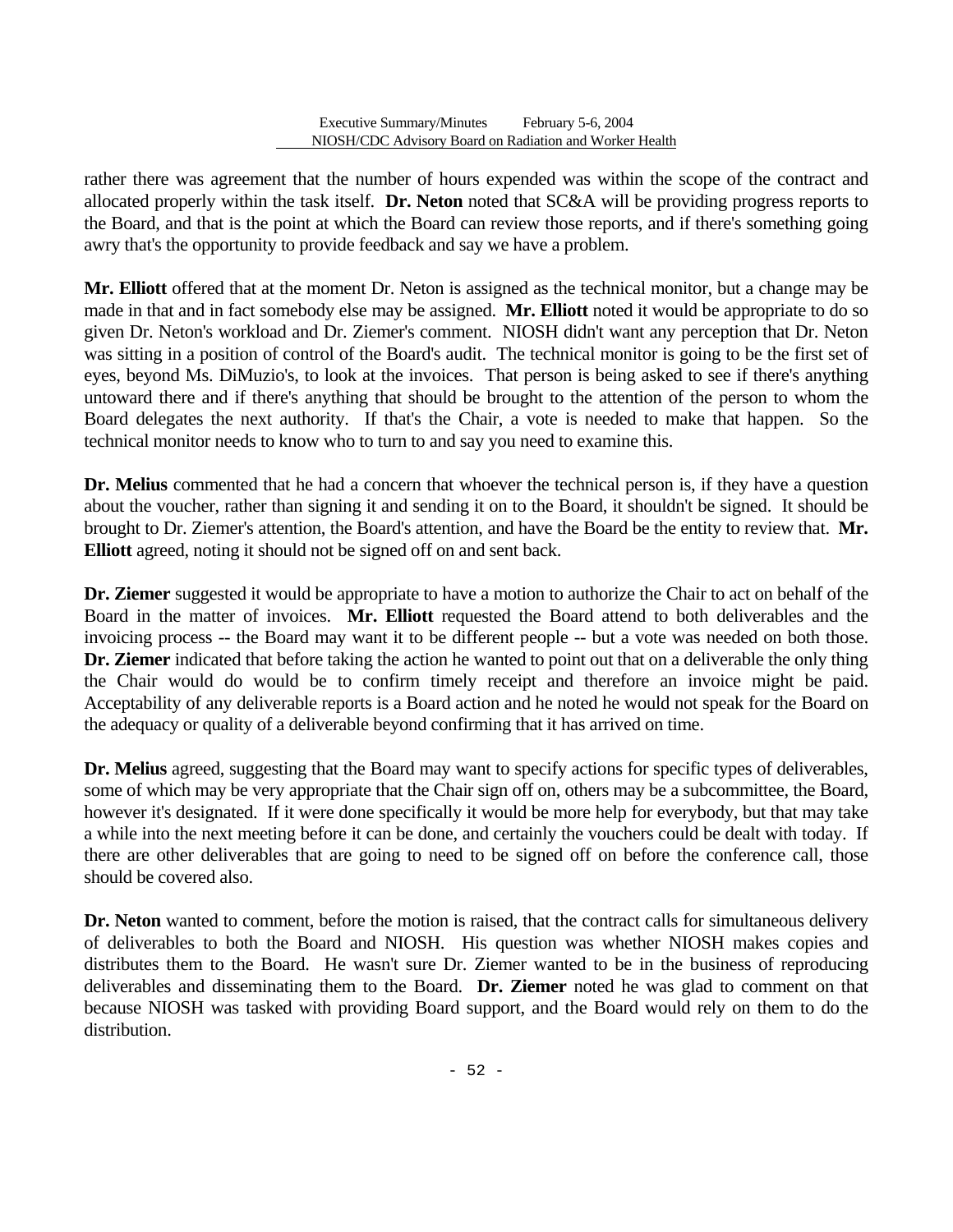allocated properly within the task itself. **Dr. Neton** noted that SC&A will be providing progress reports to rather there was agreement that the number of hours expended was within the scope of the contract and the Board, and that is the point at which the Board can review those reports, and if there's something going awry that's the opportunity to provide feedback and say we have a problem.

**Mr. Elliott** offered that at the moment Dr. Neton is assigned as the technical monitor, but a change may be made in that and in fact somebody else may be assigned. **Mr. Elliott** noted it would be appropriate to do so given Dr. Neton's workload and Dr. Ziemer's comment. NIOSH didn't want any perception that Dr. Neton was sitting in a position of control of the Board's audit. The technical monitor is going to be the first set of eyes, beyond Ms. DiMuzio's, to look at the invoices. That person is being asked to see if there's anything untoward there and if there's anything that should be brought to the attention of the person to whom the Board delegates the next authority. If that's the Chair, a vote is needed to make that happen. So the technical monitor needs to know who to turn to and say you need to examine this.

**Dr. Melius** commented that he had a concern that whoever the technical person is, if they have a question about the voucher, rather than signing it and sending it on to the Board, it shouldn't be signed. It should be brought to Dr. Ziemer's attention, the Board's attention, and have the Board be the entity to review that. **Mr. Elliott** agreed, noting it should not be signed off on and sent back.

**Dr. Ziemer** suggested it would be appropriate to have a motion to authorize the Chair to act on behalf of the Board in the matter of invoices. **Mr. Elliott** requested the Board attend to both deliverables and the invoicing process -- the Board may want it to be different people -- but a vote was needed on both those. **Dr. Ziemer** indicated that before taking the action he wanted to point out that on a deliverable the only thing the Chair would do would be to confirm timely receipt and therefore an invoice might be paid. Acceptability of any deliverable reports is a Board action and he noted he would not speak for the Board on the adequacy or quality of a deliverable beyond confirming that it has arrived on time.

**Dr. Melius** agreed, suggesting that the Board may want to specify actions for specific types of deliverables, some of which may be very appropriate that the Chair sign off on, others may be a subcommittee, the Board, however it's designated. If it were done specifically it would be more help for everybody, but that may take a while into the next meeting before it can be done, and certainly the vouchers could be dealt with today. If there are other deliverables that are going to need to be signed off on before the conference call, those should be covered also.

**Dr. Neton** wanted to comment, before the motion is raised, that the contract calls for simultaneous delivery of deliverables to both the Board and NIOSH. His question was whether NIOSH makes copies and distributes them to the Board. He wasn't sure Dr. Ziemer wanted to be in the business of reproducing deliverables and disseminating them to the Board. **Dr. Ziemer** noted he was glad to comment on that because NIOSH was tasked with providing Board support, and the Board would rely on them to do the distribution.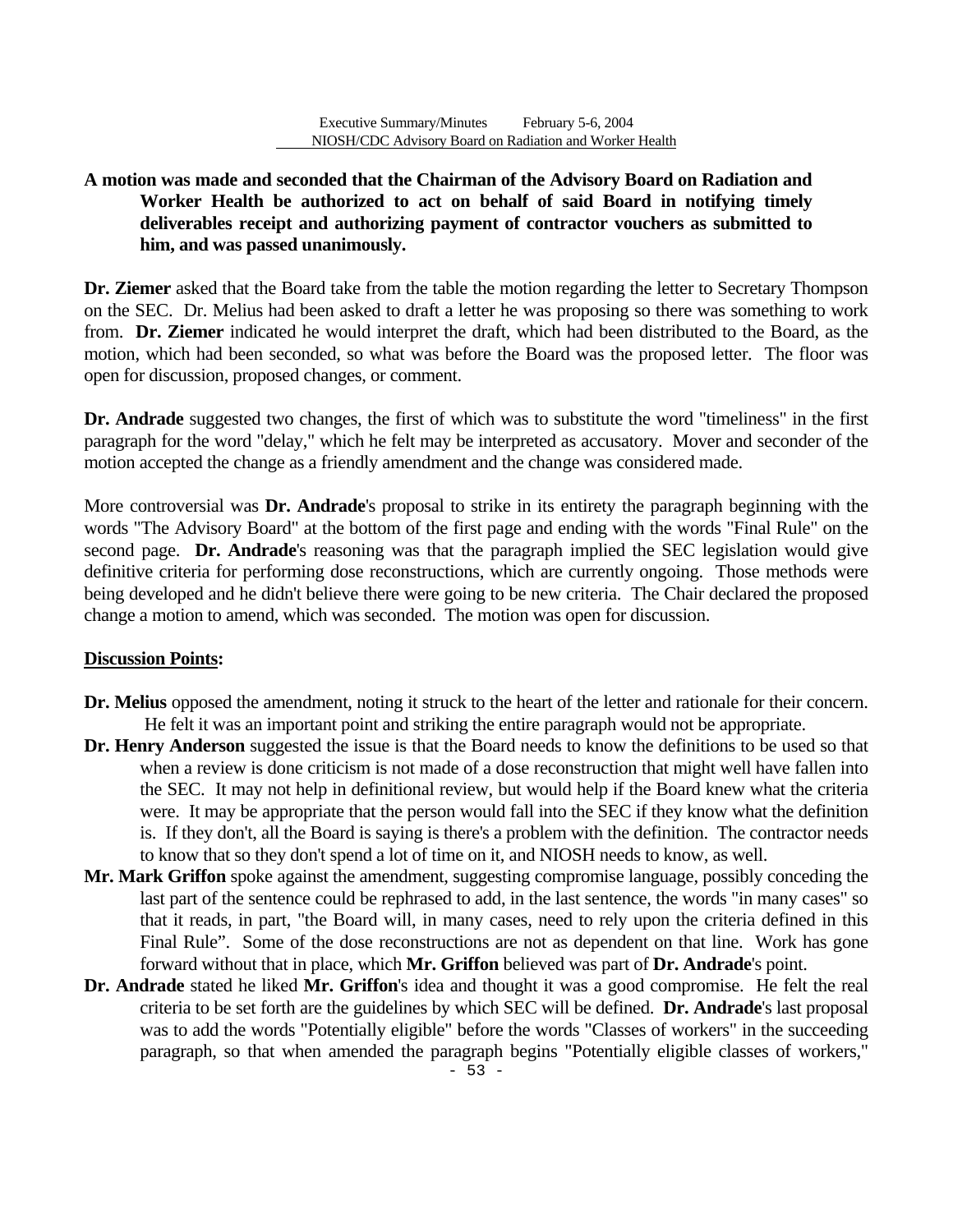# **A motion was made and seconded that the Chairman of the Advisory Board on Radiation and Worker Health be authorized to act on behalf of said Board in notifying timely deliverables receipt and authorizing payment of contractor vouchers as submitted to him, and was passed unanimously.**

**Dr. Ziemer** asked that the Board take from the table the motion regarding the letter to Secretary Thompson on the SEC. Dr. Melius had been asked to draft a letter he was proposing so there was something to work from. **Dr. Ziemer** indicated he would interpret the draft, which had been distributed to the Board, as the motion, which had been seconded, so what was before the Board was the proposed letter. The floor was open for discussion, proposed changes, or comment.

**Dr. Andrade** suggested two changes, the first of which was to substitute the word "timeliness" in the first paragraph for the word "delay," which he felt may be interpreted as accusatory. Mover and seconder of the motion accepted the change as a friendly amendment and the change was considered made.

More controversial was **Dr. Andrade**'s proposal to strike in its entirety the paragraph beginning with the words "The Advisory Board" at the bottom of the first page and ending with the words "Final Rule" on the second page. **Dr. Andrade**'s reasoning was that the paragraph implied the SEC legislation would give definitive criteria for performing dose reconstructions, which are currently ongoing. Those methods were being developed and he didn't believe there were going to be new criteria. The Chair declared the proposed change a motion to amend, which was seconded. The motion was open for discussion.

# **Discussion Points:**

- **Dr. Melius** opposed the amendment, noting it struck to the heart of the letter and rationale for their concern. He felt it was an important point and striking the entire paragraph would not be appropriate.
- **Dr. Henry Anderson** suggested the issue is that the Board needs to know the definitions to be used so that when a review is done criticism is not made of a dose reconstruction that might well have fallen into the SEC. It may not help in definitional review, but would help if the Board knew what the criteria were. It may be appropriate that the person would fall into the SEC if they know what the definition is. If they don't, all the Board is saying is there's a problem with the definition. The contractor needs to know that so they don't spend a lot of time on it, and NIOSH needs to know, as well.
- **Mr. Mark Griffon** spoke against the amendment, suggesting compromise language, possibly conceding the last part of the sentence could be rephrased to add, in the last sentence, the words "in many cases" so that it reads, in part, "the Board will, in many cases, need to rely upon the criteria defined in this Final Rule". Some of the dose reconstructions are not as dependent on that line. Work has gone forward without that in place, which **Mr. Griffon** believed was part of **Dr. Andrade**'s point.
- **Dr. Andrade** stated he liked **Mr. Griffon**'s idea and thought it was a good compromise. He felt the real criteria to be set forth are the guidelines by which SEC will be defined. **Dr. Andrade**'s last proposal was to add the words "Potentially eligible" before the words "Classes of workers" in the succeeding paragraph, so that when amended the paragraph begins "Potentially eligible classes of workers,"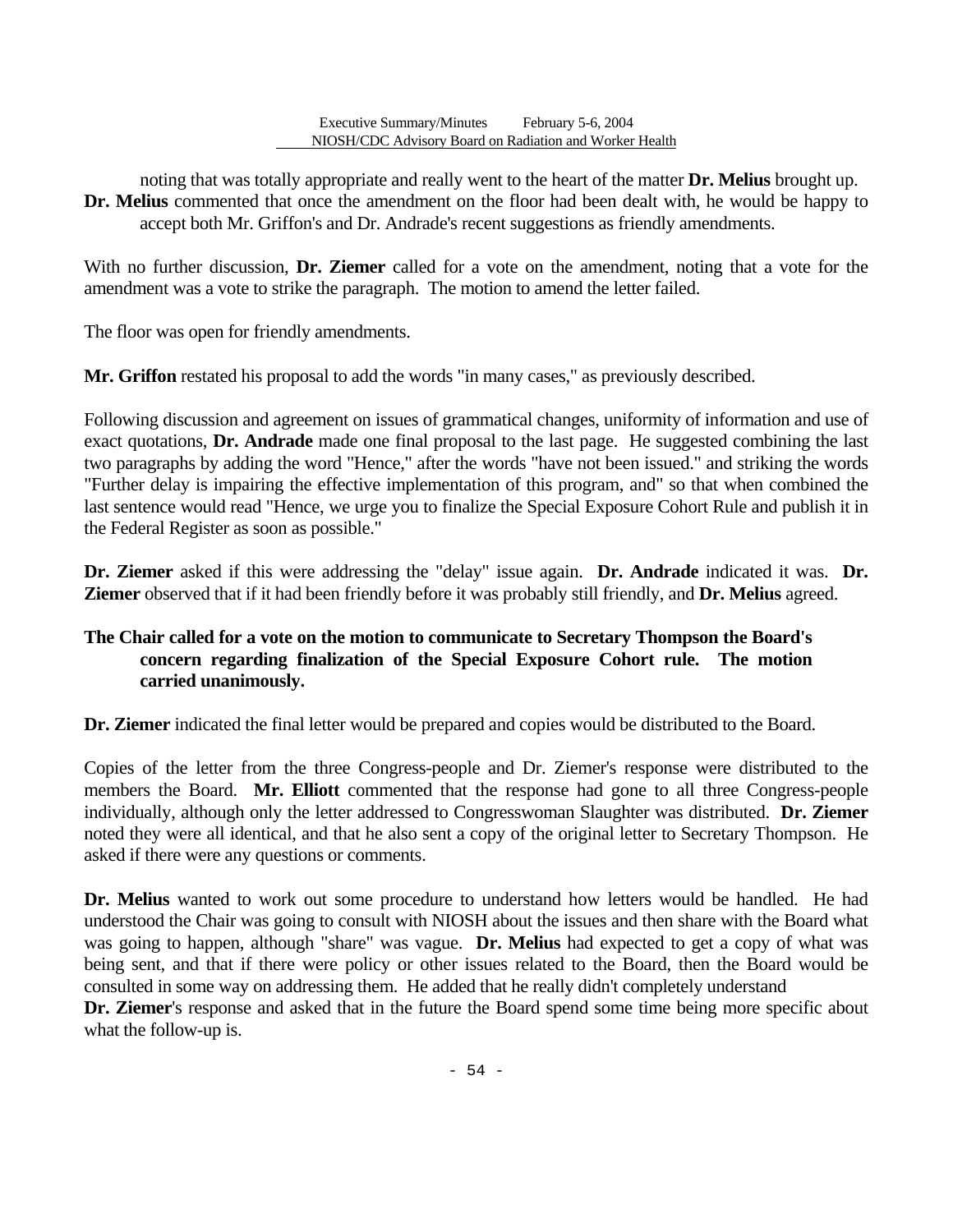noting that was totally appropriate and really went to the heart of the matter **Dr. Melius** brought up. **Dr. Melius** commented that once the amendment on the floor had been dealt with, he would be happy to accept both Mr. Griffon's and Dr. Andrade's recent suggestions as friendly amendments.

With no further discussion, **Dr. Ziemer** called for a vote on the amendment, noting that a vote for the amendment was a vote to strike the paragraph. The motion to amend the letter failed.

The floor was open for friendly amendments.

Mr. Griffon restated his proposal to add the words "in many cases," as previously described.

Following discussion and agreement on issues of grammatical changes, uniformity of information and use of exact quotations, **Dr. Andrade** made one final proposal to the last page. He suggested combining the last two paragraphs by adding the word "Hence," after the words "have not been issued." and striking the words "Further delay is impairing the effective implementation of this program, and" so that when combined the last sentence would read "Hence, we urge you to finalize the Special Exposure Cohort Rule and publish it in the Federal Register as soon as possible."

**Dr. Ziemer** asked if this were addressing the "delay" issue again. **Dr. Andrade** indicated it was. **Dr. Ziemer** observed that if it had been friendly before it was probably still friendly, and **Dr. Melius** agreed.

# **The Chair called for a vote on the motion to communicate to Secretary Thompson the Board's concern regarding finalization of the Special Exposure Cohort rule. The motion carried unanimously.**

**Dr. Ziemer** indicated the final letter would be prepared and copies would be distributed to the Board.

Copies of the letter from the three Congress-people and Dr. Ziemer's response were distributed to the members the Board. **Mr. Elliott** commented that the response had gone to all three Congress-people individually, although only the letter addressed to Congresswoman Slaughter was distributed. **Dr. Ziemer**  noted they were all identical, and that he also sent a copy of the original letter to Secretary Thompson. He asked if there were any questions or comments.

**Dr. Melius** wanted to work out some procedure to understand how letters would be handled. He had understood the Chair was going to consult with NIOSH about the issues and then share with the Board what was going to happen, although "share" was vague. **Dr. Melius** had expected to get a copy of what was being sent, and that if there were policy or other issues related to the Board, then the Board would be consulted in some way on addressing them. He added that he really didn't completely understand

**Dr. Ziemer**'s response and asked that in the future the Board spend some time being more specific about what the follow-up is.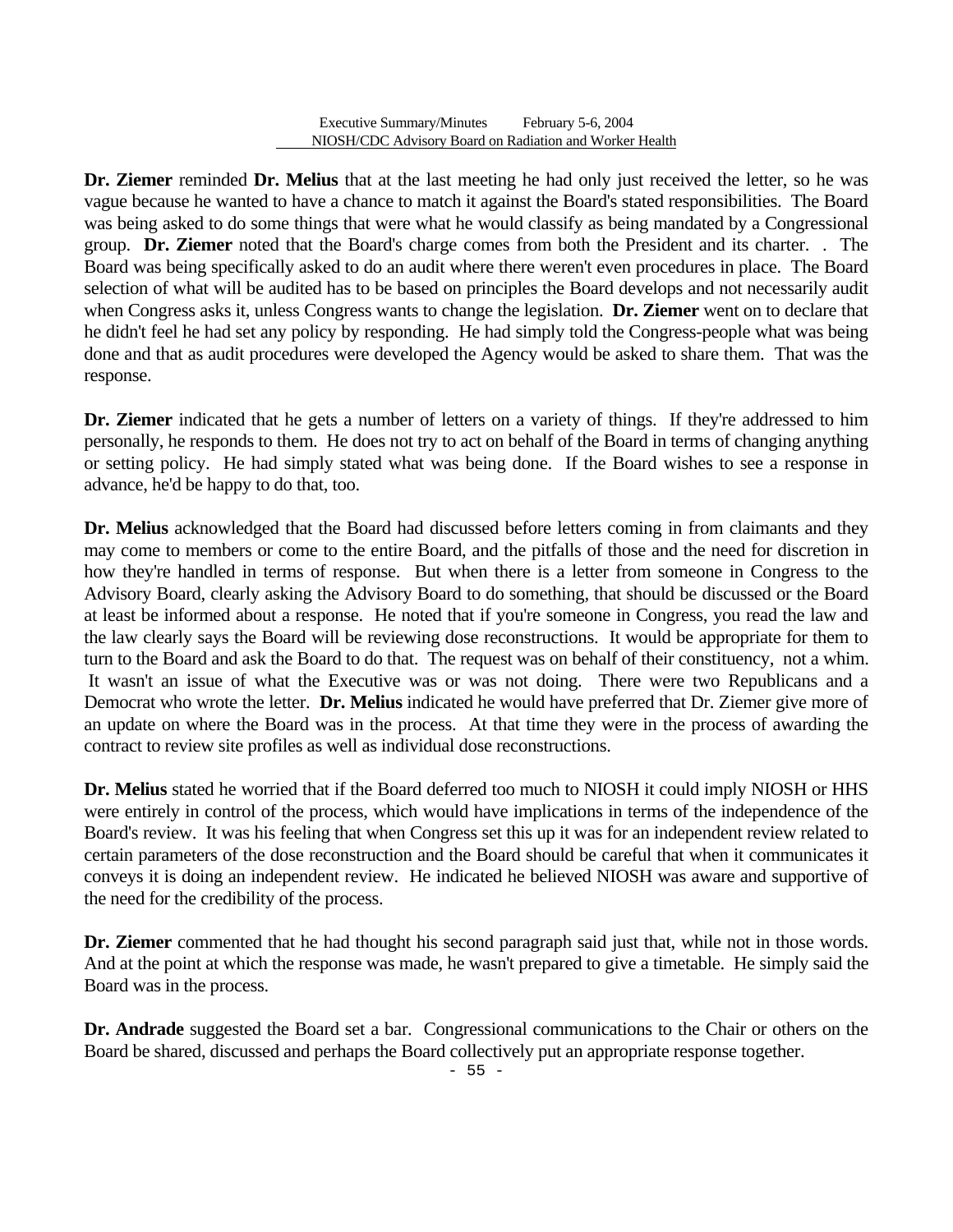**Dr. Ziemer** reminded **Dr. Melius** that at the last meeting he had only just received the letter, so he was vague because he wanted to have a chance to match it against the Board's stated responsibilities. The Board was being asked to do some things that were what he would classify as being mandated by a Congressional group. **Dr. Ziemer** noted that the Board's charge comes from both the President and its charter. . The Board was being specifically asked to do an audit where there weren't even procedures in place. The Board selection of what will be audited has to be based on principles the Board develops and not necessarily audit when Congress asks it, unless Congress wants to change the legislation. **Dr. Ziemer** went on to declare that he didn't feel he had set any policy by responding. He had simply told the Congress-people what was being done and that as audit procedures were developed the Agency would be asked to share them. That was the response.

**Dr. Ziemer** indicated that he gets a number of letters on a variety of things. If they're addressed to him personally, he responds to them. He does not try to act on behalf of the Board in terms of changing anything or setting policy. He had simply stated what was being done. If the Board wishes to see a response in advance, he'd be happy to do that, too.

**Dr. Melius** acknowledged that the Board had discussed before letters coming in from claimants and they may come to members or come to the entire Board, and the pitfalls of those and the need for discretion in how they're handled in terms of response. But when there is a letter from someone in Congress to the Advisory Board, clearly asking the Advisory Board to do something, that should be discussed or the Board at least be informed about a response. He noted that if you're someone in Congress, you read the law and the law clearly says the Board will be reviewing dose reconstructions. It would be appropriate for them to turn to the Board and ask the Board to do that. The request was on behalf of their constituency, not a whim. It wasn't an issue of what the Executive was or was not doing. There were two Republicans and a Democrat who wrote the letter. **Dr. Melius** indicated he would have preferred that Dr. Ziemer give more of an update on where the Board was in the process. At that time they were in the process of awarding the contract to review site profiles as well as individual dose reconstructions.

**Dr. Melius** stated he worried that if the Board deferred too much to NIOSH it could imply NIOSH or HHS were entirely in control of the process, which would have implications in terms of the independence of the Board's review. It was his feeling that when Congress set this up it was for an independent review related to certain parameters of the dose reconstruction and the Board should be careful that when it communicates it conveys it is doing an independent review. He indicated he believed NIOSH was aware and supportive of the need for the credibility of the process.

**Dr. Ziemer** commented that he had thought his second paragraph said just that, while not in those words. And at the point at which the response was made, he wasn't prepared to give a timetable. He simply said the Board was in the process.

**Dr. Andrade** suggested the Board set a bar. Congressional communications to the Chair or others on the Board be shared, discussed and perhaps the Board collectively put an appropriate response together.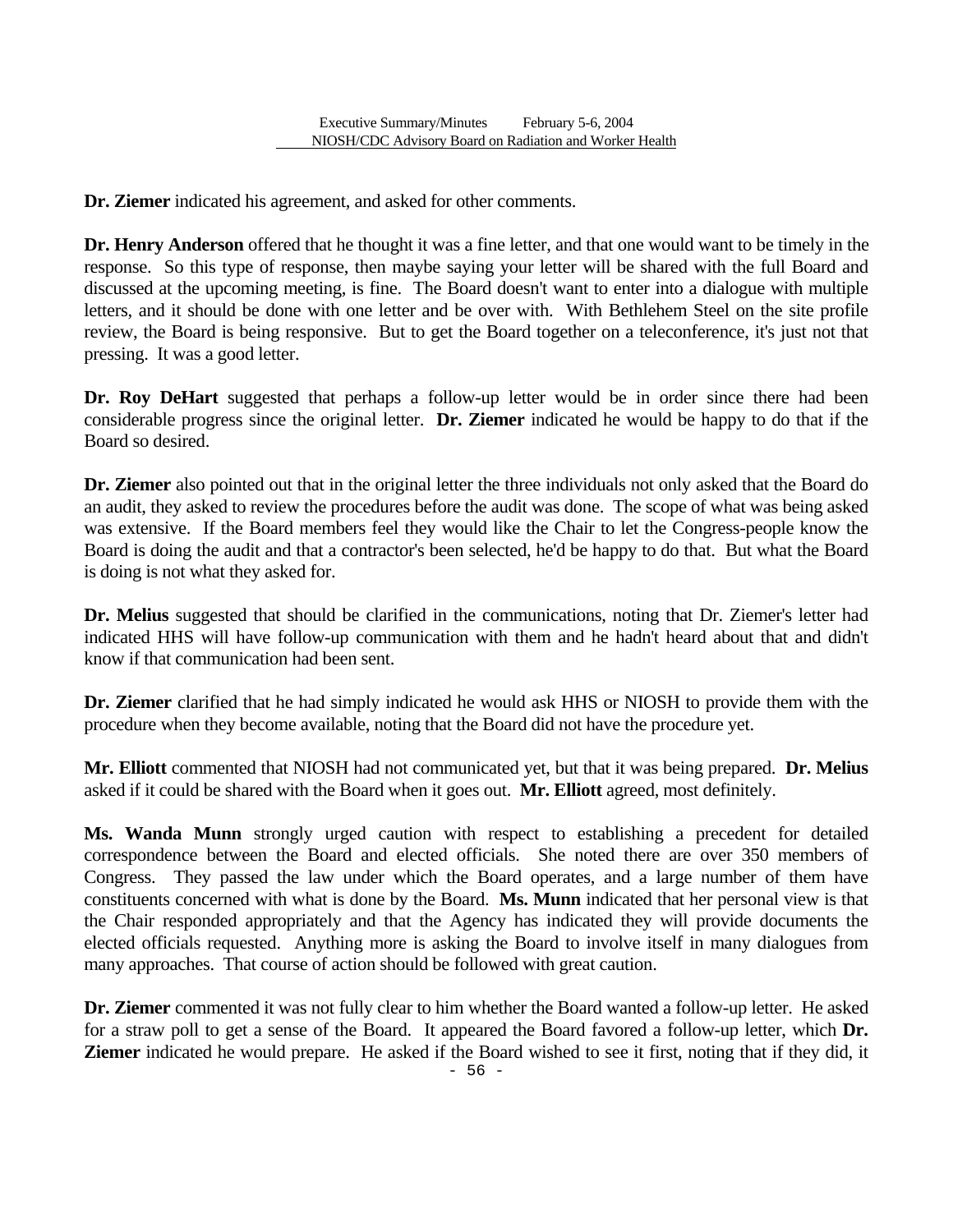**Dr. Ziemer** indicated his agreement, and asked for other comments.

**Dr. Henry Anderson** offered that he thought it was a fine letter, and that one would want to be timely in the response. So this type of response, then maybe saying your letter will be shared with the full Board and discussed at the upcoming meeting, is fine. The Board doesn't want to enter into a dialogue with multiple letters, and it should be done with one letter and be over with. With Bethlehem Steel on the site profile review, the Board is being responsive. But to get the Board together on a teleconference, it's just not that pressing. It was a good letter.

**Dr. Roy DeHart** suggested that perhaps a follow-up letter would be in order since there had been considerable progress since the original letter. **Dr. Ziemer** indicated he would be happy to do that if the Board so desired.

**Dr. Ziemer** also pointed out that in the original letter the three individuals not only asked that the Board do an audit, they asked to review the procedures before the audit was done. The scope of what was being asked was extensive. If the Board members feel they would like the Chair to let the Congress-people know the Board is doing the audit and that a contractor's been selected, he'd be happy to do that. But what the Board is doing is not what they asked for.

**Dr. Melius** suggested that should be clarified in the communications, noting that Dr. Ziemer's letter had indicated HHS will have follow-up communication with them and he hadn't heard about that and didn't know if that communication had been sent.

**Dr. Ziemer** clarified that he had simply indicated he would ask HHS or NIOSH to provide them with the procedure when they become available, noting that the Board did not have the procedure yet.

**Mr. Elliott** commented that NIOSH had not communicated yet, but that it was being prepared. **Dr. Melius**  asked if it could be shared with the Board when it goes out. **Mr. Elliott** agreed, most definitely.

**Ms. Wanda Munn** strongly urged caution with respect to establishing a precedent for detailed correspondence between the Board and elected officials. She noted there are over 350 members of Congress. They passed the law under which the Board operates, and a large number of them have constituents concerned with what is done by the Board. **Ms. Munn** indicated that her personal view is that the Chair responded appropriately and that the Agency has indicated they will provide documents the elected officials requested. Anything more is asking the Board to involve itself in many dialogues from many approaches. That course of action should be followed with great caution.

**Dr. Ziemer** commented it was not fully clear to him whether the Board wanted a follow-up letter. He asked for a straw poll to get a sense of the Board. It appeared the Board favored a follow-up letter, which **Dr. Ziemer** indicated he would prepare. He asked if the Board wished to see it first, noting that if they did, it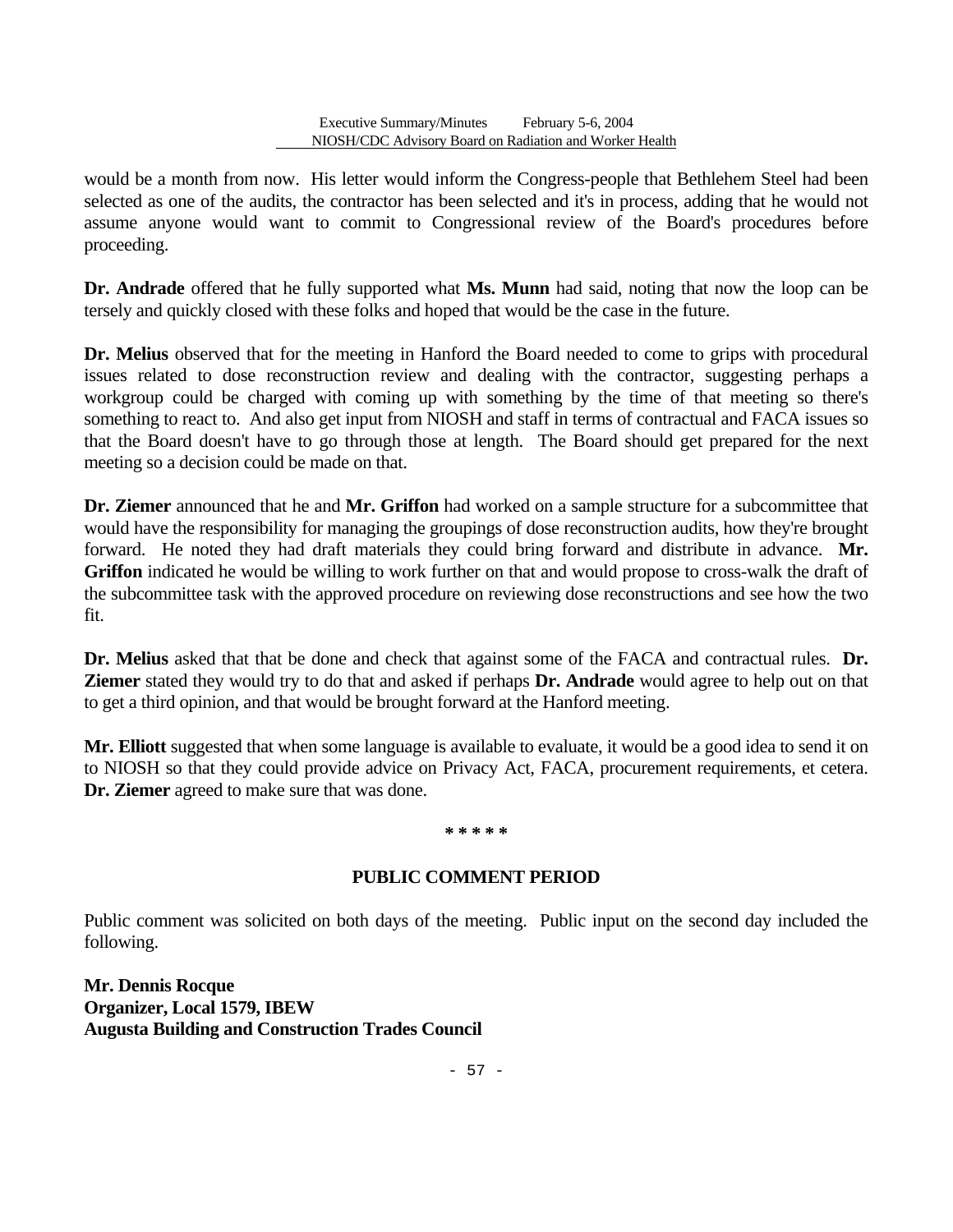would be a month from now. His letter would inform the Congress-people that Bethlehem Steel had been selected as one of the audits, the contractor has been selected and it's in process, adding that he would not assume anyone would want to commit to Congressional review of the Board's procedures before proceeding.

**Dr. Andrade** offered that he fully supported what **Ms. Munn** had said, noting that now the loop can be tersely and quickly closed with these folks and hoped that would be the case in the future.

**Dr. Melius** observed that for the meeting in Hanford the Board needed to come to grips with procedural issues related to dose reconstruction review and dealing with the contractor, suggesting perhaps a workgroup could be charged with coming up with something by the time of that meeting so there's something to react to. And also get input from NIOSH and staff in terms of contractual and FACA issues so that the Board doesn't have to go through those at length. The Board should get prepared for the next meeting so a decision could be made on that.

**Dr. Ziemer** announced that he and **Mr. Griffon** had worked on a sample structure for a subcommittee that would have the responsibility for managing the groupings of dose reconstruction audits, how they're brought forward. He noted they had draft materials they could bring forward and distribute in advance. **Mr. Griffon** indicated he would be willing to work further on that and would propose to cross-walk the draft of the subcommittee task with the approved procedure on reviewing dose reconstructions and see how the two fit.

**Dr. Melius** asked that that be done and check that against some of the FACA and contractual rules. **Dr. Ziemer** stated they would try to do that and asked if perhaps **Dr. Andrade** would agree to help out on that to get a third opinion, and that would be brought forward at the Hanford meeting.

**Mr. Elliott** suggested that when some language is available to evaluate, it would be a good idea to send it on to NIOSH so that they could provide advice on Privacy Act, FACA, procurement requirements, et cetera. **Dr. Ziemer** agreed to make sure that was done.

#### **\* \* \* \* \***

# **PUBLIC COMMENT PERIOD**

Public comment was solicited on both days of the meeting. Public input on the second day included the following.

**Mr. Dennis Rocque Organizer, Local 1579, IBEW Augusta Building and Construction Trades Council**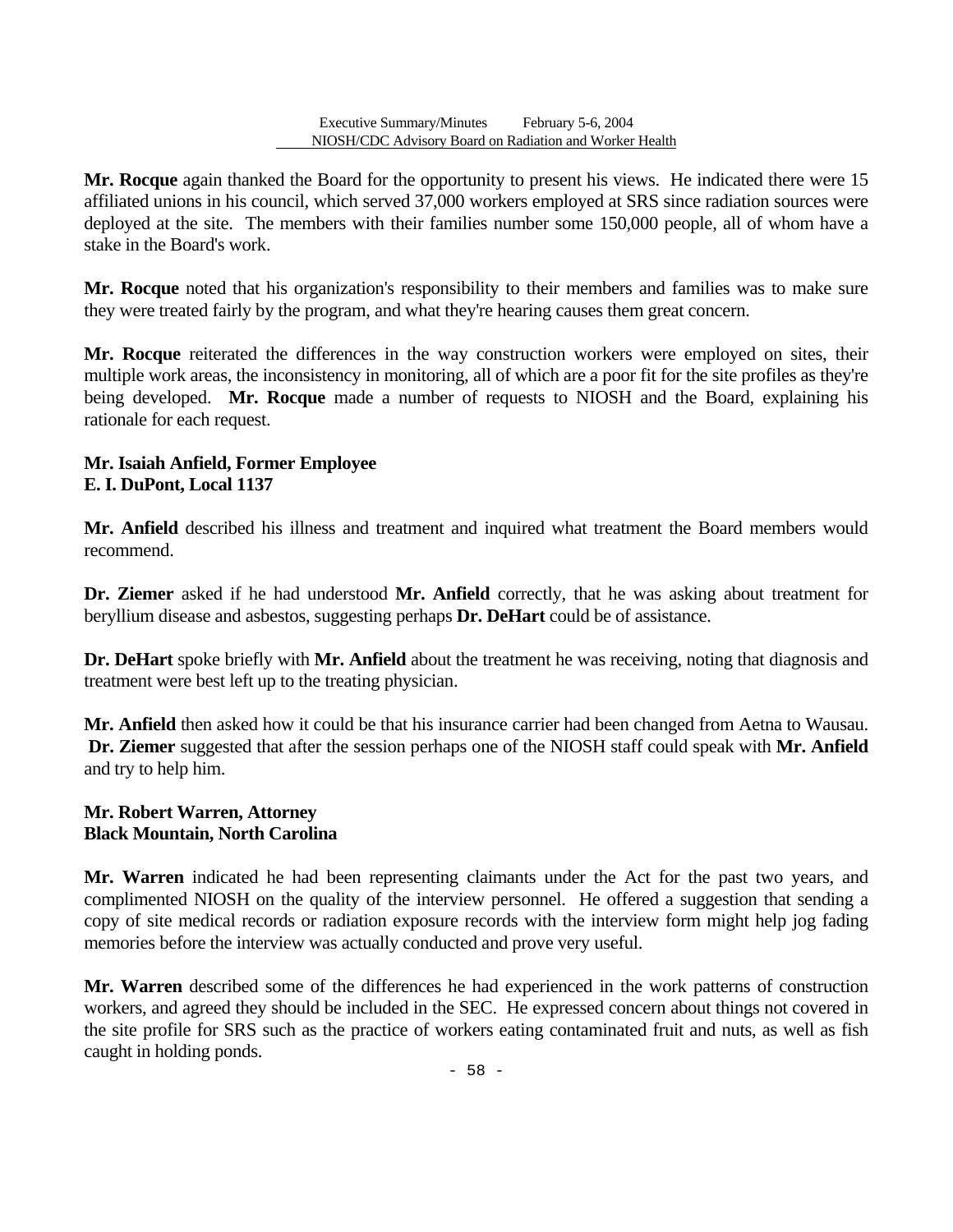**Mr. Rocque** again thanked the Board for the opportunity to present his views. He indicated there were 15 affiliated unions in his council, which served 37,000 workers employed at SRS since radiation sources were deployed at the site. The members with their families number some 150,000 people, all of whom have a stake in the Board's work.

**Mr. Rocque** noted that his organization's responsibility to their members and families was to make sure they were treated fairly by the program, and what they're hearing causes them great concern.

**Mr. Rocque** reiterated the differences in the way construction workers were employed on sites, their multiple work areas, the inconsistency in monitoring, all of which are a poor fit for the site profiles as they're being developed. **Mr. Rocque** made a number of requests to NIOSH and the Board, explaining his rationale for each request.

### **Mr. Isaiah Anfield, Former Employee E. I. DuPont, Local 1137**

**Mr. Anfield** described his illness and treatment and inquired what treatment the Board members would recommend.

**Dr. Ziemer** asked if he had understood **Mr. Anfield** correctly, that he was asking about treatment for beryllium disease and asbestos, suggesting perhaps **Dr. DeHart** could be of assistance.

**Dr. DeHart** spoke briefly with **Mr. Anfield** about the treatment he was receiving, noting that diagnosis and treatment were best left up to the treating physician.

**Mr. Anfield** then asked how it could be that his insurance carrier had been changed from Aetna to Wausau. **Dr. Ziemer** suggested that after the session perhaps one of the NIOSH staff could speak with **Mr. Anfield**  and try to help him.

### **Mr. Robert Warren, Attorney Black Mountain, North Carolina**

**Mr. Warren** indicated he had been representing claimants under the Act for the past two years, and complimented NIOSH on the quality of the interview personnel. He offered a suggestion that sending a copy of site medical records or radiation exposure records with the interview form might help jog fading memories before the interview was actually conducted and prove very useful.

**Mr. Warren** described some of the differences he had experienced in the work patterns of construction workers, and agreed they should be included in the SEC. He expressed concern about things not covered in the site profile for SRS such as the practice of workers eating contaminated fruit and nuts, as well as fish caught in holding ponds.

 $-58 -$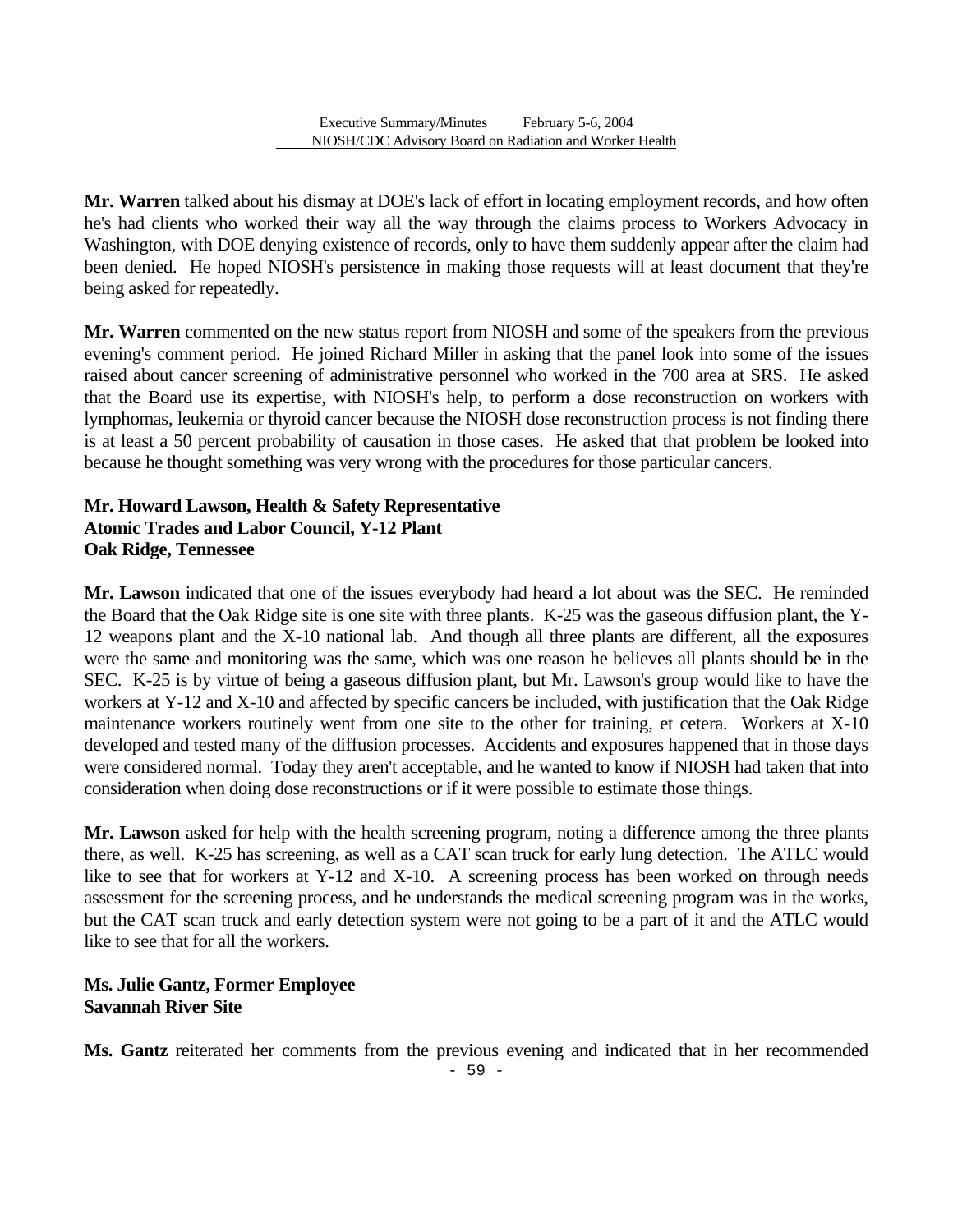**Mr. Warren** talked about his dismay at DOE's lack of effort in locating employment records, and how often he's had clients who worked their way all the way through the claims process to Workers Advocacy in Washington, with DOE denying existence of records, only to have them suddenly appear after the claim had been denied. He hoped NIOSH's persistence in making those requests will at least document that they're being asked for repeatedly.

**Mr. Warren** commented on the new status report from NIOSH and some of the speakers from the previous evening's comment period. He joined Richard Miller in asking that the panel look into some of the issues raised about cancer screening of administrative personnel who worked in the 700 area at SRS. He asked that the Board use its expertise, with NIOSH's help, to perform a dose reconstruction on workers with lymphomas, leukemia or thyroid cancer because the NIOSH dose reconstruction process is not finding there is at least a 50 percent probability of causation in those cases. He asked that that problem be looked into because he thought something was very wrong with the procedures for those particular cancers.

### **Mr. Howard Lawson, Health & Safety Representative Atomic Trades and Labor Council, Y-12 Plant Oak Ridge, Tennessee**

**Mr. Lawson** indicated that one of the issues everybody had heard a lot about was the SEC. He reminded the Board that the Oak Ridge site is one site with three plants. K-25 was the gaseous diffusion plant, the Y-12 weapons plant and the X-10 national lab. And though all three plants are different, all the exposures were the same and monitoring was the same, which was one reason he believes all plants should be in the SEC. K-25 is by virtue of being a gaseous diffusion plant, but Mr. Lawson's group would like to have the workers at Y-12 and X-10 and affected by specific cancers be included, with justification that the Oak Ridge maintenance workers routinely went from one site to the other for training, et cetera. Workers at X-10 developed and tested many of the diffusion processes. Accidents and exposures happened that in those days were considered normal. Today they aren't acceptable, and he wanted to know if NIOSH had taken that into consideration when doing dose reconstructions or if it were possible to estimate those things.

**Mr. Lawson** asked for help with the health screening program, noting a difference among the three plants there, as well. K-25 has screening, as well as a CAT scan truck for early lung detection. The ATLC would like to see that for workers at Y-12 and X-10. A screening process has been worked on through needs assessment for the screening process, and he understands the medical screening program was in the works, but the CAT scan truck and early detection system were not going to be a part of it and the ATLC would like to see that for all the workers.

### **Ms. Julie Gantz, Former Employee Savannah River Site**

**Ms. Gantz** reiterated her comments from the previous evening and indicated that in her recommended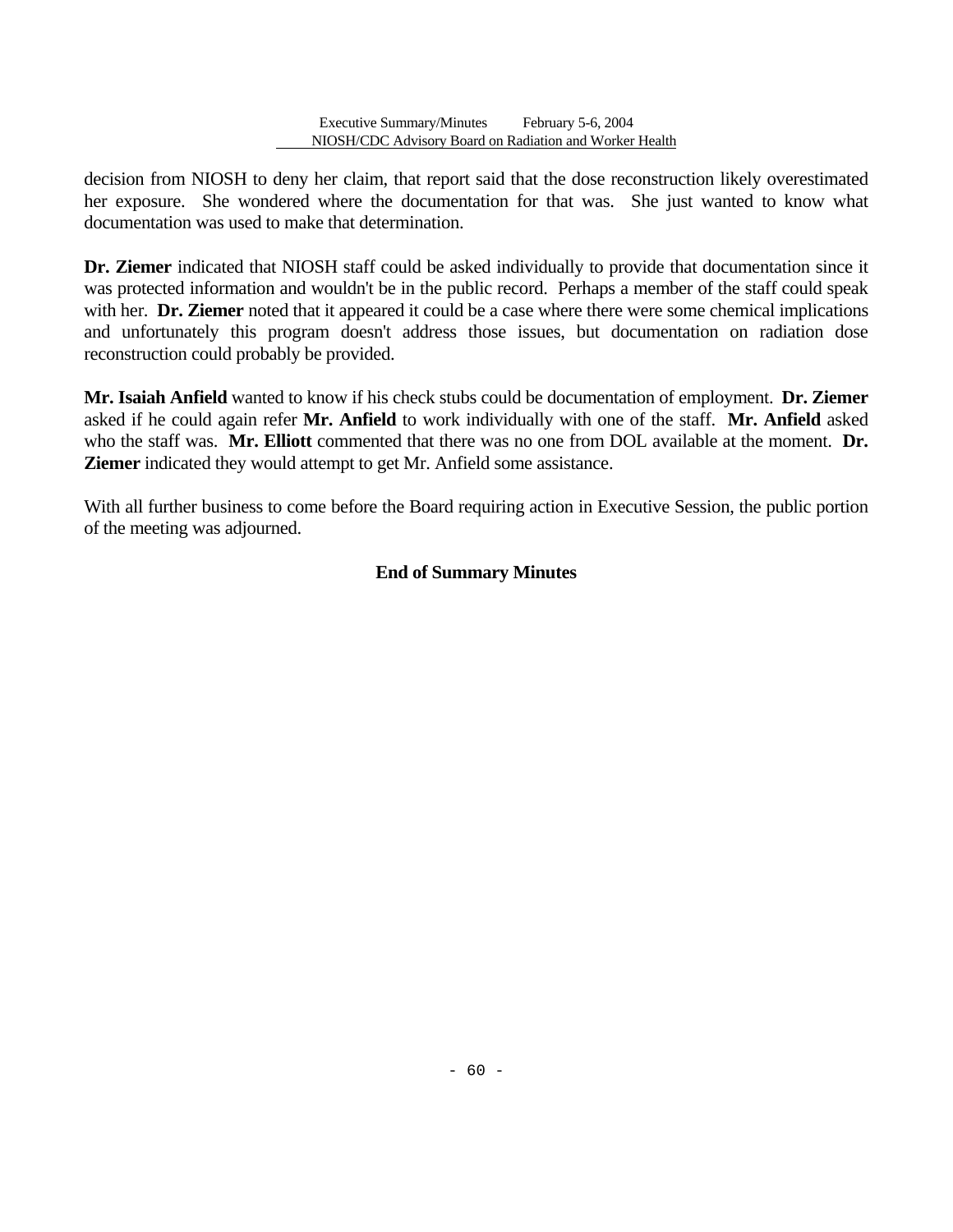decision from NIOSH to deny her claim, that report said that the dose reconstruction likely overestimated her exposure. She wondered where the documentation for that was. She just wanted to know what documentation was used to make that determination.

**Dr. Ziemer** indicated that NIOSH staff could be asked individually to provide that documentation since it was protected information and wouldn't be in the public record. Perhaps a member of the staff could speak with her. **Dr. Ziemer** noted that it appeared it could be a case where there were some chemical implications and unfortunately this program doesn't address those issues, but documentation on radiation dose reconstruction could probably be provided.

**Mr. Isaiah Anfield** wanted to know if his check stubs could be documentation of employment. **Dr. Ziemer**  asked if he could again refer **Mr. Anfield** to work individually with one of the staff. **Mr. Anfield** asked who the staff was. **Mr. Elliott** commented that there was no one from DOL available at the moment. **Dr. Ziemer** indicated they would attempt to get Mr. Anfield some assistance.

With all further business to come before the Board requiring action in Executive Session, the public portion of the meeting was adjourned.

# **End of Summary Minutes**